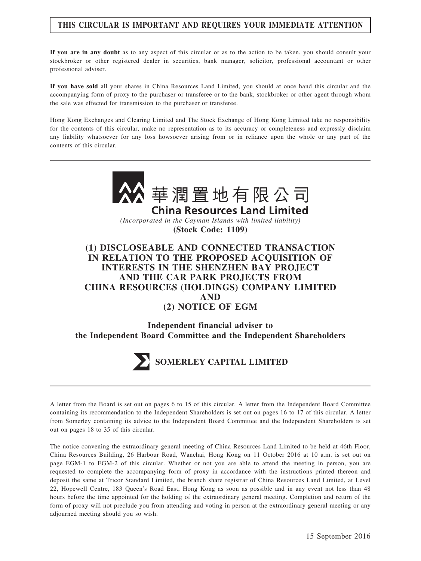## THIS CIRCULAR IS IMPORTANT AND REQUIRES YOUR IMMEDIATE ATTENTION

If you are in any doubt as to any aspect of this circular or as to the action to be taken, you should consult your stockbroker or other registered dealer in securities, bank manager, solicitor, professional accountant or other professional adviser.

If you have sold all your shares in China Resources Land Limited, you should at once hand this circular and the accompanying form of proxy to the purchaser or transferee or to the bank, stockbroker or other agent through whom the sale was effected for transmission to the purchaser or transferee.

Hong Kong Exchanges and Clearing Limited and The Stock Exchange of Hong Kong Limited take no responsibility for the contents of this circular, make no representation as to its accuracy or completeness and expressly disclaim any liability whatsoever for any loss howsoever arising from or in reliance upon the whole or any part of the contents of this circular.





A letter from the Board is set out on pages 6 to 15 of this circular. A letter from the Independent Board Committee containing its recommendation to the Independent Shareholders is set out on pages 16 to 17 of this circular. A letter from Somerley containing its advice to the Independent Board Committee and the Independent Shareholders is set out on pages 18 to 35 of this circular.

The notice convening the extraordinary general meeting of China Resources Land Limited to be held at 46th Floor, China Resources Building, 26 Harbour Road, Wanchai, Hong Kong on 11 October 2016 at 10 a.m. is set out on page EGM-1 to EGM-2 of this circular. Whether or not you are able to attend the meeting in person, you are requested to complete the accompanying form of proxy in accordance with the instructions printed thereon and deposit the same at Tricor Standard Limited, the branch share registrar of China Resources Land Limited, at Level 22, Hopewell Centre, 183 Queen's Road East, Hong Kong as soon as possible and in any event not less than 48 hours before the time appointed for the holding of the extraordinary general meeting. Completion and return of the form of proxy will not preclude you from attending and voting in person at the extraordinary general meeting or any adjourned meeting should you so wish.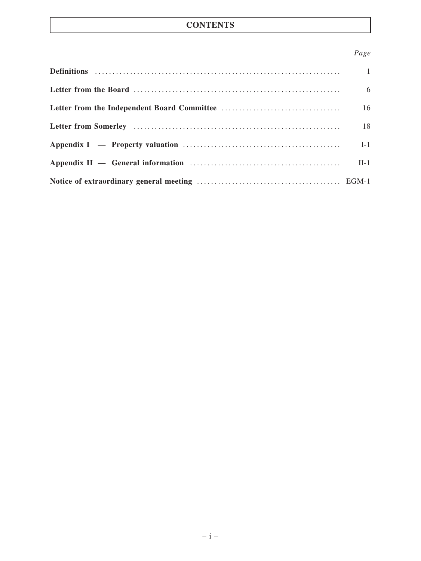# **CONTENTS**

# Page

| - 6 |
|-----|
| 16  |
| 18  |
|     |
|     |
|     |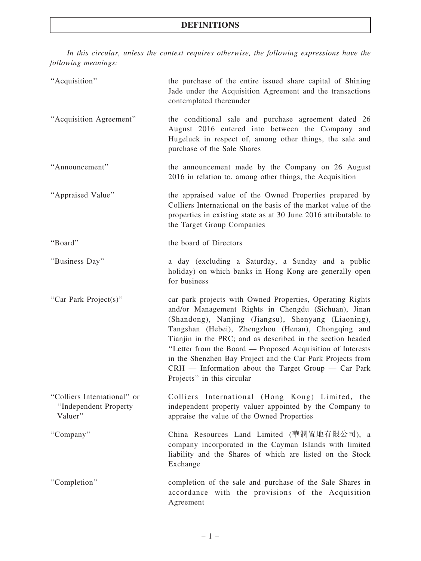In this circular, unless the context requires otherwise, the following expressions have the following meanings:

| "Acquisition"                                                   | the purchase of the entire issued share capital of Shining<br>Jade under the Acquisition Agreement and the transactions<br>contemplated thereunder                                                                                                                                                                                                                                                                                                                                                              |
|-----------------------------------------------------------------|-----------------------------------------------------------------------------------------------------------------------------------------------------------------------------------------------------------------------------------------------------------------------------------------------------------------------------------------------------------------------------------------------------------------------------------------------------------------------------------------------------------------|
| "Acquisition Agreement"                                         | the conditional sale and purchase agreement dated 26<br>August 2016 entered into between the Company and<br>Hugeluck in respect of, among other things, the sale and<br>purchase of the Sale Shares                                                                                                                                                                                                                                                                                                             |
| "Announcement"                                                  | the announcement made by the Company on 26 August<br>2016 in relation to, among other things, the Acquisition                                                                                                                                                                                                                                                                                                                                                                                                   |
| "Appraised Value"                                               | the appraised value of the Owned Properties prepared by<br>Colliers International on the basis of the market value of the<br>properties in existing state as at 30 June 2016 attributable to<br>the Target Group Companies                                                                                                                                                                                                                                                                                      |
| "Board"                                                         | the board of Directors                                                                                                                                                                                                                                                                                                                                                                                                                                                                                          |
| "Business Day"                                                  | a day (excluding a Saturday, a Sunday and a public<br>holiday) on which banks in Hong Kong are generally open<br>for business                                                                                                                                                                                                                                                                                                                                                                                   |
| "Car Park Project(s)"                                           | car park projects with Owned Properties, Operating Rights<br>and/or Management Rights in Chengdu (Sichuan), Jinan<br>(Shandong), Nanjing (Jiangsu), Shenyang (Liaoning),<br>Tangshan (Hebei), Zhengzhou (Henan), Chongqing and<br>Tianjin in the PRC; and as described in the section headed<br>"Letter from the Board — Proposed Acquisition of Interests<br>in the Shenzhen Bay Project and the Car Park Projects from<br>$CRH$ — Information about the Target Group — Car Park<br>Projects" in this circular |
| "Colliers International" or<br>"Independent Property<br>Valuer" | Colliers International (Hong Kong) Limited, the<br>independent property valuer appointed by the Company to<br>appraise the value of the Owned Properties                                                                                                                                                                                                                                                                                                                                                        |
| "Company"                                                       | China Resources Land Limited (華潤置地有限公司), a<br>company incorporated in the Cayman Islands with limited<br>liability and the Shares of which are listed on the Stock<br>Exchange                                                                                                                                                                                                                                                                                                                                  |
| "Completion"                                                    | completion of the sale and purchase of the Sale Shares in<br>accordance with the provisions of the Acquisition<br>Agreement                                                                                                                                                                                                                                                                                                                                                                                     |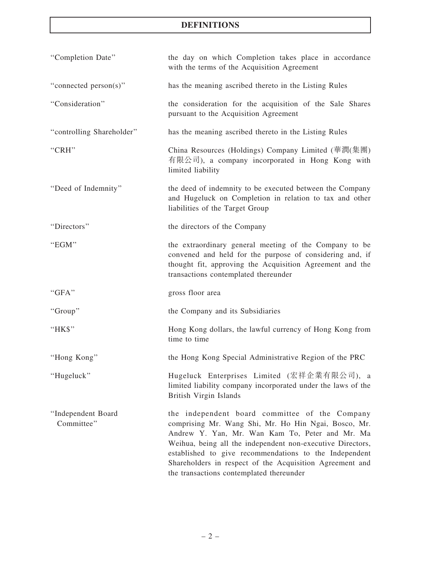| "Completion Date"                | the day on which Completion takes place in accordance<br>with the terms of the Acquisition Agreement                                                                                                                                                                                                                                                                                      |
|----------------------------------|-------------------------------------------------------------------------------------------------------------------------------------------------------------------------------------------------------------------------------------------------------------------------------------------------------------------------------------------------------------------------------------------|
| "connected person(s)"            | has the meaning ascribed thereto in the Listing Rules                                                                                                                                                                                                                                                                                                                                     |
| "Consideration"                  | the consideration for the acquisition of the Sale Shares<br>pursuant to the Acquisition Agreement                                                                                                                                                                                                                                                                                         |
| "controlling Shareholder"        | has the meaning ascribed thereto in the Listing Rules                                                                                                                                                                                                                                                                                                                                     |
| "CRH"                            | China Resources (Holdings) Company Limited (華潤(集團)<br>有限公司), a company incorporated in Hong Kong with<br>limited liability                                                                                                                                                                                                                                                                |
| "Deed of Indemnity"              | the deed of indemnity to be executed between the Company<br>and Hugeluck on Completion in relation to tax and other<br>liabilities of the Target Group                                                                                                                                                                                                                                    |
| "Directors"                      | the directors of the Company                                                                                                                                                                                                                                                                                                                                                              |
| "EGM"                            | the extraordinary general meeting of the Company to be<br>convened and held for the purpose of considering and, if<br>thought fit, approving the Acquisition Agreement and the<br>transactions contemplated thereunder                                                                                                                                                                    |
| "GFA"                            | gross floor area                                                                                                                                                                                                                                                                                                                                                                          |
| "Group"                          | the Company and its Subsidiaries                                                                                                                                                                                                                                                                                                                                                          |
| "HK\$"                           | Hong Kong dollars, the lawful currency of Hong Kong from<br>time to time                                                                                                                                                                                                                                                                                                                  |
| "Hong Kong"                      | the Hong Kong Special Administrative Region of the PRC                                                                                                                                                                                                                                                                                                                                    |
| "Hugeluck"                       | Hugeluck Enterprises Limited (宏祥企業有限公司), a<br>limited liability company incorporated under the laws of the<br>British Virgin Islands                                                                                                                                                                                                                                                      |
| "Independent Board<br>Committee" | the independent board committee of the Company<br>comprising Mr. Wang Shi, Mr. Ho Hin Ngai, Bosco, Mr.<br>Andrew Y. Yan, Mr. Wan Kam To, Peter and Mr. Ma<br>Weihua, being all the independent non-executive Directors,<br>established to give recommendations to the Independent<br>Shareholders in respect of the Acquisition Agreement and<br>the transactions contemplated thereunder |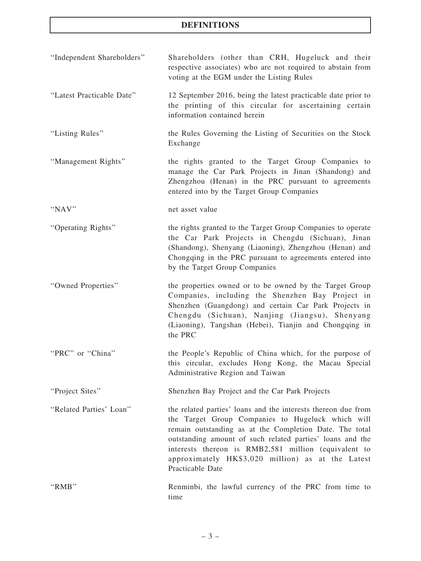| "Independent Shareholders" | Shareholders (other than CRH, Hugeluck and their<br>respective associates) who are not required to abstain from<br>voting at the EGM under the Listing Rules                                                                                                                                                                                                                |
|----------------------------|-----------------------------------------------------------------------------------------------------------------------------------------------------------------------------------------------------------------------------------------------------------------------------------------------------------------------------------------------------------------------------|
| "Latest Practicable Date"  | 12 September 2016, being the latest practicable date prior to<br>the printing of this circular for ascertaining certain<br>information contained herein                                                                                                                                                                                                                     |
| "Listing Rules"            | the Rules Governing the Listing of Securities on the Stock<br>Exchange                                                                                                                                                                                                                                                                                                      |
| "Management Rights"        | the rights granted to the Target Group Companies to<br>manage the Car Park Projects in Jinan (Shandong) and<br>Zhengzhou (Henan) in the PRC pursuant to agreements<br>entered into by the Target Group Companies                                                                                                                                                            |
| "NAV"                      | net asset value                                                                                                                                                                                                                                                                                                                                                             |
| "Operating Rights"         | the rights granted to the Target Group Companies to operate<br>the Car Park Projects in Chengdu (Sichuan), Jinan<br>(Shandong), Shenyang (Liaoning), Zhengzhou (Henan) and<br>Chongqing in the PRC pursuant to agreements entered into<br>by the Target Group Companies                                                                                                     |
| "Owned Properties"         | the properties owned or to be owned by the Target Group<br>Companies, including the Shenzhen Bay Project in<br>Shenzhen (Guangdong) and certain Car Park Projects in<br>Chengdu (Sichuan), Nanjing (Jiangsu), Shenyang<br>(Liaoning), Tangshan (Hebei), Tianjin and Chongqing in<br>the PRC                                                                                 |
| "PRC" or "China"           | the People's Republic of China which, for the purpose of<br>this circular, excludes Hong Kong, the Macau Special<br>Administrative Region and Taiwan                                                                                                                                                                                                                        |
| "Project Sites"            | Shenzhen Bay Project and the Car Park Projects                                                                                                                                                                                                                                                                                                                              |
| "Related Parties' Loan"    | the related parties' loans and the interests thereon due from<br>the Target Group Companies to Hugeluck which will<br>remain outstanding as at the Completion Date. The total<br>outstanding amount of such related parties' loans and the<br>interests thereon is RMB2,581 million (equivalent to<br>approximately HK\$3,020 million) as at the Latest<br>Practicable Date |
| "RMB"                      | Renminbi, the lawful currency of the PRC from time to<br>time                                                                                                                                                                                                                                                                                                               |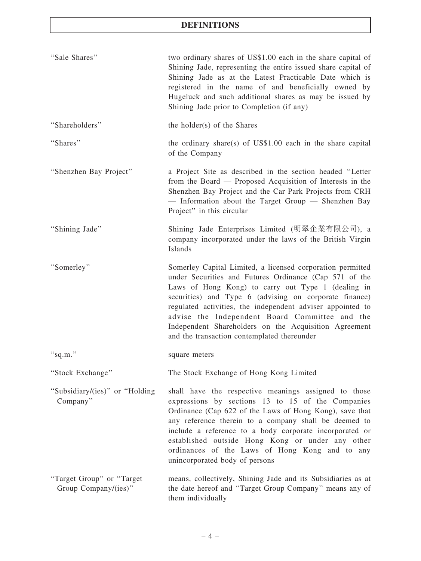| "Sale Shares"                                     | two ordinary shares of US\$1.00 each in the share capital of<br>Shining Jade, representing the entire issued share capital of<br>Shining Jade as at the Latest Practicable Date which is<br>registered in the name of and beneficially owned by<br>Hugeluck and such additional shares as may be issued by<br>Shining Jade prior to Completion (if any)                                                                                                      |
|---------------------------------------------------|--------------------------------------------------------------------------------------------------------------------------------------------------------------------------------------------------------------------------------------------------------------------------------------------------------------------------------------------------------------------------------------------------------------------------------------------------------------|
| "Shareholders"                                    | the holder(s) of the Shares                                                                                                                                                                                                                                                                                                                                                                                                                                  |
| "Shares"                                          | the ordinary share(s) of US\$1.00 each in the share capital<br>of the Company                                                                                                                                                                                                                                                                                                                                                                                |
| "Shenzhen Bay Project"                            | a Project Site as described in the section headed "Letter<br>from the Board — Proposed Acquisition of Interests in the<br>Shenzhen Bay Project and the Car Park Projects from CRH<br>- Information about the Target Group - Shenzhen Bay<br>Project" in this circular                                                                                                                                                                                        |
| "Shining Jade"                                    | Shining Jade Enterprises Limited (明翠企業有限公司), a<br>company incorporated under the laws of the British Virgin<br>Islands                                                                                                                                                                                                                                                                                                                                       |
| "Somerley"                                        | Somerley Capital Limited, a licensed corporation permitted<br>under Securities and Futures Ordinance (Cap 571 of the<br>Laws of Hong Kong) to carry out Type 1 (dealing in<br>securities) and Type 6 (advising on corporate finance)<br>regulated activities, the independent adviser appointed to<br>advise the Independent Board Committee and the<br>Independent Shareholders on the Acquisition Agreement<br>and the transaction contemplated thereunder |
| "sq.m."                                           | square meters                                                                                                                                                                                                                                                                                                                                                                                                                                                |
| "Stock Exchange"                                  | The Stock Exchange of Hong Kong Limited                                                                                                                                                                                                                                                                                                                                                                                                                      |
| "Subsidiary/(ies)" or "Holding<br>Company"        | shall have the respective meanings assigned to those<br>expressions by sections 13 to 15 of the Companies<br>Ordinance (Cap 622 of the Laws of Hong Kong), save that<br>any reference therein to a company shall be deemed to<br>include a reference to a body corporate incorporated or<br>established outside Hong Kong or under any other<br>ordinances of the Laws of Hong Kong and to any<br>unincorporated body of persons                             |
| "Target Group" or "Target<br>Group Company/(ies)" | means, collectively, Shining Jade and its Subsidiaries as at<br>the date hereof and "Target Group Company" means any of<br>them individually                                                                                                                                                                                                                                                                                                                 |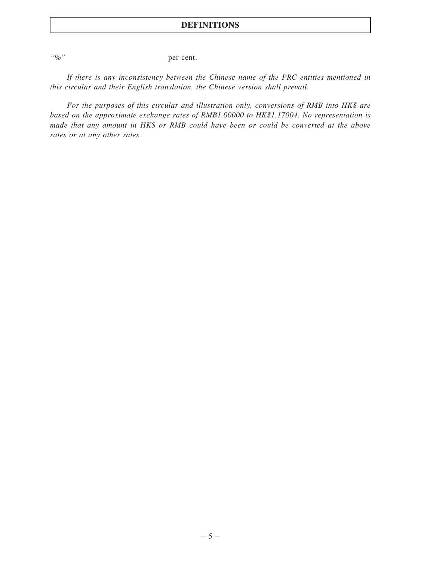"%" per cent.

If there is any inconsistency between the Chinese name of the PRC entities mentioned in this circular and their English translation, the Chinese version shall prevail.

For the purposes of this circular and illustration only, conversions of RMB into HK\$ are based on the approximate exchange rates of RMB1.00000 to HK\$1.17004. No representation is made that any amount in HK\$ or RMB could have been or could be converted at the above rates or at any other rates.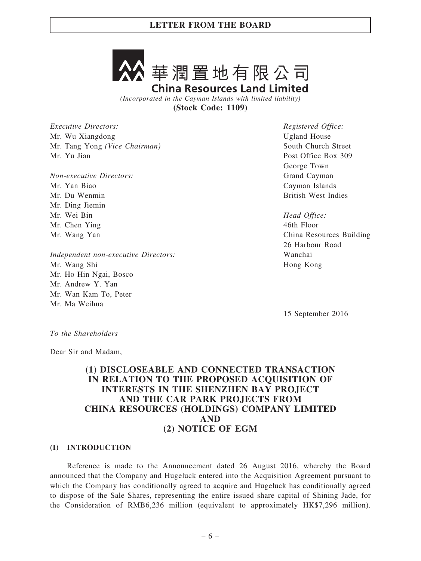

(Incorporated in the Cayman Islands with limited liability) (Stock Code: 1109)

Executive Directors: Mr. Wu Xiangdong Mr. Tang Yong (Vice Chairman) Mr. Yu Jian

Non-executive Directors: Mr. Yan Biao Mr. Du Wenmin Mr. Ding Jiemin Mr. Wei Bin Mr. Chen Ying Mr. Wang Yan

Independent non-executive Directors: Mr. Wang Shi Mr. Ho Hin Ngai, Bosco Mr. Andrew Y. Yan Mr. Wan Kam To, Peter Mr. Ma Weihua

Registered Office: Ugland House South Church Street Post Office Box 309 George Town Grand Cayman Cayman Islands British West Indies

Head Office: 46th Floor China Resources Building 26 Harbour Road Wanchai Hong Kong

15 September 2016

To the Shareholders

Dear Sir and Madam,

# (1) DISCLOSEABLE AND CONNECTED TRANSACTION IN RELATION TO THE PROPOSED ACQUISITION OF INTERESTS IN THE SHENZHEN BAY PROJECT AND THE CAR PARK PROJECTS FROM CHINA RESOURCES (HOLDINGS) COMPANY LIMITED AND (2) NOTICE OF EGM

### (I) INTRODUCTION

Reference is made to the Announcement dated 26 August 2016, whereby the Board announced that the Company and Hugeluck entered into the Acquisition Agreement pursuant to which the Company has conditionally agreed to acquire and Hugeluck has conditionally agreed to dispose of the Sale Shares, representing the entire issued share capital of Shining Jade, for the Consideration of RMB6,236 million (equivalent to approximately HK\$7,296 million).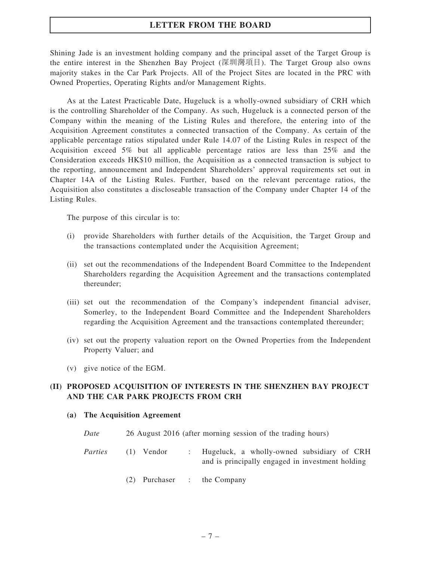Shining Jade is an investment holding company and the principal asset of the Target Group is the entire interest in the Shenzhen Bay Project (深圳灣項目). The Target Group also owns majority stakes in the Car Park Projects. All of the Project Sites are located in the PRC with Owned Properties, Operating Rights and/or Management Rights.

As at the Latest Practicable Date, Hugeluck is a wholly-owned subsidiary of CRH which is the controlling Shareholder of the Company. As such, Hugeluck is a connected person of the Company within the meaning of the Listing Rules and therefore, the entering into of the Acquisition Agreement constitutes a connected transaction of the Company. As certain of the applicable percentage ratios stipulated under Rule 14.07 of the Listing Rules in respect of the Acquisition exceed 5% but all applicable percentage ratios are less than 25% and the Consideration exceeds HK\$10 million, the Acquisition as a connected transaction is subject to the reporting, announcement and Independent Shareholders' approval requirements set out in Chapter 14A of the Listing Rules. Further, based on the relevant percentage ratios, the Acquisition also constitutes a discloseable transaction of the Company under Chapter 14 of the Listing Rules.

The purpose of this circular is to:

- (i) provide Shareholders with further details of the Acquisition, the Target Group and the transactions contemplated under the Acquisition Agreement;
- (ii) set out the recommendations of the Independent Board Committee to the Independent Shareholders regarding the Acquisition Agreement and the transactions contemplated thereunder;
- (iii) set out the recommendation of the Company's independent financial adviser, Somerley, to the Independent Board Committee and the Independent Shareholders regarding the Acquisition Agreement and the transactions contemplated thereunder;
- (iv) set out the property valuation report on the Owned Properties from the Independent Property Valuer; and
- (v) give notice of the EGM.

### (II) PROPOSED ACQUISITION OF INTERESTS IN THE SHENZHEN BAY PROJECT AND THE CAR PARK PROJECTS FROM CRH

- (a) The Acquisition Agreement
	- Date 26 August 2016 (after morning session of the trading hours)
	- Parties (1) Vendor : Hugeluck, a wholly-owned subsidiary of CRH and is principally engaged in investment holding
		- (2) Purchaser : the Company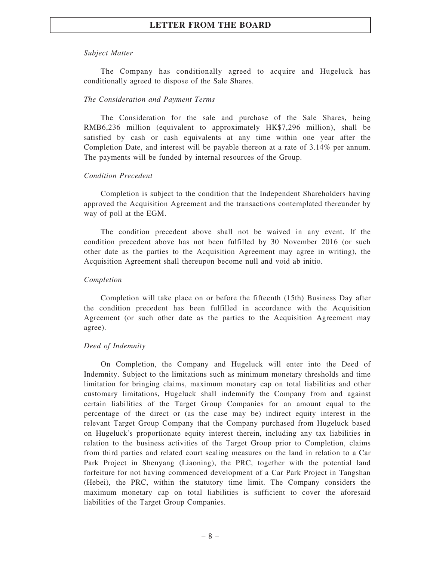### Subject Matter

The Company has conditionally agreed to acquire and Hugeluck has conditionally agreed to dispose of the Sale Shares.

#### The Consideration and Payment Terms

The Consideration for the sale and purchase of the Sale Shares, being RMB6,236 million (equivalent to approximately HK\$7,296 million), shall be satisfied by cash or cash equivalents at any time within one year after the Completion Date, and interest will be payable thereon at a rate of 3.14% per annum. The payments will be funded by internal resources of the Group.

#### Condition Precedent

Completion is subject to the condition that the Independent Shareholders having approved the Acquisition Agreement and the transactions contemplated thereunder by way of poll at the EGM.

The condition precedent above shall not be waived in any event. If the condition precedent above has not been fulfilled by 30 November 2016 (or such other date as the parties to the Acquisition Agreement may agree in writing), the Acquisition Agreement shall thereupon become null and void ab initio.

#### Completion

Completion will take place on or before the fifteenth (15th) Business Day after the condition precedent has been fulfilled in accordance with the Acquisition Agreement (or such other date as the parties to the Acquisition Agreement may agree).

### Deed of Indemnity

On Completion, the Company and Hugeluck will enter into the Deed of Indemnity. Subject to the limitations such as minimum monetary thresholds and time limitation for bringing claims, maximum monetary cap on total liabilities and other customary limitations, Hugeluck shall indemnify the Company from and against certain liabilities of the Target Group Companies for an amount equal to the percentage of the direct or (as the case may be) indirect equity interest in the relevant Target Group Company that the Company purchased from Hugeluck based on Hugeluck's proportionate equity interest therein, including any tax liabilities in relation to the business activities of the Target Group prior to Completion, claims from third parties and related court sealing measures on the land in relation to a Car Park Project in Shenyang (Liaoning), the PRC, together with the potential land forfeiture for not having commenced development of a Car Park Project in Tangshan (Hebei), the PRC, within the statutory time limit. The Company considers the maximum monetary cap on total liabilities is sufficient to cover the aforesaid liabilities of the Target Group Companies.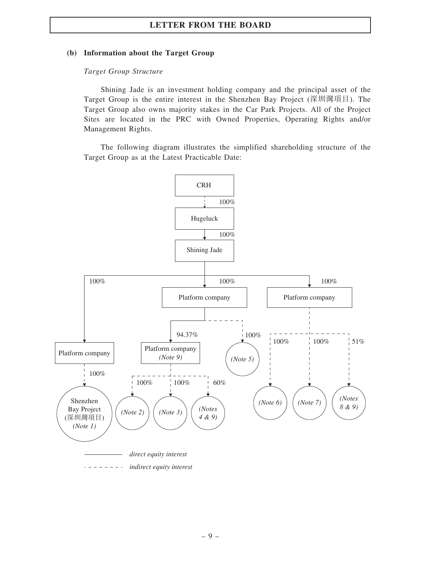### (b) Information about the Target Group

### Target Group Structure

Shining Jade is an investment holding company and the principal asset of the Target Group is the entire interest in the Shenzhen Bay Project (深圳灣項目). The Target Group also owns majority stakes in the Car Park Projects. All of the Project Sites are located in the PRC with Owned Properties, Operating Rights and/or Management Rights.

The following diagram illustrates the simplified shareholding structure of the Target Group as at the Latest Practicable Date:

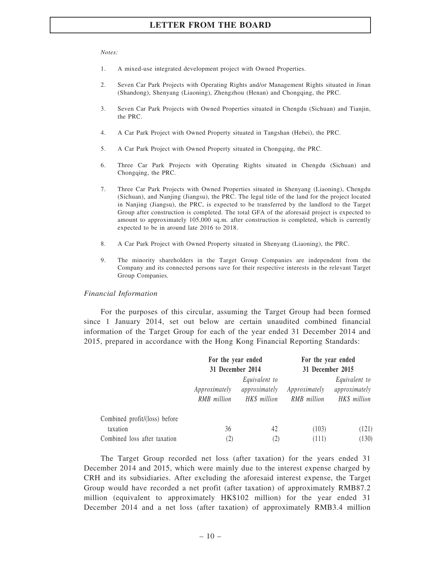#### Notes:

- 1. A mixed-use integrated development project with Owned Properties.
- 2. Seven Car Park Projects with Operating Rights and/or Management Rights situated in Jinan (Shandong), Shenyang (Liaoning), Zhengzhou (Henan) and Chongqing, the PRC.
- 3. Seven Car Park Projects with Owned Properties situated in Chengdu (Sichuan) and Tianjin, the PRC.
- 4. A Car Park Project with Owned Property situated in Tangshan (Hebei), the PRC.
- 5. A Car Park Project with Owned Property situated in Chongqing, the PRC.
- 6. Three Car Park Projects with Operating Rights situated in Chengdu (Sichuan) and Chongqing, the PRC.
- 7. Three Car Park Projects with Owned Properties situated in Shenyang (Liaoning), Chengdu (Sichuan), and Nanjing (Jiangsu), the PRC. The legal title of the land for the project located in Nanjing (Jiangsu), the PRC, is expected to be transferred by the landlord to the Target Group after construction is completed. The total GFA of the aforesaid project is expected to amount to approximately 105,000 sq.m. after construction is completed, which is currently expected to be in around late 2016 to 2018.
- 8. A Car Park Project with Owned Property situated in Shenyang (Liaoning), the PRC.
- 9. The minority shareholders in the Target Group Companies are independent from the Company and its connected persons save for their respective interests in the relevant Target Group Companies.

#### Financial Information

For the purposes of this circular, assuming the Target Group had been formed since 1 January 2014, set out below are certain unaudited combined financial information of the Target Group for each of the year ended 31 December 2014 and 2015, prepared in accordance with the Hong Kong Financial Reporting Standards:

|                               | For the year ended                                                                                 |                   |                              | For the year ended<br>31 December 2015 |  |
|-------------------------------|----------------------------------------------------------------------------------------------------|-------------------|------------------------------|----------------------------------------|--|
|                               | 31 December 2014<br>Equivalent to<br>approximately<br>Approximately<br>HK\$ million<br>RMB million |                   | Approximately<br>RMB million |                                        |  |
| Combined profit/(loss) before |                                                                                                    |                   |                              |                                        |  |
| taxation                      | 36                                                                                                 | 42                | (103)                        | (121)                                  |  |
| Combined loss after taxation  | (2)                                                                                                | $\left[ 2\right]$ | (111)                        | (130)                                  |  |

The Target Group recorded net loss (after taxation) for the years ended 31 December 2014 and 2015, which were mainly due to the interest expense charged by CRH and its subsidiaries. After excluding the aforesaid interest expense, the Target Group would have recorded a net profit (after taxation) of approximately RMB87.2 million (equivalent to approximately HK\$102 million) for the year ended 31 December 2014 and a net loss (after taxation) of approximately RMB3.4 million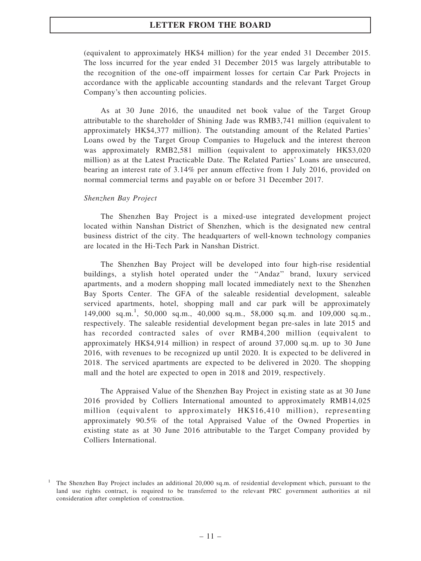(equivalent to approximately HK\$4 million) for the year ended 31 December 2015. The loss incurred for the year ended 31 December 2015 was largely attributable to the recognition of the one-off impairment losses for certain Car Park Projects in accordance with the applicable accounting standards and the relevant Target Group Company's then accounting policies.

As at 30 June 2016, the unaudited net book value of the Target Group attributable to the shareholder of Shining Jade was RMB3,741 million (equivalent to approximately HK\$4,377 million). The outstanding amount of the Related Parties' Loans owed by the Target Group Companies to Hugeluck and the interest thereon was approximately RMB2,581 million (equivalent to approximately HK\$3,020 million) as at the Latest Practicable Date. The Related Parties' Loans are unsecured, bearing an interest rate of 3.14% per annum effective from 1 July 2016, provided on normal commercial terms and payable on or before 31 December 2017.

### Shenzhen Bay Project

The Shenzhen Bay Project is a mixed-use integrated development project located within Nanshan District of Shenzhen, which is the designated new central business district of the city. The headquarters of well-known technology companies are located in the Hi-Tech Park in Nanshan District.

The Shenzhen Bay Project will be developed into four high-rise residential buildings, a stylish hotel operated under the ''Andaz'' brand, luxury serviced apartments, and a modern shopping mall located immediately next to the Shenzhen Bay Sports Center. The GFA of the saleable residential development, saleable serviced apartments, hotel, shopping mall and car park will be approximately 149,000 sq.m.<sup>1</sup> , 50,000 sq.m., 40,000 sq.m., 58,000 sq.m. and 109,000 sq.m., respectively. The saleable residential development began pre-sales in late 2015 and has recorded contracted sales of over RMB4,200 million (equivalent to approximately HK\$4,914 million) in respect of around 37,000 sq.m. up to 30 June 2016, with revenues to be recognized up until 2020. It is expected to be delivered in 2018. The serviced apartments are expected to be delivered in 2020. The shopping mall and the hotel are expected to open in 2018 and 2019, respectively.

The Appraised Value of the Shenzhen Bay Project in existing state as at 30 June 2016 provided by Colliers International amounted to approximately RMB14,025 million (equivalent to approximately HK\$16,410 million), representing approximately 90.5% of the total Appraised Value of the Owned Properties in existing state as at 30 June 2016 attributable to the Target Company provided by Colliers International.

<sup>&</sup>lt;sup>1</sup> The Shenzhen Bay Project includes an additional 20,000 sq.m. of residential development which, pursuant to the land use rights contract, is required to be transferred to the relevant PRC government authorities at nil consideration after completion of construction.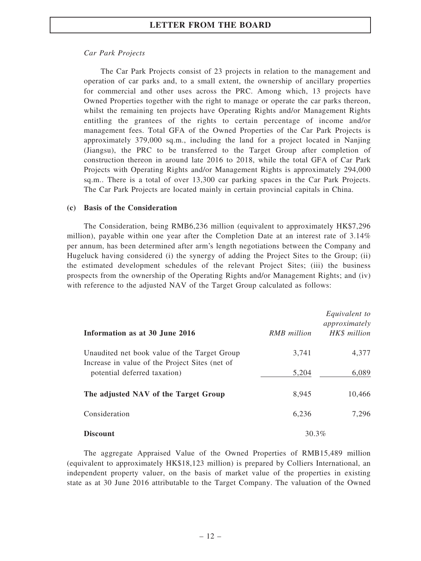### Car Park Projects

The Car Park Projects consist of 23 projects in relation to the management and operation of car parks and, to a small extent, the ownership of ancillary properties for commercial and other uses across the PRC. Among which, 13 projects have Owned Properties together with the right to manage or operate the car parks thereon, whilst the remaining ten projects have Operating Rights and/or Management Rights entitling the grantees of the rights to certain percentage of income and/or management fees. Total GFA of the Owned Properties of the Car Park Projects is approximately 379,000 sq.m., including the land for a project located in Nanjing (Jiangsu), the PRC to be transferred to the Target Group after completion of construction thereon in around late 2016 to 2018, while the total GFA of Car Park Projects with Operating Rights and/or Management Rights is approximately 294,000 sq.m.. There is a total of over 13,300 car parking spaces in the Car Park Projects. The Car Park Projects are located mainly in certain provincial capitals in China.

### (c) Basis of the Consideration

The Consideration, being RMB6,236 million (equivalent to approximately HK\$7,296 million), payable within one year after the Completion Date at an interest rate of 3.14% per annum, has been determined after arm's length negotiations between the Company and Hugeluck having considered (i) the synergy of adding the Project Sites to the Group; (ii) the estimated development schedules of the relevant Project Sites; (iii) the business prospects from the ownership of the Operating Rights and/or Management Rights; and (iv) with reference to the adjusted NAV of the Target Group calculated as follows:

| Information as at 30 June 2016                                                                 | <b>RMB</b> million | Equivalent to<br>approximately<br>HK\$ million |
|------------------------------------------------------------------------------------------------|--------------------|------------------------------------------------|
| Unaudited net book value of the Target Group<br>Increase in value of the Project Sites (net of | 3,741              | 4,377                                          |
| potential deferred taxation)                                                                   | 5,204              | 6,089                                          |
| The adjusted NAV of the Target Group                                                           | 8,945              | 10,466                                         |
| Consideration                                                                                  | 6,236              | 7,296                                          |
| <b>Discount</b>                                                                                | 30.3%              |                                                |

The aggregate Appraised Value of the Owned Properties of RMB15,489 million (equivalent to approximately HK\$18,123 million) is prepared by Colliers International, an independent property valuer, on the basis of market value of the properties in existing state as at 30 June 2016 attributable to the Target Company. The valuation of the Owned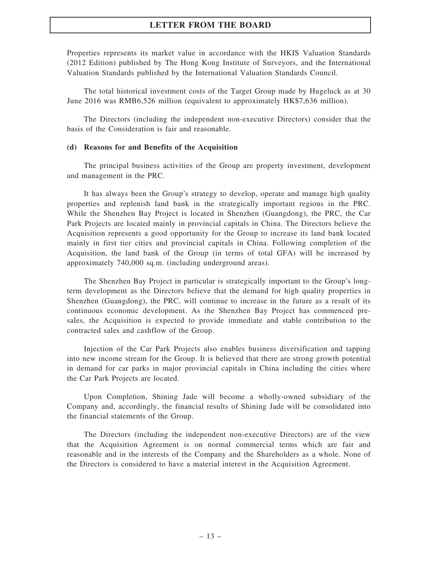Properties represents its market value in accordance with the HKIS Valuation Standards (2012 Edition) published by The Hong Kong Institute of Surveyors, and the International Valuation Standards published by the International Valuation Standards Council.

The total historical investment costs of the Target Group made by Hugeluck as at 30 June 2016 was RMB6,526 million (equivalent to approximately HK\$7,636 million).

The Directors (including the independent non-executive Directors) consider that the basis of the Consideration is fair and reasonable.

#### (d) Reasons for and Benefits of the Acquisition

The principal business activities of the Group are property investment, development and management in the PRC.

It has always been the Group's strategy to develop, operate and manage high quality properties and replenish land bank in the strategically important regions in the PRC. While the Shenzhen Bay Project is located in Shenzhen (Guangdong), the PRC, the Car Park Projects are located mainly in provincial capitals in China. The Directors believe the Acquisition represents a good opportunity for the Group to increase its land bank located mainly in first tier cities and provincial capitals in China. Following completion of the Acquisition, the land bank of the Group (in terms of total GFA) will be increased by approximately 740,000 sq.m. (including underground areas).

The Shenzhen Bay Project in particular is strategically important to the Group's longterm development as the Directors believe that the demand for high quality properties in Shenzhen (Guangdong), the PRC, will continue to increase in the future as a result of its continuous economic development. As the Shenzhen Bay Project has commenced presales, the Acquisition is expected to provide immediate and stable contribution to the contracted sales and cashflow of the Group.

Injection of the Car Park Projects also enables business diversification and tapping into new income stream for the Group. It is believed that there are strong growth potential in demand for car parks in major provincial capitals in China including the cities where the Car Park Projects are located.

Upon Completion, Shining Jade will become a wholly-owned subsidiary of the Company and, accordingly, the financial results of Shining Jade will be consolidated into the financial statements of the Group.

The Directors (including the independent non-executive Directors) are of the view that the Acquisition Agreement is on normal commercial terms which are fair and reasonable and in the interests of the Company and the Shareholders as a whole. None of the Directors is considered to have a material interest in the Acquisition Agreement.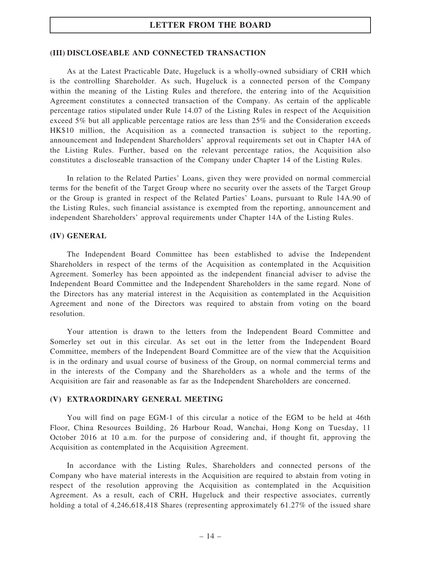### (III) DISCLOSEABLE AND CONNECTED TRANSACTION

As at the Latest Practicable Date, Hugeluck is a wholly-owned subsidiary of CRH which is the controlling Shareholder. As such, Hugeluck is a connected person of the Company within the meaning of the Listing Rules and therefore, the entering into of the Acquisition Agreement constitutes a connected transaction of the Company. As certain of the applicable percentage ratios stipulated under Rule 14.07 of the Listing Rules in respect of the Acquisition exceed 5% but all applicable percentage ratios are less than 25% and the Consideration exceeds HK\$10 million, the Acquisition as a connected transaction is subject to the reporting, announcement and Independent Shareholders' approval requirements set out in Chapter 14A of the Listing Rules. Further, based on the relevant percentage ratios, the Acquisition also constitutes a discloseable transaction of the Company under Chapter 14 of the Listing Rules.

In relation to the Related Parties' Loans, given they were provided on normal commercial terms for the benefit of the Target Group where no security over the assets of the Target Group or the Group is granted in respect of the Related Parties' Loans, pursuant to Rule 14A.90 of the Listing Rules, such financial assistance is exempted from the reporting, announcement and independent Shareholders' approval requirements under Chapter 14A of the Listing Rules.

### (IV) GENERAL

The Independent Board Committee has been established to advise the Independent Shareholders in respect of the terms of the Acquisition as contemplated in the Acquisition Agreement. Somerley has been appointed as the independent financial adviser to advise the Independent Board Committee and the Independent Shareholders in the same regard. None of the Directors has any material interest in the Acquisition as contemplated in the Acquisition Agreement and none of the Directors was required to abstain from voting on the board resolution.

Your attention is drawn to the letters from the Independent Board Committee and Somerley set out in this circular. As set out in the letter from the Independent Board Committee, members of the Independent Board Committee are of the view that the Acquisition is in the ordinary and usual course of business of the Group, on normal commercial terms and in the interests of the Company and the Shareholders as a whole and the terms of the Acquisition are fair and reasonable as far as the Independent Shareholders are concerned.

### (V) EXTRAORDINARY GENERAL MEETING

You will find on page EGM-1 of this circular a notice of the EGM to be held at 46th Floor, China Resources Building, 26 Harbour Road, Wanchai, Hong Kong on Tuesday, 11 October 2016 at 10 a.m. for the purpose of considering and, if thought fit, approving the Acquisition as contemplated in the Acquisition Agreement.

In accordance with the Listing Rules, Shareholders and connected persons of the Company who have material interests in the Acquisition are required to abstain from voting in respect of the resolution approving the Acquisition as contemplated in the Acquisition Agreement. As a result, each of CRH, Hugeluck and their respective associates, currently holding a total of 4,246,618,418 Shares (representing approximately 61.27% of the issued share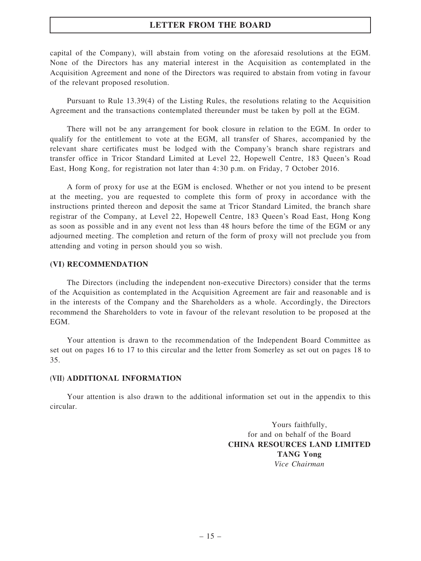capital of the Company), will abstain from voting on the aforesaid resolutions at the EGM. None of the Directors has any material interest in the Acquisition as contemplated in the Acquisition Agreement and none of the Directors was required to abstain from voting in favour of the relevant proposed resolution.

Pursuant to Rule 13.39(4) of the Listing Rules, the resolutions relating to the Acquisition Agreement and the transactions contemplated thereunder must be taken by poll at the EGM.

There will not be any arrangement for book closure in relation to the EGM. In order to qualify for the entitlement to vote at the EGM, all transfer of Shares, accompanied by the relevant share certificates must be lodged with the Company's branch share registrars and transfer office in Tricor Standard Limited at Level 22, Hopewell Centre, 183 Queen's Road East, Hong Kong, for registration not later than 4:30 p.m. on Friday, 7 October 2016.

A form of proxy for use at the EGM is enclosed. Whether or not you intend to be present at the meeting, you are requested to complete this form of proxy in accordance with the instructions printed thereon and deposit the same at Tricor Standard Limited, the branch share registrar of the Company, at Level 22, Hopewell Centre, 183 Queen's Road East, Hong Kong as soon as possible and in any event not less than 48 hours before the time of the EGM or any adjourned meeting. The completion and return of the form of proxy will not preclude you from attending and voting in person should you so wish.

#### (VI) RECOMMENDATION

The Directors (including the independent non-executive Directors) consider that the terms of the Acquisition as contemplated in the Acquisition Agreement are fair and reasonable and is in the interests of the Company and the Shareholders as a whole. Accordingly, the Directors recommend the Shareholders to vote in favour of the relevant resolution to be proposed at the EGM.

Your attention is drawn to the recommendation of the Independent Board Committee as set out on pages 16 to 17 to this circular and the letter from Somerley as set out on pages 18 to 35.

#### (VII) ADDITIONAL INFORMATION

Your attention is also drawn to the additional information set out in the appendix to this circular.

> Yours faithfully, for and on behalf of the Board CHINA RESOURCES LAND LIMITED TANG Yong Vice Chairman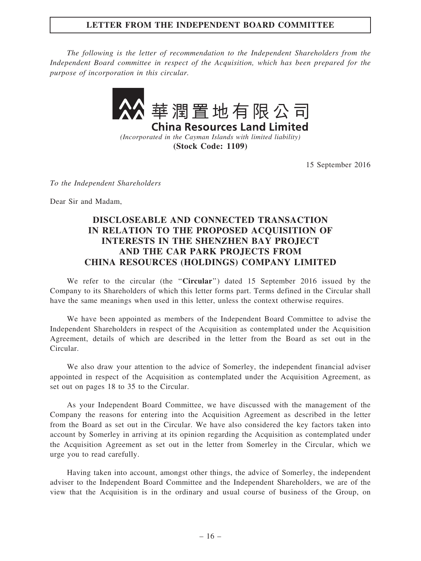## LETTER FROM THE INDEPENDENT BOARD COMMITTEE

The following is the letter of recommendation to the Independent Shareholders from the Independent Board committee in respect of the Acquisition, which has been prepared for the purpose of incorporation in this circular.



(Incorporated in the Cayman Islands with limited liability) (Stock Code: 1109)

15 September 2016

To the Independent Shareholders

Dear Sir and Madam,

# DISCLOSEABLE AND CONNECTED TRANSACTION IN RELATION TO THE PROPOSED ACQUISITION OF INTERESTS IN THE SHENZHEN BAY PROJECT AND THE CAR PARK PROJECTS FROM CHINA RESOURCES (HOLDINGS) COMPANY LIMITED

We refer to the circular (the "Circular") dated 15 September 2016 issued by the Company to its Shareholders of which this letter forms part. Terms defined in the Circular shall have the same meanings when used in this letter, unless the context otherwise requires.

We have been appointed as members of the Independent Board Committee to advise the Independent Shareholders in respect of the Acquisition as contemplated under the Acquisition Agreement, details of which are described in the letter from the Board as set out in the Circular.

We also draw your attention to the advice of Somerley, the independent financial adviser appointed in respect of the Acquisition as contemplated under the Acquisition Agreement, as set out on pages 18 to 35 to the Circular.

As your Independent Board Committee, we have discussed with the management of the Company the reasons for entering into the Acquisition Agreement as described in the letter from the Board as set out in the Circular. We have also considered the key factors taken into account by Somerley in arriving at its opinion regarding the Acquisition as contemplated under the Acquisition Agreement as set out in the letter from Somerley in the Circular, which we urge you to read carefully.

Having taken into account, amongst other things, the advice of Somerley, the independent adviser to the Independent Board Committee and the Independent Shareholders, we are of the view that the Acquisition is in the ordinary and usual course of business of the Group, on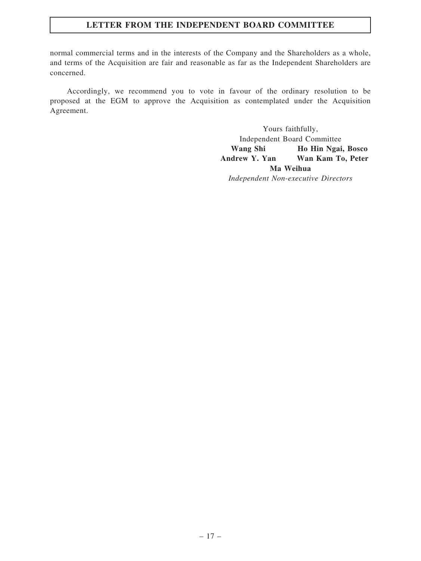# LETTER FROM THE INDEPENDENT BOARD COMMITTEE

normal commercial terms and in the interests of the Company and the Shareholders as a whole, and terms of the Acquisition are fair and reasonable as far as the Independent Shareholders are concerned.

Accordingly, we recommend you to vote in favour of the ordinary resolution to be proposed at the EGM to approve the Acquisition as contemplated under the Acquisition Agreement.

> Yours faithfully, Independent Board Committee Wang Shi Ho Hin Ngai, Bosco Andrew Y. Yan Wan Kam To, Peter Ma Weihua Independent Non-executive Directors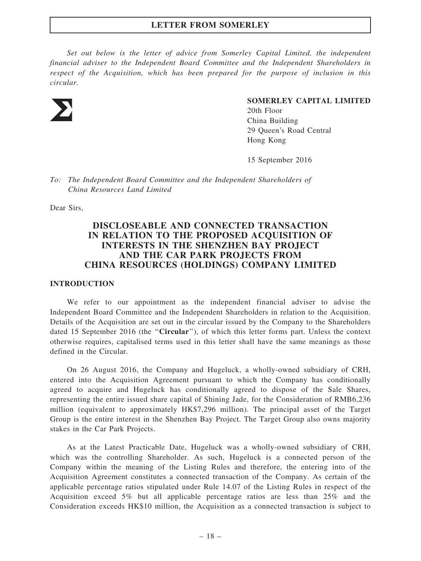Set out below is the letter of advice from Somerley Capital Limited, the independent financial adviser to the Independent Board Committee and the Independent Shareholders in respect of the Acquisition, which has been prepared for the purpose of inclusion in this circular.



#### SOMERLEY CAPITAL LIMITED

20th Floor China Building 29 Queen's Road Central Hong Kong

15 September 2016

To: The Independent Board Committee and the Independent Shareholders of China Resources Land Limited

Dear Sirs,

## DISCLOSEABLE AND CONNECTED TRANSACTION IN RELATION TO THE PROPOSED ACQUISITION OF INTERESTS IN THE SHENZHEN BAY PROJECT AND THE CAR PARK PROJECTS FROM CHINA RESOURCES (HOLDINGS) COMPANY LIMITED

### INTRODUCTION

We refer to our appointment as the independent financial adviser to advise the Independent Board Committee and the Independent Shareholders in relation to the Acquisition. Details of the Acquisition are set out in the circular issued by the Company to the Shareholders dated 15 September 2016 (the "Circular"), of which this letter forms part. Unless the context otherwise requires, capitalised terms used in this letter shall have the same meanings as those defined in the Circular.

On 26 August 2016, the Company and Hugeluck, a wholly-owned subsidiary of CRH, entered into the Acquisition Agreement pursuant to which the Company has conditionally agreed to acquire and Hugeluck has conditionally agreed to dispose of the Sale Shares, representing the entire issued share capital of Shining Jade, for the Consideration of RMB6,236 million (equivalent to approximately HK\$7,296 million). The principal asset of the Target Group is the entire interest in the Shenzhen Bay Project. The Target Group also owns majority stakes in the Car Park Projects.

As at the Latest Practicable Date, Hugeluck was a wholly-owned subsidiary of CRH, which was the controlling Shareholder. As such, Hugeluck is a connected person of the Company within the meaning of the Listing Rules and therefore, the entering into of the Acquisition Agreement constitutes a connected transaction of the Company. As certain of the applicable percentage ratios stipulated under Rule 14.07 of the Listing Rules in respect of the Acquisition exceed 5% but all applicable percentage ratios are less than 25% and the Consideration exceeds HK\$10 million, the Acquisition as a connected transaction is subject to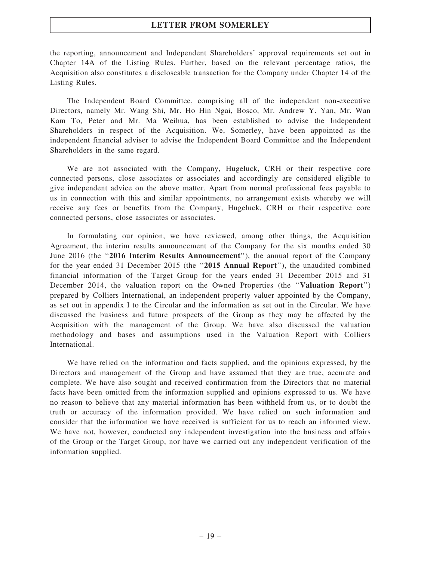the reporting, announcement and Independent Shareholders' approval requirements set out in Chapter 14A of the Listing Rules. Further, based on the relevant percentage ratios, the Acquisition also constitutes a discloseable transaction for the Company under Chapter 14 of the Listing Rules.

The Independent Board Committee, comprising all of the independent non-executive Directors, namely Mr. Wang Shi, Mr. Ho Hin Ngai, Bosco, Mr. Andrew Y. Yan, Mr. Wan Kam To, Peter and Mr. Ma Weihua, has been established to advise the Independent Shareholders in respect of the Acquisition. We, Somerley, have been appointed as the independent financial adviser to advise the Independent Board Committee and the Independent Shareholders in the same regard.

We are not associated with the Company, Hugeluck, CRH or their respective core connected persons, close associates or associates and accordingly are considered eligible to give independent advice on the above matter. Apart from normal professional fees payable to us in connection with this and similar appointments, no arrangement exists whereby we will receive any fees or benefits from the Company, Hugeluck, CRH or their respective core connected persons, close associates or associates.

In formulating our opinion, we have reviewed, among other things, the Acquisition Agreement, the interim results announcement of the Company for the six months ended 30 June 2016 (the "2016 Interim Results Announcement"), the annual report of the Company for the year ended 31 December 2015 (the "2015 Annual Report"), the unaudited combined financial information of the Target Group for the years ended 31 December 2015 and 31 December 2014, the valuation report on the Owned Properties (the "Valuation Report") prepared by Colliers International, an independent property valuer appointed by the Company, as set out in appendix I to the Circular and the information as set out in the Circular. We have discussed the business and future prospects of the Group as they may be affected by the Acquisition with the management of the Group. We have also discussed the valuation methodology and bases and assumptions used in the Valuation Report with Colliers International.

We have relied on the information and facts supplied, and the opinions expressed, by the Directors and management of the Group and have assumed that they are true, accurate and complete. We have also sought and received confirmation from the Directors that no material facts have been omitted from the information supplied and opinions expressed to us. We have no reason to believe that any material information has been withheld from us, or to doubt the truth or accuracy of the information provided. We have relied on such information and consider that the information we have received is sufficient for us to reach an informed view. We have not, however, conducted any independent investigation into the business and affairs of the Group or the Target Group, nor have we carried out any independent verification of the information supplied.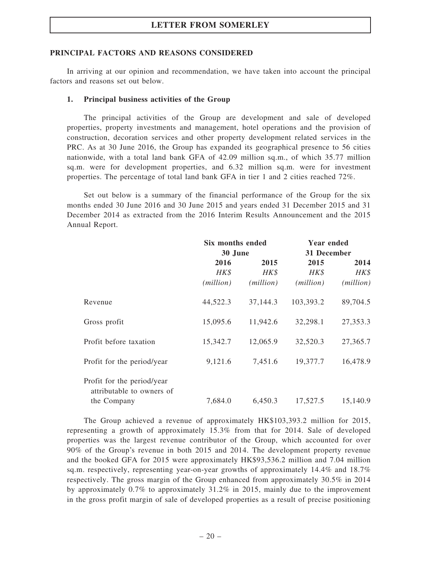### PRINCIPAL FACTORS AND REASONS CONSIDERED

In arriving at our opinion and recommendation, we have taken into account the principal factors and reasons set out below.

### 1. Principal business activities of the Group

The principal activities of the Group are development and sale of developed properties, property investments and management, hotel operations and the provision of construction, decoration services and other property development related services in the PRC. As at 30 June 2016, the Group has expanded its geographical presence to 56 cities nationwide, with a total land bank GFA of 42.09 million sq.m., of which 35.77 million sq.m. were for development properties, and 6.32 million sq.m. were for investment properties. The percentage of total land bank GFA in tier 1 and 2 cities reached 72%.

Set out below is a summary of the financial performance of the Group for the six months ended 30 June 2016 and 30 June 2015 and years ended 31 December 2015 and 31 December 2014 as extracted from the 2016 Interim Results Announcement and the 2015 Annual Report.

|                                                         | <b>Six months ended</b> |           | <b>Year ended</b> |           |  |
|---------------------------------------------------------|-------------------------|-----------|-------------------|-----------|--|
|                                                         | 30 June                 |           | 31 December       |           |  |
|                                                         | 2016                    | 2015      | 2015              | 2014      |  |
|                                                         | HK\$                    | HK\$      | HK\$              | HK\$      |  |
|                                                         | (million)               | (million) | (million)         | (million) |  |
| Revenue                                                 | 44,522.3                | 37,144.3  | 103,393.2         | 89,704.5  |  |
| Gross profit                                            | 15,095.6                | 11,942.6  | 32,298.1          | 27,353.3  |  |
| Profit before taxation                                  | 15,342.7                | 12,065.9  | 32,520.3          | 27,365.7  |  |
| Profit for the period/year                              | 9,121.6                 | 7,451.6   | 19,377.7          | 16,478.9  |  |
| Profit for the period/year<br>attributable to owners of |                         |           |                   |           |  |
| the Company                                             | 7,684.0                 | 6,450.3   | 17,527.5          | 15,140.9  |  |

The Group achieved a revenue of approximately HK\$103,393.2 million for 2015, representing a growth of approximately 15.3% from that for 2014. Sale of developed properties was the largest revenue contributor of the Group, which accounted for over 90% of the Group's revenue in both 2015 and 2014. The development property revenue and the booked GFA for 2015 were approximately HK\$93,536.2 million and 7.04 million sq.m. respectively, representing year-on-year growths of approximately 14.4% and 18.7% respectively. The gross margin of the Group enhanced from approximately 30.5% in 2014 by approximately 0.7% to approximately 31.2% in 2015, mainly due to the improvement in the gross profit margin of sale of developed properties as a result of precise positioning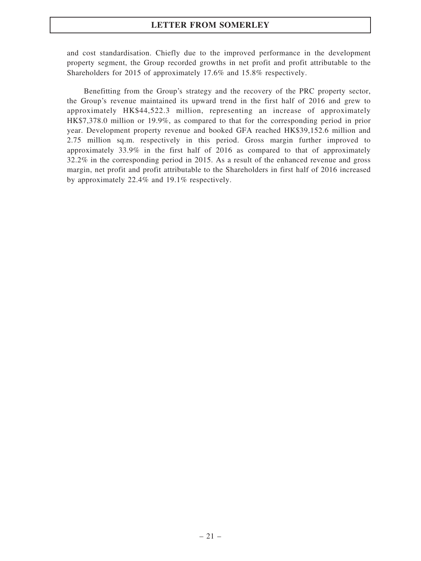and cost standardisation. Chiefly due to the improved performance in the development property segment, the Group recorded growths in net profit and profit attributable to the Shareholders for 2015 of approximately 17.6% and 15.8% respectively.

Benefitting from the Group's strategy and the recovery of the PRC property sector, the Group's revenue maintained its upward trend in the first half of 2016 and grew to approximately HK\$44,522.3 million, representing an increase of approximately HK\$7,378.0 million or 19.9%, as compared to that for the corresponding period in prior year. Development property revenue and booked GFA reached HK\$39,152.6 million and 2.75 million sq.m. respectively in this period. Gross margin further improved to approximately 33.9% in the first half of 2016 as compared to that of approximately 32.2% in the corresponding period in 2015. As a result of the enhanced revenue and gross margin, net profit and profit attributable to the Shareholders in first half of 2016 increased by approximately 22.4% and 19.1% respectively.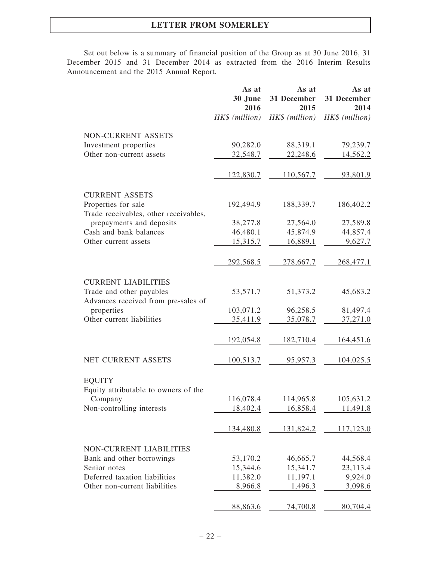Set out below is a summary of financial position of the Group as at 30 June 2016, 31 December 2015 and 31 December 2014 as extracted from the 2016 Interim Results Announcement and the 2015 Annual Report.

|                                                                 | As at<br>30 June<br>2016 | As at<br>31 December<br>2015 | As at<br>31 December<br>2014 |
|-----------------------------------------------------------------|--------------------------|------------------------------|------------------------------|
|                                                                 | HK\$ (million)           | HK\$ (million)               | HK\$ (million)               |
| NON-CURRENT ASSETS                                              |                          |                              |                              |
| Investment properties                                           | 90,282.0                 | 88,319.1                     | 79,239.7                     |
| Other non-current assets                                        | 32,548.7                 | 22,248.6                     | 14,562.2                     |
|                                                                 | 122,830.7                | 110,567.7                    | 93,801.9                     |
| <b>CURRENT ASSETS</b>                                           |                          |                              |                              |
| Properties for sale<br>Trade receivables, other receivables,    | 192,494.9                | 188,339.7                    | 186,402.2                    |
| prepayments and deposits                                        | 38,277.8                 | 27,564.0                     | 27,589.8                     |
| Cash and bank balances                                          | 46,480.1                 | 45,874.9                     | 44,857.4                     |
| Other current assets                                            | 15,315.7                 | 16,889.1                     | 9,627.7                      |
|                                                                 | 292,568.5                | 278,667.7                    | 268,477.1                    |
| <b>CURRENT LIABILITIES</b>                                      |                          |                              |                              |
| Trade and other payables<br>Advances received from pre-sales of | 53,571.7                 | 51,373.2                     | 45,683.2                     |
| properties                                                      | 103,071.2                | 96,258.5                     | 81,497.4                     |
| Other current liabilities                                       | <u>35,411.9</u>          | 35,078.7                     | 37,271.0                     |
|                                                                 | 192,054.8                | 182,710.4                    | 164,451.6                    |
| NET CURRENT ASSETS                                              | 100,513.7                | 95,957.3                     | 104,025.5                    |
| <b>EQUITY</b>                                                   |                          |                              |                              |
| Equity attributable to owners of the                            |                          |                              | 105,631.2                    |
| Company<br>Non-controlling interests                            | 116,078.4<br>18,402.4    | 114,965.8<br>16,858.4        | 11,491.8                     |
|                                                                 |                          |                              |                              |
|                                                                 | 134,480.8                | 131,824.2                    | 117,123.0                    |
| <b>NON-CURRENT LIABILITIES</b>                                  |                          |                              |                              |
| Bank and other borrowings                                       | 53,170.2                 | 46,665.7                     | 44,568.4                     |
| Senior notes                                                    | 15,344.6                 | 15,341.7                     | 23,113.4                     |
| Deferred taxation liabilities                                   | 11,382.0                 | 11,197.1                     | 9,924.0                      |
| Other non-current liabilities                                   | 8,966.8                  | 1,496.3                      | 3,098.6                      |
|                                                                 | 88,863.6                 | 74,700.8                     | 80,704.4                     |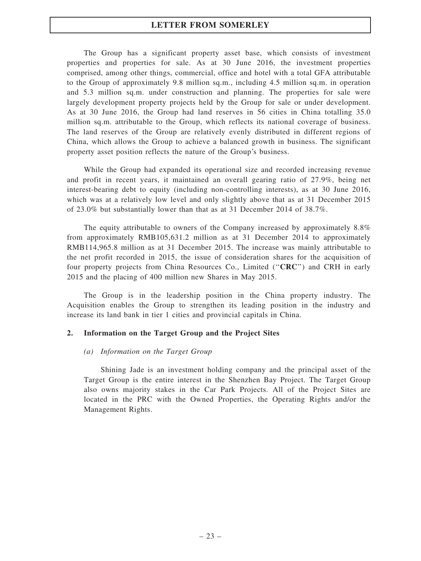The Group has a significant property asset base, which consists of investment properties and properties for sale. As at 30 June 2016, the investment properties comprised, among other things, commercial, office and hotel with a total GFA attributable to the Group of approximately 9.8 million sq.m., including 4.5 million sq.m. in operation and 5.3 million sq.m. under construction and planning. The properties for sale were largely development property projects held by the Group for sale or under development. As at 30 June 2016, the Group had land reserves in 56 cities in China totalling 35.0 million sq.m. attributable to the Group, which reflects its national coverage of business. The land reserves of the Group are relatively evenly distributed in different regions of China, which allows the Group to achieve a balanced growth in business. The significant property asset position reflects the nature of the Group's business.

While the Group had expanded its operational size and recorded increasing revenue and profit in recent years, it maintained an overall gearing ratio of 27.9%, being net interest-bearing debt to equity (including non-controlling interests), as at 30 June 2016, which was at a relatively low level and only slightly above that as at 31 December 2015 of 23.0% but substantially lower than that as at 31 December 2014 of 38.7%.

The equity attributable to owners of the Company increased by approximately 8.8% from approximately RMB105,631.2 million as at 31 December 2014 to approximately RMB114,965.8 million as at 31 December 2015. The increase was mainly attributable to the net profit recorded in 2015, the issue of consideration shares for the acquisition of four property projects from China Resources Co., Limited ("CRC") and CRH in early 2015 and the placing of 400 million new Shares in May 2015.

The Group is in the leadership position in the China property industry. The Acquisition enables the Group to strengthen its leading position in the industry and increase its land bank in tier 1 cities and provincial capitals in China.

### 2. Information on the Target Group and the Project Sites

### (a) Information on the Target Group

Shining Jade is an investment holding company and the principal asset of the Target Group is the entire interest in the Shenzhen Bay Project. The Target Group also owns majority stakes in the Car Park Projects. All of the Project Sites are located in the PRC with the Owned Properties, the Operating Rights and/or the Management Rights.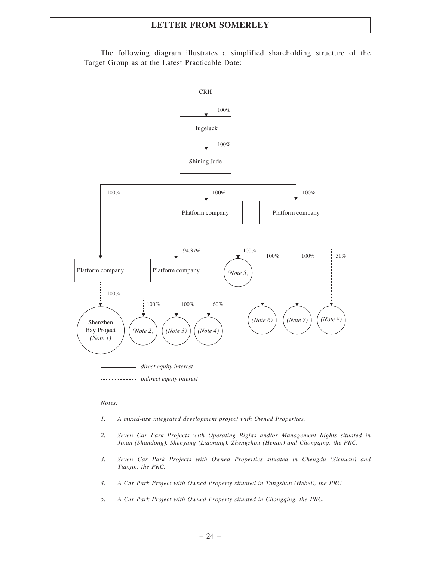

The following diagram illustrates a simplified shareholding structure of the Target Group as at the Latest Practicable Date:

#### Notes:

- 1. A mixed-use integrated development project with Owned Properties.
- 2. Seven Car Park Projects with Operating Rights and/or Management Rights situated in Jinan (Shandong), Shenyang (Liaoning), Zhengzhou (Henan) and Chongqing, the PRC.
- 3. Seven Car Park Projects with Owned Properties situated in Chengdu (Sichuan) and Tianjin, the PRC.
- 4. A Car Park Project with Owned Property situated in Tangshan (Hebei), the PRC.
- 5. A Car Park Project with Owned Property situated in Chongqing, the PRC.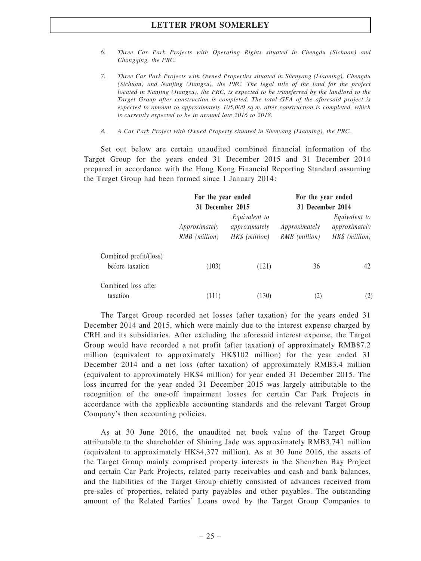- 6. Three Car Park Projects with Operating Rights situated in Chengdu (Sichuan) and Chongqing, the PRC.
- 7. Three Car Park Projects with Owned Properties situated in Shenyang (Liaoning), Chengdu (Sichuan) and Nanjing (Jiangsu), the PRC. The legal title of the land for the project located in Nanjing (Jiangsu), the PRC, is expected to be transferred by the landlord to the Target Group after construction is completed. The total GFA of the aforesaid project is expected to amount to approximately 105,000 sq.m. after construction is completed, which is currently expected to be in around late 2016 to 2018.
- 8. A Car Park Project with Owned Property situated in Shenyang (Liaoning), the PRC.

Set out below are certain unaudited combined financial information of the Target Group for the years ended 31 December 2015 and 31 December 2014 prepared in accordance with the Hong Kong Financial Reporting Standard assuming the Target Group had been formed since 1 January 2014:

|                                           | For the year ended<br>31 December 2015 |                                                  |     | For the year ended<br>31 December 2014           |  |  |
|-------------------------------------------|----------------------------------------|--------------------------------------------------|-----|--------------------------------------------------|--|--|
|                                           | Approximately<br>RMB (million)         | Equivalent to<br>approximately<br>HK\$ (million) |     | Equivalent to<br>approximately<br>HK\$ (million) |  |  |
| Combined profit/(loss)<br>before taxation | (103)                                  | (121)                                            | 36  | 42                                               |  |  |
| Combined loss after<br>taxation           | (111)                                  | (130)                                            | (2) | (2)                                              |  |  |

The Target Group recorded net losses (after taxation) for the years ended 31 December 2014 and 2015, which were mainly due to the interest expense charged by CRH and its subsidiaries. After excluding the aforesaid interest expense, the Target Group would have recorded a net profit (after taxation) of approximately RMB87.2 million (equivalent to approximately HK\$102 million) for the year ended 31 December 2014 and a net loss (after taxation) of approximately RMB3.4 million (equivalent to approximately HK\$4 million) for year ended 31 December 2015. The loss incurred for the year ended 31 December 2015 was largely attributable to the recognition of the one-off impairment losses for certain Car Park Projects in accordance with the applicable accounting standards and the relevant Target Group Company's then accounting policies.

As at 30 June 2016, the unaudited net book value of the Target Group attributable to the shareholder of Shining Jade was approximately RMB3,741 million (equivalent to approximately HK\$4,377 million). As at 30 June 2016, the assets of the Target Group mainly comprised property interests in the Shenzhen Bay Project and certain Car Park Projects, related party receivables and cash and bank balances, and the liabilities of the Target Group chiefly consisted of advances received from pre-sales of properties, related party payables and other payables. The outstanding amount of the Related Parties' Loans owed by the Target Group Companies to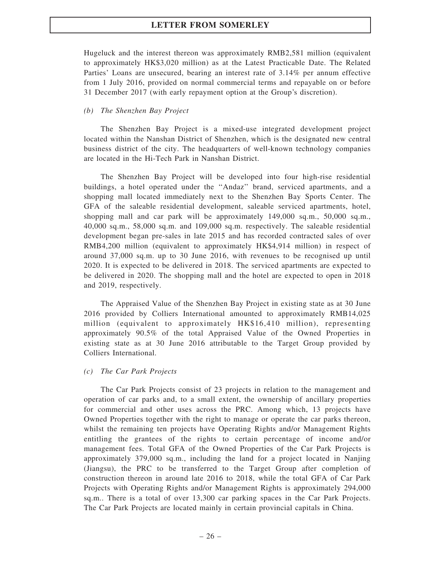Hugeluck and the interest thereon was approximately RMB2,581 million (equivalent to approximately HK\$3,020 million) as at the Latest Practicable Date. The Related Parties' Loans are unsecured, bearing an interest rate of 3.14% per annum effective from 1 July 2016, provided on normal commercial terms and repayable on or before 31 December 2017 (with early repayment option at the Group's discretion).

### (b) The Shenzhen Bay Project

The Shenzhen Bay Project is a mixed-use integrated development project located within the Nanshan District of Shenzhen, which is the designated new central business district of the city. The headquarters of well-known technology companies are located in the Hi-Tech Park in Nanshan District.

The Shenzhen Bay Project will be developed into four high-rise residential buildings, a hotel operated under the ''Andaz'' brand, serviced apartments, and a shopping mall located immediately next to the Shenzhen Bay Sports Center. The GFA of the saleable residential development, saleable serviced apartments, hotel, shopping mall and car park will be approximately 149,000 sq.m., 50,000 sq.m., 40,000 sq.m., 58,000 sq.m. and 109,000 sq.m. respectively. The saleable residential development began pre-sales in late 2015 and has recorded contracted sales of over RMB4,200 million (equivalent to approximately HK\$4,914 million) in respect of around 37,000 sq.m. up to 30 June 2016, with revenues to be recognised up until 2020. It is expected to be delivered in 2018. The serviced apartments are expected to be delivered in 2020. The shopping mall and the hotel are expected to open in 2018 and 2019, respectively.

The Appraised Value of the Shenzhen Bay Project in existing state as at 30 June 2016 provided by Colliers International amounted to approximately RMB14,025 million (equivalent to approximately HK\$16,410 million), representing approximately 90.5% of the total Appraised Value of the Owned Properties in existing state as at 30 June 2016 attributable to the Target Group provided by Colliers International.

### (c) The Car Park Projects

The Car Park Projects consist of 23 projects in relation to the management and operation of car parks and, to a small extent, the ownership of ancillary properties for commercial and other uses across the PRC. Among which, 13 projects have Owned Properties together with the right to manage or operate the car parks thereon, whilst the remaining ten projects have Operating Rights and/or Management Rights entitling the grantees of the rights to certain percentage of income and/or management fees. Total GFA of the Owned Properties of the Car Park Projects is approximately 379,000 sq.m., including the land for a project located in Nanjing (Jiangsu), the PRC to be transferred to the Target Group after completion of construction thereon in around late 2016 to 2018, while the total GFA of Car Park Projects with Operating Rights and/or Management Rights is approximately 294,000 sq.m.. There is a total of over 13,300 car parking spaces in the Car Park Projects. The Car Park Projects are located mainly in certain provincial capitals in China.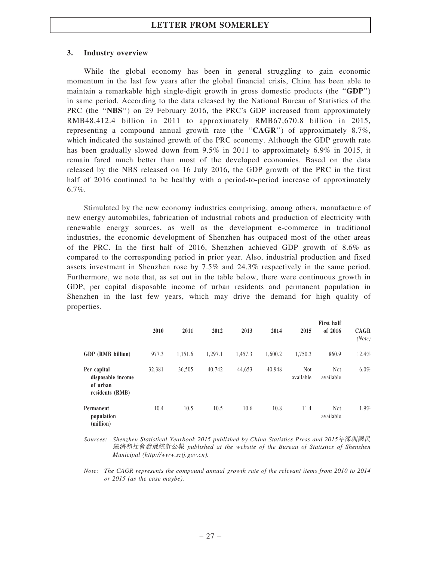### 3. Industry overview

While the global economy has been in general struggling to gain economic momentum in the last few years after the global financial crisis, China has been able to maintain a remarkable high single-digit growth in gross domestic products (the ''GDP'') in same period. According to the data released by the National Bureau of Statistics of the PRC (the "NBS") on 29 February 2016, the PRC's GDP increased from approximately RMB48,412.4 billion in 2011 to approximately RMB67,670.8 billion in 2015, representing a compound annual growth rate (the " $CAGR$ ") of approximately 8.7%, which indicated the sustained growth of the PRC economy. Although the GDP growth rate has been gradually slowed down from 9.5% in 2011 to approximately 6.9% in 2015, it remain fared much better than most of the developed economies. Based on the data released by the NBS released on 16 July 2016, the GDP growth of the PRC in the first half of 2016 continued to be healthy with a period-to-period increase of approximately 6.7%.

Stimulated by the new economy industries comprising, among others, manufacture of new energy automobiles, fabrication of industrial robots and production of electricity with renewable energy sources, as well as the development e-commerce in traditional industries, the economic development of Shenzhen has outpaced most of the other areas of the PRC. In the first half of 2016, Shenzhen achieved GDP growth of 8.6% as compared to the corresponding period in prior year. Also, industrial production and fixed assets investment in Shenzhen rose by 7.5% and 24.3% respectively in the same period. Furthermore, we note that, as set out in the table below, there were continuous growth in GDP, per capital disposable income of urban residents and permanent population in Shenzhen in the last few years, which may drive the demand for high quality of properties.

|                                                                 | 2010   | 2011    | 2012    | 2013    | 2014    | 2015             | First half<br>of 2016   | <b>CAGR</b><br>(Note) |
|-----------------------------------------------------------------|--------|---------|---------|---------|---------|------------------|-------------------------|-----------------------|
| GDP (RMB billion)                                               | 977.3  | 1,151.6 | 1,297.1 | 1,457.3 | 1.600.2 | 1,750.3          | 860.9                   | 12.4%                 |
| Per capital<br>disposable income<br>of urban<br>residents (RMB) | 32,381 | 36,505  | 40,742  | 44,653  | 40,948  | Not<br>available | <b>Not</b><br>available | $6.0\%$               |
| Permanent<br>population<br>(million)                            | 10.4   | 10.5    | 10.5    | 10.6    | 10.8    | 11.4             | <b>Not</b><br>available | 1.9%                  |

Sources: Shenzhen Statistical Yearbook 2015 published by China Statistics Press and 2015年深圳國民 經濟和社會發展統計公報 published at the website of the Bureau of Statistics of Shenzhen Municipal (http://www.sztj.gov.cn).

Note: The CAGR represents the compound annual growth rate of the relevant items from 2010 to 2014 or 2015 (as the case maybe).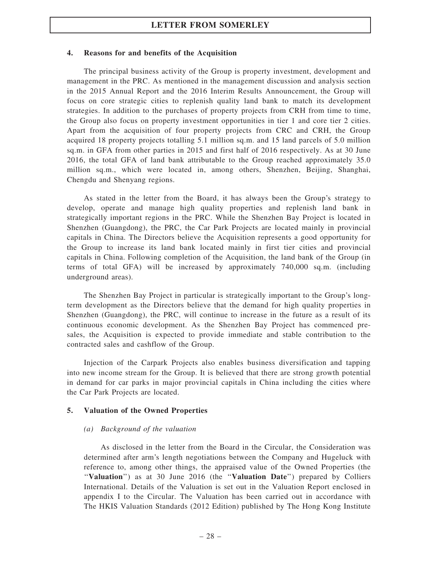#### 4. Reasons for and benefits of the Acquisition

The principal business activity of the Group is property investment, development and management in the PRC. As mentioned in the management discussion and analysis section in the 2015 Annual Report and the 2016 Interim Results Announcement, the Group will focus on core strategic cities to replenish quality land bank to match its development strategies. In addition to the purchases of property projects from CRH from time to time, the Group also focus on property investment opportunities in tier 1 and core tier 2 cities. Apart from the acquisition of four property projects from CRC and CRH, the Group acquired 18 property projects totalling 5.1 million sq.m. and 15 land parcels of 5.0 million sq.m. in GFA from other parties in 2015 and first half of 2016 respectively. As at 30 June 2016, the total GFA of land bank attributable to the Group reached approximately 35.0 million sq.m., which were located in, among others, Shenzhen, Beijing, Shanghai, Chengdu and Shenyang regions.

As stated in the letter from the Board, it has always been the Group's strategy to develop, operate and manage high quality properties and replenish land bank in strategically important regions in the PRC. While the Shenzhen Bay Project is located in Shenzhen (Guangdong), the PRC, the Car Park Projects are located mainly in provincial capitals in China. The Directors believe the Acquisition represents a good opportunity for the Group to increase its land bank located mainly in first tier cities and provincial capitals in China. Following completion of the Acquisition, the land bank of the Group (in terms of total GFA) will be increased by approximately 740,000 sq.m. (including underground areas).

The Shenzhen Bay Project in particular is strategically important to the Group's longterm development as the Directors believe that the demand for high quality properties in Shenzhen (Guangdong), the PRC, will continue to increase in the future as a result of its continuous economic development. As the Shenzhen Bay Project has commenced presales, the Acquisition is expected to provide immediate and stable contribution to the contracted sales and cashflow of the Group.

Injection of the Carpark Projects also enables business diversification and tapping into new income stream for the Group. It is believed that there are strong growth potential in demand for car parks in major provincial capitals in China including the cities where the Car Park Projects are located.

### 5. Valuation of the Owned Properties

#### (a) Background of the valuation

As disclosed in the letter from the Board in the Circular, the Consideration was determined after arm's length negotiations between the Company and Hugeluck with reference to, among other things, the appraised value of the Owned Properties (the "Valuation") as at 30 June 2016 (the "Valuation Date") prepared by Colliers International. Details of the Valuation is set out in the Valuation Report enclosed in appendix I to the Circular. The Valuation has been carried out in accordance with The HKIS Valuation Standards (2012 Edition) published by The Hong Kong Institute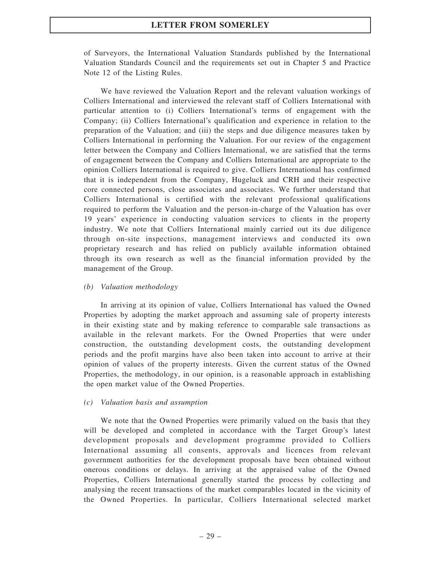of Surveyors, the International Valuation Standards published by the International Valuation Standards Council and the requirements set out in Chapter 5 and Practice Note 12 of the Listing Rules.

We have reviewed the Valuation Report and the relevant valuation workings of Colliers International and interviewed the relevant staff of Colliers International with particular attention to (i) Colliers International's terms of engagement with the Company; (ii) Colliers International's qualification and experience in relation to the preparation of the Valuation; and (iii) the steps and due diligence measures taken by Colliers International in performing the Valuation. For our review of the engagement letter between the Company and Colliers International, we are satisfied that the terms of engagement between the Company and Colliers International are appropriate to the opinion Colliers International is required to give. Colliers International has confirmed that it is independent from the Company, Hugeluck and CRH and their respective core connected persons, close associates and associates. We further understand that Colliers International is certified with the relevant professional qualifications required to perform the Valuation and the person-in-charge of the Valuation has over 19 years' experience in conducting valuation services to clients in the property industry. We note that Colliers International mainly carried out its due diligence through on-site inspections, management interviews and conducted its own proprietary research and has relied on publicly available information obtained through its own research as well as the financial information provided by the management of the Group.

### (b) Valuation methodology

In arriving at its opinion of value, Colliers International has valued the Owned Properties by adopting the market approach and assuming sale of property interests in their existing state and by making reference to comparable sale transactions as available in the relevant markets. For the Owned Properties that were under construction, the outstanding development costs, the outstanding development periods and the profit margins have also been taken into account to arrive at their opinion of values of the property interests. Given the current status of the Owned Properties, the methodology, in our opinion, is a reasonable approach in establishing the open market value of the Owned Properties.

### (c) Valuation basis and assumption

We note that the Owned Properties were primarily valued on the basis that they will be developed and completed in accordance with the Target Group's latest development proposals and development programme provided to Colliers International assuming all consents, approvals and licences from relevant government authorities for the development proposals have been obtained without onerous conditions or delays. In arriving at the appraised value of the Owned Properties, Colliers International generally started the process by collecting and analysing the recent transactions of the market comparables located in the vicinity of the Owned Properties. In particular, Colliers International selected market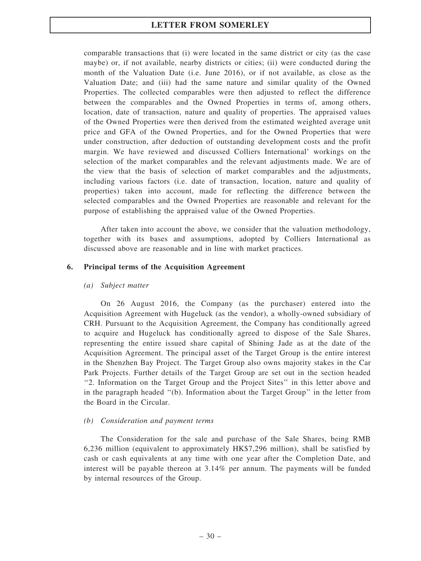comparable transactions that (i) were located in the same district or city (as the case maybe) or, if not available, nearby districts or cities; (ii) were conducted during the month of the Valuation Date (i.e. June 2016), or if not available, as close as the Valuation Date; and (iii) had the same nature and similar quality of the Owned Properties. The collected comparables were then adjusted to reflect the difference between the comparables and the Owned Properties in terms of, among others, location, date of transaction, nature and quality of properties. The appraised values of the Owned Properties were then derived from the estimated weighted average unit price and GFA of the Owned Properties, and for the Owned Properties that were under construction, after deduction of outstanding development costs and the profit margin. We have reviewed and discussed Colliers International' workings on the selection of the market comparables and the relevant adjustments made. We are of the view that the basis of selection of market comparables and the adjustments, including various factors (i.e. date of transaction, location, nature and quality of properties) taken into account, made for reflecting the difference between the selected comparables and the Owned Properties are reasonable and relevant for the purpose of establishing the appraised value of the Owned Properties.

After taken into account the above, we consider that the valuation methodology, together with its bases and assumptions, adopted by Colliers International as discussed above are reasonable and in line with market practices.

### 6. Principal terms of the Acquisition Agreement

### (a) Subject matter

On 26 August 2016, the Company (as the purchaser) entered into the Acquisition Agreement with Hugeluck (as the vendor), a wholly-owned subsidiary of CRH. Pursuant to the Acquisition Agreement, the Company has conditionally agreed to acquire and Hugeluck has conditionally agreed to dispose of the Sale Shares, representing the entire issued share capital of Shining Jade as at the date of the Acquisition Agreement. The principal asset of the Target Group is the entire interest in the Shenzhen Bay Project. The Target Group also owns majority stakes in the Car Park Projects. Further details of the Target Group are set out in the section headed ''2. Information on the Target Group and the Project Sites'' in this letter above and in the paragraph headed ''(b). Information about the Target Group'' in the letter from the Board in the Circular.

### (b) Consideration and payment terms

The Consideration for the sale and purchase of the Sale Shares, being RMB 6,236 million (equivalent to approximately HK\$7,296 million), shall be satisfied by cash or cash equivalents at any time with one year after the Completion Date, and interest will be payable thereon at 3.14% per annum. The payments will be funded by internal resources of the Group.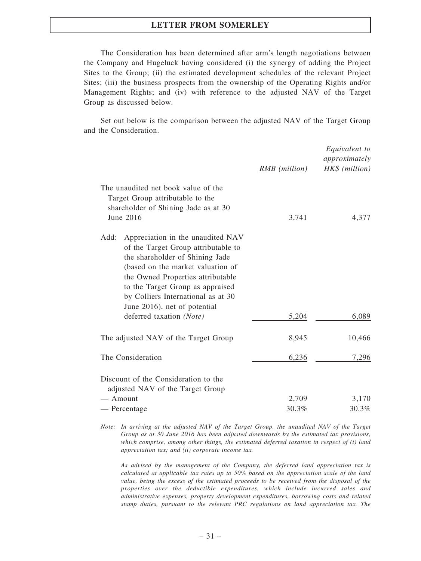The Consideration has been determined after arm's length negotiations between the Company and Hugeluck having considered (i) the synergy of adding the Project Sites to the Group; (ii) the estimated development schedules of the relevant Project Sites; (iii) the business prospects from the ownership of the Operating Rights and/or Management Rights; and (iv) with reference to the adjusted NAV of the Target Group as discussed below.

Set out below is the comparison between the adjusted NAV of the Target Group and the Consideration.

|                                                                                                                                                                                                                                                                                                         | RMB (million)  | Equivalent to<br>approximately<br>HK\$ (million) |
|---------------------------------------------------------------------------------------------------------------------------------------------------------------------------------------------------------------------------------------------------------------------------------------------------------|----------------|--------------------------------------------------|
| The unaudited net book value of the<br>Target Group attributable to the<br>shareholder of Shining Jade as at 30<br>June 2016                                                                                                                                                                            | 3,741          | 4,377                                            |
| Add:<br>Appreciation in the unaudited NAV<br>of the Target Group attributable to<br>the shareholder of Shining Jade<br>(based on the market valuation of<br>the Owned Properties attributable<br>to the Target Group as appraised<br>by Colliers International as at 30<br>June 2016), net of potential |                |                                                  |
| deferred taxation (Note)<br>The adjusted NAV of the Target Group                                                                                                                                                                                                                                        | 5,204<br>8,945 | 6,089<br>10,466                                  |
| The Consideration                                                                                                                                                                                                                                                                                       | 6,236          | 7,296                                            |
| Discount of the Consideration to the<br>adjusted NAV of the Target Group<br>$-$ Amount                                                                                                                                                                                                                  | 2,709          | 3,170                                            |
| — Percentage                                                                                                                                                                                                                                                                                            | 30.3%          | 30.3%                                            |

Note: In arriving at the adjusted NAV of the Target Group, the unaudited NAV of the Target Group as at 30 June 2016 has been adjusted downwards by the estimated tax provisions, which comprise, among other things, the estimated deferred taxation in respect of  $(i)$  land appreciation tax; and (ii) corporate income tax.

As advised by the management of the Company, the deferred land appreciation tax is calculated at applicable tax rates up to 50% based on the appreciation scale of the land value, being the excess of the estimated proceeds to be received from the disposal of the properties over the deductible expenditures, which include incurred sales and administrative expenses, property development expenditures, borrowing costs and related stamp duties, pursuant to the relevant PRC regulations on land appreciation tax. The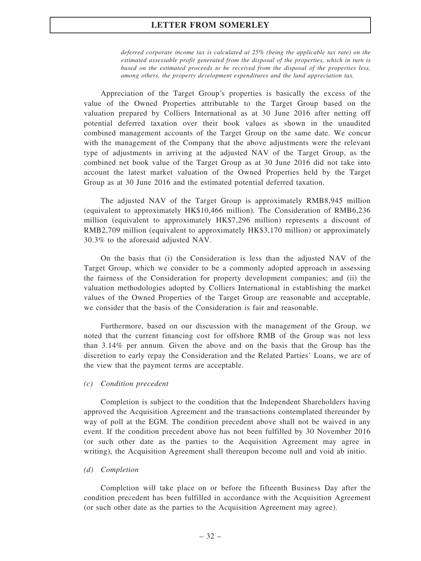deferred corporate income tax is calculated at 25% (being the applicable tax rate) on the estimated assessable profit generated from the disposal of the properties, which in turn is based on the estimated proceeds to be received from the disposal of the properties less, among others, the property development expenditures and the land appreciation tax.

Appreciation of the Target Group's properties is basically the excess of the value of the Owned Properties attributable to the Target Group based on the valuation prepared by Colliers International as at 30 June 2016 after netting off potential deferred taxation over their book values as shown in the unaudited combined management accounts of the Target Group on the same date. We concur with the management of the Company that the above adjustments were the relevant type of adjustments in arriving at the adjusted NAV of the Target Group, as the combined net book value of the Target Group as at 30 June 2016 did not take into account the latest market valuation of the Owned Properties held by the Target Group as at 30 June 2016 and the estimated potential deferred taxation.

The adjusted NAV of the Target Group is approximately RMB8,945 million (equivalent to approximately HK\$10,466 million). The Consideration of RMB6,236 million (equivalent to approximately HK\$7,296 million) represents a discount of RMB2,709 million (equivalent to approximately HK\$3,170 million) or approximately 30.3% to the aforesaid adjusted NAV.

On the basis that (i) the Consideration is less than the adjusted NAV of the Target Group, which we consider to be a commonly adopted approach in assessing the fairness of the Consideration for property development companies; and (ii) the valuation methodologies adopted by Colliers International in establishing the market values of the Owned Properties of the Target Group are reasonable and acceptable, we consider that the basis of the Consideration is fair and reasonable.

Furthermore, based on our discussion with the management of the Group, we noted that the current financing cost for offshore RMB of the Group was not less than 3.14% per annum. Given the above and on the basis that the Group has the discretion to early repay the Consideration and the Related Parties' Loans, we are of the view that the payment terms are acceptable.

#### (c) Condition precedent

Completion is subject to the condition that the Independent Shareholders having approved the Acquisition Agreement and the transactions contemplated thereunder by way of poll at the EGM. The condition precedent above shall not be waived in any event. If the condition precedent above has not been fulfilled by 30 November 2016 (or such other date as the parties to the Acquisition Agreement may agree in writing), the Acquisition Agreement shall thereupon become null and void ab initio.

#### (d) Completion

Completion will take place on or before the fifteenth Business Day after the condition precedent has been fulfilled in accordance with the Acquisition Agreement (or such other date as the parties to the Acquisition Agreement may agree).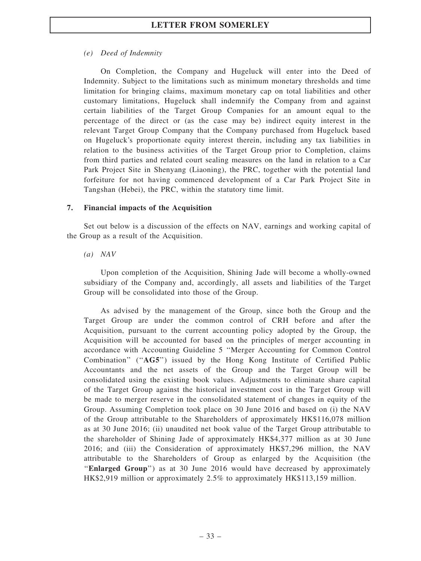### (e) Deed of Indemnity

On Completion, the Company and Hugeluck will enter into the Deed of Indemnity. Subject to the limitations such as minimum monetary thresholds and time limitation for bringing claims, maximum monetary cap on total liabilities and other customary limitations, Hugeluck shall indemnify the Company from and against certain liabilities of the Target Group Companies for an amount equal to the percentage of the direct or (as the case may be) indirect equity interest in the relevant Target Group Company that the Company purchased from Hugeluck based on Hugeluck's proportionate equity interest therein, including any tax liabilities in relation to the business activities of the Target Group prior to Completion, claims from third parties and related court sealing measures on the land in relation to a Car Park Project Site in Shenyang (Liaoning), the PRC, together with the potential land forfeiture for not having commenced development of a Car Park Project Site in Tangshan (Hebei), the PRC, within the statutory time limit.

### 7. Financial impacts of the Acquisition

Set out below is a discussion of the effects on NAV, earnings and working capital of the Group as a result of the Acquisition.

### (a) NAV

Upon completion of the Acquisition, Shining Jade will become a wholly-owned subsidiary of the Company and, accordingly, all assets and liabilities of the Target Group will be consolidated into those of the Group.

As advised by the management of the Group, since both the Group and the Target Group are under the common control of CRH before and after the Acquisition, pursuant to the current accounting policy adopted by the Group, the Acquisition will be accounted for based on the principles of merger accounting in accordance with Accounting Guideline 5 ''Merger Accounting for Common Control Combination" ("AG5") issued by the Hong Kong Institute of Certified Public Accountants and the net assets of the Group and the Target Group will be consolidated using the existing book values. Adjustments to eliminate share capital of the Target Group against the historical investment cost in the Target Group will be made to merger reserve in the consolidated statement of changes in equity of the Group. Assuming Completion took place on 30 June 2016 and based on (i) the NAV of the Group attributable to the Shareholders of approximately HK\$116,078 million as at 30 June 2016; (ii) unaudited net book value of the Target Group attributable to the shareholder of Shining Jade of approximately HK\$4,377 million as at 30 June 2016; and (iii) the Consideration of approximately HK\$7,296 million, the NAV attributable to the Shareholders of Group as enlarged by the Acquisition (the ''Enlarged Group'') as at 30 June 2016 would have decreased by approximately HK\$2,919 million or approximately 2.5% to approximately HK\$113,159 million.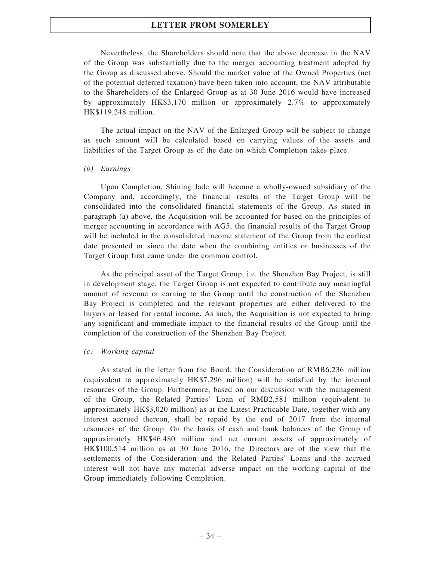Nevertheless, the Shareholders should note that the above decrease in the NAV of the Group was substantially due to the merger accounting treatment adopted by the Group as discussed above. Should the market value of the Owned Properties (net of the potential deferred taxation) have been taken into account, the NAV attributable to the Shareholders of the Enlarged Group as at 30 June 2016 would have increased by approximately HK\$3,170 million or approximately 2.7% to approximately HK\$119,248 million.

The actual impact on the NAV of the Enlarged Group will be subject to change as such amount will be calculated based on carrying values of the assets and liabilities of the Target Group as of the date on which Completion takes place.

#### (b) Earnings

Upon Completion, Shining Jade will become a wholly-owned subsidiary of the Company and, accordingly, the financial results of the Target Group will be consolidated into the consolidated financial statements of the Group. As stated in paragraph (a) above, the Acquisition will be accounted for based on the principles of merger accounting in accordance with AG5, the financial results of the Target Group will be included in the consolidated income statement of the Group from the earliest date presented or since the date when the combining entities or businesses of the Target Group first came under the common control.

As the principal asset of the Target Group, i.e. the Shenzhen Bay Project, is still in development stage, the Target Group is not expected to contribute any meaningful amount of revenue or earning to the Group until the construction of the Shenzhen Bay Project is completed and the relevant properties are either delivered to the buyers or leased for rental income. As such, the Acquisition is not expected to bring any significant and immediate impact to the financial results of the Group until the completion of the construction of the Shenzhen Bay Project.

### (c) Working capital

As stated in the letter from the Board, the Consideration of RMB6,236 million (equivalent to approximately HK\$7,296 million) will be satisfied by the internal resources of the Group. Furthermore, based on our discussion with the management of the Group, the Related Parties' Loan of RMB2,581 million (equivalent to approximately HK\$3,020 million) as at the Latest Practicable Date, together with any interest accrued thereon, shall be repaid by the end of 2017 from the internal resources of the Group. On the basis of cash and bank balances of the Group of approximately HK\$46,480 million and net current assets of approximately of HK\$100,514 million as at 30 June 2016, the Directors are of the view that the settlements of the Consideration and the Related Parties' Loans and the accrued interest will not have any material adverse impact on the working capital of the Group immediately following Completion.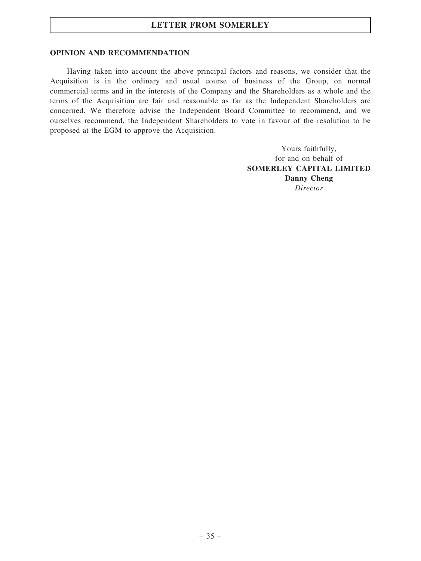# LETTER FROM SOMERLEY

## OPINION AND RECOMMENDATION

Having taken into account the above principal factors and reasons, we consider that the Acquisition is in the ordinary and usual course of business of the Group, on normal commercial terms and in the interests of the Company and the Shareholders as a whole and the terms of the Acquisition are fair and reasonable as far as the Independent Shareholders are concerned. We therefore advise the Independent Board Committee to recommend, and we ourselves recommend, the Independent Shareholders to vote in favour of the resolution to be proposed at the EGM to approve the Acquisition.

> Yours faithfully, for and on behalf of SOMERLEY CAPITAL LIMITED Danny Cheng Director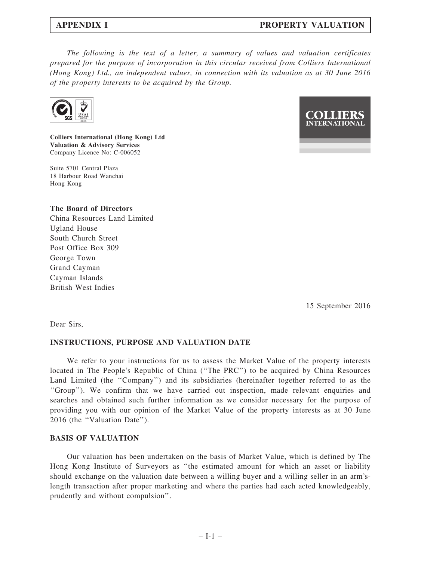The following is the text of a letter, a summary of values and valuation certificates prepared for the purpose of incorporation in this circular received from Colliers International (Hong Kong) Ltd., an independent valuer, in connection with its valuation as at 30 June 2016 of the property interests to be acquired by the Group.



Colliers International (Hong Kong) Ltd Valuation & Advisory Services Company Licence No: C-006052

Suite 5701 Central Plaza 18 Harbour Road Wanchai Hong Kong

### The Board of Directors

China Resources Land Limited Ugland House South Church Street Post Office Box 309 George Town Grand Cayman Cayman Islands British West Indies



15 September 2016

Dear Sirs,

### INSTRUCTIONS, PURPOSE AND VALUATION DATE

We refer to your instructions for us to assess the Market Value of the property interests located in The People's Republic of China (''The PRC'') to be acquired by China Resources Land Limited (the "Company") and its subsidiaries (hereinafter together referred to as the ''Group''). We confirm that we have carried out inspection, made relevant enquiries and searches and obtained such further information as we consider necessary for the purpose of providing you with our opinion of the Market Value of the property interests as at 30 June 2016 (the ''Valuation Date'').

## BASIS OF VALUATION

Our valuation has been undertaken on the basis of Market Value, which is defined by The Hong Kong Institute of Surveyors as ''the estimated amount for which an asset or liability should exchange on the valuation date between a willing buyer and a willing seller in an arm'slength transaction after proper marketing and where the parties had each acted knowledgeably, prudently and without compulsion''.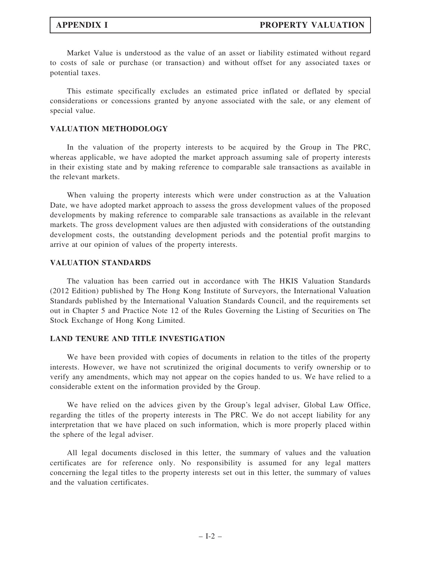Market Value is understood as the value of an asset or liability estimated without regard to costs of sale or purchase (or transaction) and without offset for any associated taxes or potential taxes.

This estimate specifically excludes an estimated price inflated or deflated by special considerations or concessions granted by anyone associated with the sale, or any element of special value.

## VALUATION METHODOLOGY

In the valuation of the property interests to be acquired by the Group in The PRC, whereas applicable, we have adopted the market approach assuming sale of property interests in their existing state and by making reference to comparable sale transactions as available in the relevant markets.

When valuing the property interests which were under construction as at the Valuation Date, we have adopted market approach to assess the gross development values of the proposed developments by making reference to comparable sale transactions as available in the relevant markets. The gross development values are then adjusted with considerations of the outstanding development costs, the outstanding development periods and the potential profit margins to arrive at our opinion of values of the property interests.

## VALUATION STANDARDS

The valuation has been carried out in accordance with The HKIS Valuation Standards (2012 Edition) published by The Hong Kong Institute of Surveyors, the International Valuation Standards published by the International Valuation Standards Council, and the requirements set out in Chapter 5 and Practice Note 12 of the Rules Governing the Listing of Securities on The Stock Exchange of Hong Kong Limited.

## LAND TENURE AND TITLE INVESTIGATION

We have been provided with copies of documents in relation to the titles of the property interests. However, we have not scrutinized the original documents to verify ownership or to verify any amendments, which may not appear on the copies handed to us. We have relied to a considerable extent on the information provided by the Group.

We have relied on the advices given by the Group's legal adviser, Global Law Office, regarding the titles of the property interests in The PRC. We do not accept liability for any interpretation that we have placed on such information, which is more properly placed within the sphere of the legal adviser.

All legal documents disclosed in this letter, the summary of values and the valuation certificates are for reference only. No responsibility is assumed for any legal matters concerning the legal titles to the property interests set out in this letter, the summary of values and the valuation certificates.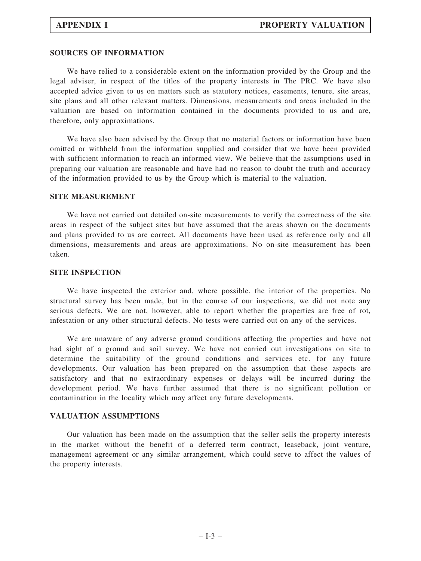## SOURCES OF INFORMATION

We have relied to a considerable extent on the information provided by the Group and the legal adviser, in respect of the titles of the property interests in The PRC. We have also accepted advice given to us on matters such as statutory notices, easements, tenure, site areas, site plans and all other relevant matters. Dimensions, measurements and areas included in the valuation are based on information contained in the documents provided to us and are, therefore, only approximations.

We have also been advised by the Group that no material factors or information have been omitted or withheld from the information supplied and consider that we have been provided with sufficient information to reach an informed view. We believe that the assumptions used in preparing our valuation are reasonable and have had no reason to doubt the truth and accuracy of the information provided to us by the Group which is material to the valuation.

### SITE MEASUREMENT

We have not carried out detailed on-site measurements to verify the correctness of the site areas in respect of the subject sites but have assumed that the areas shown on the documents and plans provided to us are correct. All documents have been used as reference only and all dimensions, measurements and areas are approximations. No on-site measurement has been taken.

## SITE INSPECTION

We have inspected the exterior and, where possible, the interior of the properties. No structural survey has been made, but in the course of our inspections, we did not note any serious defects. We are not, however, able to report whether the properties are free of rot, infestation or any other structural defects. No tests were carried out on any of the services.

We are unaware of any adverse ground conditions affecting the properties and have not had sight of a ground and soil survey. We have not carried out investigations on site to determine the suitability of the ground conditions and services etc. for any future developments. Our valuation has been prepared on the assumption that these aspects are satisfactory and that no extraordinary expenses or delays will be incurred during the development period. We have further assumed that there is no significant pollution or contamination in the locality which may affect any future developments.

### VALUATION ASSUMPTIONS

Our valuation has been made on the assumption that the seller sells the property interests in the market without the benefit of a deferred term contract, leaseback, joint venture, management agreement or any similar arrangement, which could serve to affect the values of the property interests.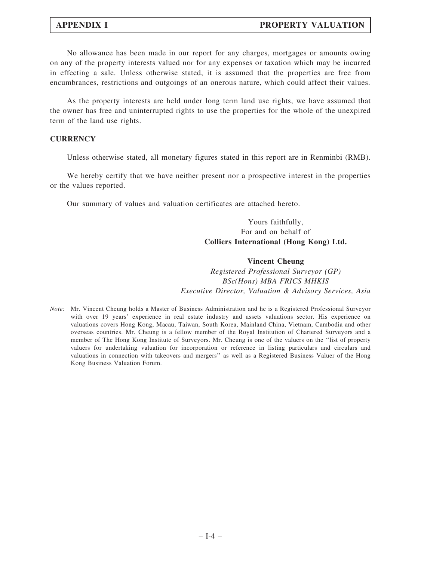No allowance has been made in our report for any charges, mortgages or amounts owing on any of the property interests valued nor for any expenses or taxation which may be incurred in effecting a sale. Unless otherwise stated, it is assumed that the properties are free from encumbrances, restrictions and outgoings of an onerous nature, which could affect their values.

As the property interests are held under long term land use rights, we have assumed that the owner has free and uninterrupted rights to use the properties for the whole of the unexpired term of the land use rights.

## **CURRENCY**

Unless otherwise stated, all monetary figures stated in this report are in Renminbi (RMB).

We hereby certify that we have neither present nor a prospective interest in the properties or the values reported.

Our summary of values and valuation certificates are attached hereto.

# Yours faithfully, For and on behalf of Colliers International (Hong Kong) Ltd.

### Vincent Cheung

Registered Professional Surveyor (GP) BSc(Hons) MBA FRICS MHKIS Executive Director, Valuation & Advisory Services, Asia

Note: Mr. Vincent Cheung holds a Master of Business Administration and he is a Registered Professional Surveyor with over 19 years' experience in real estate industry and assets valuations sector. His experience on valuations covers Hong Kong, Macau, Taiwan, South Korea, Mainland China, Vietnam, Cambodia and other overseas countries. Mr. Cheung is a fellow member of the Royal Institution of Chartered Surveyors and a member of The Hong Kong Institute of Surveyors. Mr. Cheung is one of the valuers on the ''list of property valuers for undertaking valuation for incorporation or reference in listing particulars and circulars and valuations in connection with takeovers and mergers'' as well as a Registered Business Valuer of the Hong Kong Business Valuation Forum.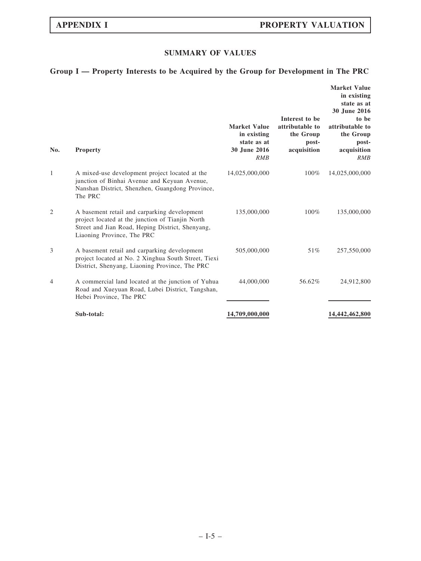# SUMMARY OF VALUES

# Group I — Property Interests to be Acquired by the Group for Development in The PRC

| No.            | <b>Property</b>                                                                                                                                                                    | <b>Market Value</b><br>in existing<br>state as at<br>30 June 2016<br>RMB | Interest to be<br>attributable to<br>the Group<br>post-<br>acquisition | <b>Market Value</b><br>in existing<br>state as at<br>30 June 2016<br>to be<br>attributable to<br>the Group<br>post-<br>acquisition<br>RMB |
|----------------|------------------------------------------------------------------------------------------------------------------------------------------------------------------------------------|--------------------------------------------------------------------------|------------------------------------------------------------------------|-------------------------------------------------------------------------------------------------------------------------------------------|
| 1              | A mixed-use development project located at the<br>junction of Binhai Avenue and Keyuan Avenue,<br>Nanshan District, Shenzhen, Guangdong Province,<br>The PRC                       | 14,025,000,000                                                           | 100%                                                                   | 14,025,000,000                                                                                                                            |
| $\overline{2}$ | A basement retail and carparking development<br>project located at the junction of Tianjin North<br>Street and Jian Road, Heping District, Shenyang,<br>Liaoning Province, The PRC | 135,000,000                                                              | 100%                                                                   | 135,000,000                                                                                                                               |
| 3              | A basement retail and carparking development<br>project located at No. 2 Xinghua South Street, Tiexi<br>District, Shenyang, Liaoning Province, The PRC                             | 505,000,000                                                              | 51%                                                                    | 257,550,000                                                                                                                               |
| 4              | A commercial land located at the junction of Yuhua<br>Road and Xueyuan Road, Lubei District, Tangshan,<br>Hebei Province, The PRC                                                  | 44,000,000                                                               | 56.62%                                                                 | 24,912,800                                                                                                                                |
|                | Sub-total:                                                                                                                                                                         | 14,709,000,000                                                           |                                                                        | 14,442,462,800                                                                                                                            |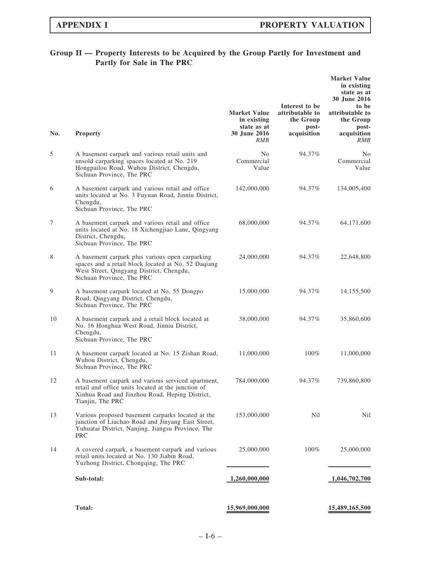# Group II — Property Interests to be Acquired by the Group Partly for Investment and Partly for Sale in The PRC

| No. | <b>Property</b>                                                                                                                                                                 | <b>Market Value</b><br>in existing<br>state as at<br><b>30 June 2016</b><br><b>RMB</b> | Interest to be<br>attributable to<br>the Group<br>post-<br>acquisition | <b>Market Value</b><br>in existing<br>state as at<br>30 June 2016<br>to be<br>attributable to<br>the Group<br>post-<br>acquisition<br><i>RMB</i> |
|-----|---------------------------------------------------------------------------------------------------------------------------------------------------------------------------------|----------------------------------------------------------------------------------------|------------------------------------------------------------------------|--------------------------------------------------------------------------------------------------------------------------------------------------|
| 5   | A basement carpark and various retail units and<br>unsold carparking spaces located at No. 219<br>Hongpailou Road, Wuhou District, Chengdu,<br>Sichuan Province, The PRC        | N <sub>0</sub><br>Commercial<br>Value                                                  | 94.37%                                                                 | No<br>Commercial<br>Value                                                                                                                        |
| 6   | A basement carpark and various retail and office<br>units located at No. 3 Fuyuan Road, Jinniu District,<br>Chengdu,<br>Sichuan Province, The PRC                               | 142,000,000                                                                            | 94.37%                                                                 | 134,005,400                                                                                                                                      |
| 7   | A basement carpark and various retail and office<br>units located at No. 18 Xichengjiao Lane, Qingyang<br>District, Chengdu,<br>Sichuan Province, The PRC                       | 68,000,000                                                                             | 94.37%                                                                 | 64, 171, 600                                                                                                                                     |
| 8   | A basement carpark plus various open carparking<br>spaces and a retail block located at No. 52 Daqiang<br>West Street, Qingyang District, Chengdu,<br>Sichuan Province, The PRC | 24,000,000                                                                             | 94.37%                                                                 | 22,648,800                                                                                                                                       |
| 9   | A basement carpark located at No. 55 Dongpo<br>Road, Qingyang District, Chengdu,<br>Sichuan Province, The PRC                                                                   | 15,000,000                                                                             | 94.37%                                                                 | 14,155,500                                                                                                                                       |
| 10  | A basement carpark and a retail block located at<br>No. 16 Honghua West Road, Jinniu District,<br>Chengdu,<br>Sichuan Province, The PRC                                         | 38,000,000                                                                             | 94.37%                                                                 | 35,860,600                                                                                                                                       |
| 11  | A basement carpark located at No. 15 Zishan Road,<br>Wuhou District, Chengdu,<br>Sichuan Province, The PRC                                                                      | 11,000,000                                                                             | 100%                                                                   | 11,000,000                                                                                                                                       |
| 12  | A basement carpark and various serviced apartment,<br>retail and office units located at the junction of<br>Xinhua Road and Jinzhou Road, Heping District,<br>Tianjin, The PRC  | 784,000,000                                                                            | 94.37%                                                                 | 739,860,800                                                                                                                                      |
| 13  | Various proposed basement carparks located at the<br>junction of Liuchao Road and Jinyang East Street,<br>Yuhuatai District, Nanjing, Jiangsu Province, The<br><b>PRC</b>       | 153,000,000                                                                            | <b>Nil</b>                                                             | Nil                                                                                                                                              |
| 14  | A covered carpark, a basement carpark and various<br>retail units located at No. 130 Jiabin Road,<br>Yuzhong District, Chongqing, The PRC                                       | 25,000,000                                                                             | $100\%$                                                                | 25,000,000                                                                                                                                       |
|     | Sub-total:                                                                                                                                                                      | 1,260,000,000                                                                          |                                                                        | 1,046,702,700                                                                                                                                    |
|     | Total:                                                                                                                                                                          | 15,969,000,000                                                                         |                                                                        | 15,489,165,500                                                                                                                                   |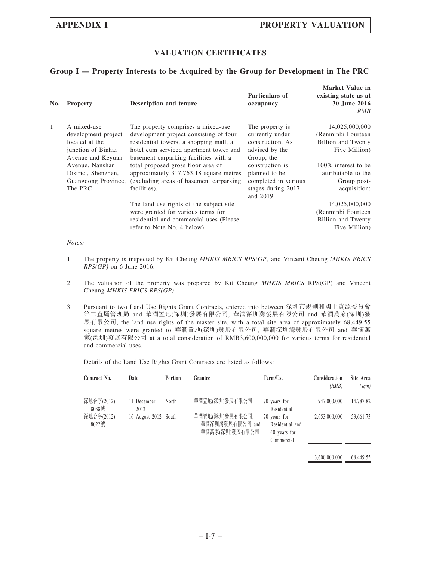## VALUATION CERTIFICATES

## Group I — Property Interests to be Acquired by the Group for Development in The PRC

| No. | <b>Property</b>                                                                                 | <b>Description and tenure</b>                                                                                                                                                                             | Particulars of<br>occupancy                                                                 | Market Value in<br>existing state as at<br>30 June 2016<br>RMB                      |
|-----|-------------------------------------------------------------------------------------------------|-----------------------------------------------------------------------------------------------------------------------------------------------------------------------------------------------------------|---------------------------------------------------------------------------------------------|-------------------------------------------------------------------------------------|
| 1   | A mixed-use<br>development project<br>located at the<br>junction of Binhai<br>Avenue and Keyuan | The property comprises a mixed-use<br>development project consisting of four<br>residential towers, a shopping mall, a<br>hotel cum serviced apartment tower and<br>basement carparking facilities with a | The property is.<br>currently under<br>construction. As<br>advised by the<br>Group, the     | 14,025,000,000<br>(Renminbi Fourteen)<br><b>Billion</b> and Twenty<br>Five Million) |
|     | Avenue, Nanshan<br>District, Shenzhen,<br>Guangdong Province,<br>The PRC                        | total proposed gross floor area of<br>approximately 317,763.18 square metres<br>(excluding areas of basement carparking)<br>facilities).                                                                  | construction is<br>planned to be<br>completed in various<br>stages during 2017<br>and 2019. | 100% interest to be<br>attributable to the<br>Group post-<br>acquisition:           |
|     |                                                                                                 | The land use rights of the subject site<br>were granted for various terms for<br>residential and commercial uses (Please)<br>refer to Note No. 4 below).                                                  |                                                                                             | 14,025,000,000<br>(Renminbi Fourteen)<br><b>Billion and Twenty</b><br>Five Million) |

Notes:

- 1. The property is inspected by Kit Cheung MHKIS MRICS RPS(GP) and Vincent Cheung MHKIS FRICS RPS(GP) on 6 June 2016.
- 2. The valuation of the property was prepared by Kit Cheung MHKIS MRICS RPS(GP) and Vincent Cheung MHKIS FRICS RPS(GP).
- 3. Pursuant to two Land Use Rights Grant Contracts, entered into between 深圳市規劃和國土資源委員會 第二直屬管理局 and 華潤置地(深圳)發展有限公司, 華潤深圳灣發展有限公司 and 華潤萬家(深圳)發 展有限公司, the land use rights of the master site, with a total site area of approximately 68,449.55 square metres were granted to 華潤置地(深圳)發展有限公司, 華潤深圳灣發展有限公司 and 華潤萬 家(深圳)發展有限公司 at a total consideration of RMB3,600,000,000 for various terms for residential and commercial uses.

Details of the Land Use Rights Grant Contracts are listed as follows:

| Contract No.        | Date                 | Portion | Grantee                                              | Term/Use                                                      | Consideration<br>(RMB) | Site Area<br>(sqm) |
|---------------------|----------------------|---------|------------------------------------------------------|---------------------------------------------------------------|------------------------|--------------------|
| 深地合字(2012)<br>8038號 | 11 December<br>2012  | North   | 華潤置地(深圳)發展有限公司                                       | 70 years for<br>Residential                                   | 947,000,000            | 14,787.82          |
| 深地合字(2012)<br>8022號 | 16 August 2012 South |         | 華潤置地(深圳)發展有限公司,<br>華潤深圳灣發展有限公司 and<br>華潤萬家(深圳)發展有限公司 | 70 years for<br>Residential and<br>40 years for<br>Commercial | 2.653,000,000          | 53,661.73          |
|                     |                      |         |                                                      |                                                               | 3,600,000,000          | 68,449.55          |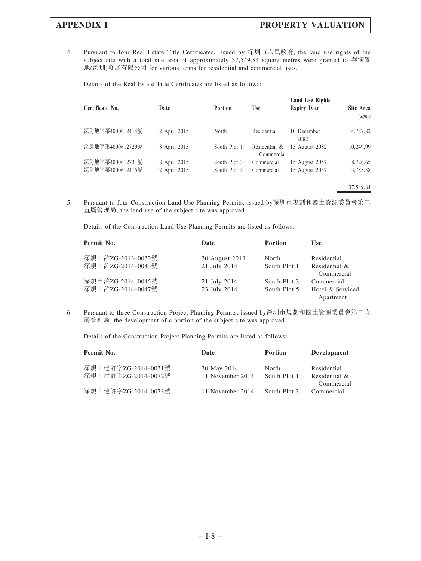4. Pursuant to four Real Estate Title Certificates, issued by 深圳市人民政府, the land use rights of the subject site with a total site area of approximately 37,549.84 square metres were granted to 華潤置 地(深圳)發展有限公司 for various terms for residential and commercial uses.

Details of the Real Estate Title Certificates are listed as follows:

| Certificate No.  | Date         | Portion      | <b>Use</b>                  | <b>Land Use Rights</b><br><b>Expiry Date</b> | Site Area<br>(sqm) |
|------------------|--------------|--------------|-----------------------------|----------------------------------------------|--------------------|
| 深房地字第4000612414號 | 2 April 2015 | North        | Residential                 | 10 December<br>2082                          | 14,787.82          |
| 深房地字第4000612729號 | 8 April 2015 | South Plot 1 | Residential &<br>Commercial | 15 August 2082                               | 10,249.99          |
| 深房地字第4000612731號 | 8 April 2015 | South Plot 3 | Commercial                  | 15 August 2052                               | 8,726.65           |
| 深房地字第4000612415號 | 2 April 2015 | South Plot 5 | Commercial                  | 15 August 2052                               | 3,785.38           |
|                  |              |              |                             |                                              | 37,549.84          |

5. Pursuant to four Construction Land Use Planning Permits, issued by深圳市規劃和國土資源委員會第二 直屬管理局, the land use of the subject site was approved.

Details of the Construction Land Use Planning Permits are listed as follows:

| Permit No.                             | Date                           | <b>Portion</b>               | Use                                         |
|----------------------------------------|--------------------------------|------------------------------|---------------------------------------------|
| 深規土許ZG-2013-0032號<br>深規土許ZG-2014-0043號 | 30 August 2013<br>21 July 2014 | North<br>South Plot 1        | Residential<br>Residential &<br>Commercial  |
| 深規土許ZG-2014–0045號<br>深規土許ZG-2014-0047號 | 21 July 2014<br>23 July 2014   | South Plot 3<br>South Plot 5 | Commercial<br>Hotel & Serviced<br>Apartment |

6. Pursuant to three Construction Project Planning Permits, issued by深圳市規劃和國土資源委員會第二直 屬管理局, the development of a portion of the subject site was approved.

Details of the Construction Project Planning Permits are listed as follows:

| Permit No.                                 | Date                            | <b>Portion</b>        | Development                                |
|--------------------------------------------|---------------------------------|-----------------------|--------------------------------------------|
| 深規土建許字ZG-2014-0031號<br>深規土建許字ZG-2014-0072號 | 30 May 2014<br>11 November 2014 | North<br>South Plot 1 | Residential<br>Residential &<br>Commercial |
| 深規土建許字ZG-2014-0073號                        | 11 November 2014                | South Plot 3          | Commercial                                 |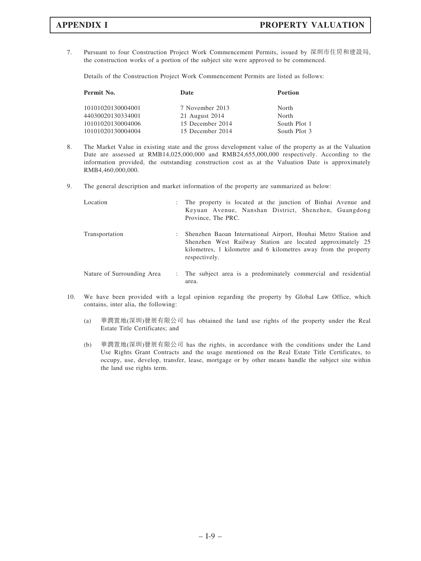7. Pursuant to four Construction Project Work Commencement Permits, issued by 深圳市住房和建設局, the construction works of a portion of the subject site were approved to be commenced.

Details of the Construction Project Work Commencement Permits are listed as follows:

| Permit No.        | Date             | Portion      |
|-------------------|------------------|--------------|
| 10101020130004001 | 7 November 2013  | North        |
| 44030020130334001 | 21 August 2014   | North        |
| 10101020130004006 | 15 December 2014 | South Plot 1 |
| 10101020130004004 | 15 December 2014 | South Plot 3 |

- 8. The Market Value in existing state and the gross development value of the property as at the Valuation Date are assessed at RMB14,025,000,000 and RMB24,655,000,000 respectively. According to the information provided, the outstanding construction cost as at the Valuation Date is approximately RMB4,460,000,000.
- 9. The general description and market information of the property are summarized as below:

| Location                   |   | : The property is located at the junction of Binhai Avenue and<br>Keyuan Avenue, Nanshan District, Shenzhen, Guangdong<br>Province, The PRC.                                                                     |
|----------------------------|---|------------------------------------------------------------------------------------------------------------------------------------------------------------------------------------------------------------------|
| Transportation             | ÷ | Shenzhen Baoan International Airport, Houhai Metro Station and<br>Shenzhen West Railway Station are located approximately 25<br>kilometres, 1 kilometre and 6 kilometres away from the property<br>respectively. |
| Nature of Surrounding Area |   | : The subject area is a predominately commercial and residential<br>area.                                                                                                                                        |

- 10. We have been provided with a legal opinion regarding the property by Global Law Office, which contains, inter alia, the following:
	- (a) 華潤置地(深圳)發展有限公司 has obtained the land use rights of the property under the Real Estate Title Certificates; and
	- (b) 華潤置地(深圳)發展有限公司 has the rights, in accordance with the conditions under the Land Use Rights Grant Contracts and the usage mentioned on the Real Estate Title Certificates, to occupy, use, develop, transfer, lease, mortgage or by other means handle the subject site within the land use rights term.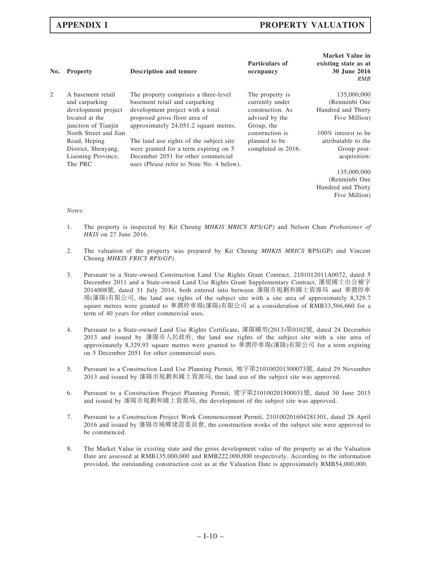| No. | <b>Property</b>                                                                                     | <b>Description and tenure</b>                                                                                                                                                       | Particulars of<br>occupancy                                                            | Market Value in<br>existing state as at<br>30 June 2016<br><b>RMB</b> |
|-----|-----------------------------------------------------------------------------------------------------|-------------------------------------------------------------------------------------------------------------------------------------------------------------------------------------|----------------------------------------------------------------------------------------|-----------------------------------------------------------------------|
| 2   | A basement retail<br>and carparking<br>development project<br>located at the<br>junction of Tianjin | The property comprises a three-level<br>basement retail and carparking<br>development project with a total<br>proposed gross floor area of<br>approximately 24,051.2 square metres. | The property is<br>currently under<br>construction. As<br>advised by the<br>Group, the | 135,000,000<br>(Renminbi One<br>Hundred and Thirty<br>Five Million)   |
|     | North Street and Jian                                                                               |                                                                                                                                                                                     | construction is                                                                        | 100% interest to be                                                   |
|     | Road, Heping                                                                                        | The land use rights of the subject site                                                                                                                                             | planned to be                                                                          | attributable to the                                                   |
|     | District, Shenyang,<br>Liaoning Province,<br>The PRC                                                | were granted for a term expiring on 5<br>December 2051 for other commercial<br>uses (Please refer to Note No. 4 below).                                                             | completed in 2016.                                                                     | Group post-<br>acquisition:                                           |
|     |                                                                                                     |                                                                                                                                                                                     |                                                                                        | 135,000,000                                                           |
|     |                                                                                                     |                                                                                                                                                                                     |                                                                                        | (Renminbi One                                                         |

Hundred and Thirty Five Million)

### Notes:

- 1. The property is inspected by Kit Cheung MHKIS MRICS RPS(GP) and Nelson Chan Probationer of HKIS on 27 June 2016.
- 2. The valuation of the property was prepared by Kit Cheung MHKIS MRICS RPS(GP) and Vincent Cheung MHKIS FRICS RPS(GP).
- 3. Pursuant to a State-owned Construction Land Use Rights Grant Contract, 2101012011A0072, dated 5 December 2011 and a State-owned Land Use Rights Grant Supplementary Contract, 瀋規國土出合補字 2014008號, dated 31 July 2014, both entered into between 瀋陽市規劃和國土資源局 and 華潤停車 場(瀋陽)有限公司, the land use rights of the subject site with a site area of approximately 8,329.7 square metres were granted to 華潤停車場(瀋陽)有限公司 at a consideration of RMB33,566,660 for a term of 40 years for other commercial uses.
- 4. Pursuant to a State-owned Land Use Rights Certificate, 瀋陽國用(2013)第0102號, dated 24 December 2013 and issued by 瀋陽市人民政府, the land use rights of the subject site with a site area of approximately 8,329.93 square metres were granted to 華潤停車場(瀋陽)有限公司 for a term expiring on 5 December 2051 for other commercial uses.
- 5. Pursuant to a Construction Land Use Planning Permit, 地字第210100201300073號, dated 29 November 2013 and issued by 瀋陽市規劃和國土資源局, the land use of the subject site was approved.
- 6. Pursuant to a Construction Project Planning Permit, 建字第210100201500031號, dated 30 June 2015 and issued by 瀋陽市規劃和國土資源局, the development of the subject site was approved.
- 7. Pursuant to a Construction Project Work Commencement Permit, 210100201604281301, dated 28 April 2016 and issued by 瀋陽市城鄉建設委員會, the construction works of the subject site were approved to be commenced.
- 8. The Market Value in existing state and the gross development value of the property as at the Valuation Date are assessed at RMB135,000,000 and RMB222,000,000 respectively. According to the information provided, the outstanding construction cost as at the Valuation Date is approximately RMB54,000,000.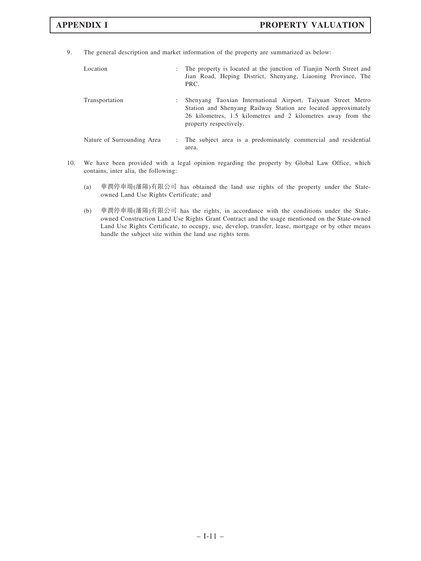9. The general description and market information of the property are summarized as below:

| Location                   | ÷ | The property is located at the junction of Tianjin North Street and<br>Jian Road, Heping District, Shenyang, Liaoning Province, The<br>PRC.                                                                              |
|----------------------------|---|--------------------------------------------------------------------------------------------------------------------------------------------------------------------------------------------------------------------------|
| Transportation             | ٠ | Shenyang Taoxian International Airport, Taiyuan Street Metro<br>Station and Shenyang Railway Station are located approximately<br>26 kilometres, 1.5 kilometres and 2 kilometres away from the<br>property respectively. |
| Nature of Surrounding Area |   | The subject area is a predominately commercial and residential<br>area.                                                                                                                                                  |

- 10. We have been provided with a legal opinion regarding the property by Global Law Office, which contains, inter alia, the following:
	- (a) 華潤停車場(瀋陽)有限公司 has obtained the land use rights of the property under the Stateowned Land Use Rights Certificate; and
	- (b) 華潤停車場(瀋陽)有限公司 has the rights, in accordance with the conditions under the Stateowned Construction Land Use Rights Grant Contract and the usage mentioned on the State-owned Land Use Rights Certificate, to occupy, use, develop, transfer, lease, mortgage or by other means handle the subject site within the land use rights term.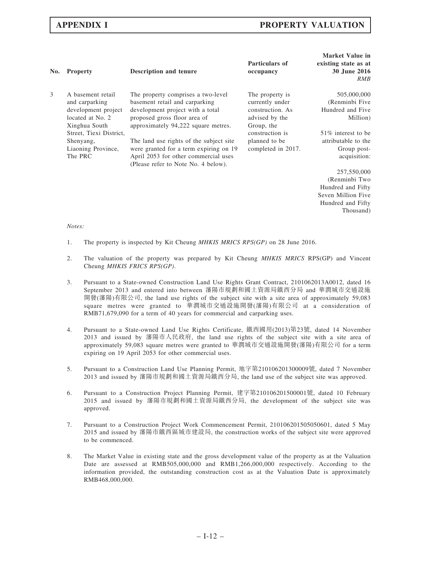| No. | <b>Property</b>                                                                                 | <b>Description and tenure</b>                                                                                                                                                   | Particulars of<br>occupancy                                                             | Market Value in<br>existing state as at<br>30 June 2016<br>RMB |
|-----|-------------------------------------------------------------------------------------------------|---------------------------------------------------------------------------------------------------------------------------------------------------------------------------------|-----------------------------------------------------------------------------------------|----------------------------------------------------------------|
| 3   | A basement retail<br>and carparking<br>development project<br>located at No. 2<br>Xinghua South | The property comprises a two-level<br>basement retail and carparking<br>development project with a total<br>proposed gross floor area of<br>approximately 94,222 square metres. | The property is.<br>currently under<br>construction. As<br>advised by the<br>Group, the | 505,000,000<br>(Renminbi Five<br>Hundred and Five<br>Million)  |
|     | Street, Tiexi District,                                                                         |                                                                                                                                                                                 | construction is                                                                         | 51\% interest to be                                            |
|     | Shenyang,<br>Liaoning Province,<br>The PRC                                                      | The land use rights of the subject site<br>were granted for a term expiring on 19<br>April 2053 for other commercial uses<br>(Please refer to Note No. 4 below).                | planned to be<br>completed in 2017.                                                     | attributable to the<br>Group post-<br>acquisition:             |
|     |                                                                                                 |                                                                                                                                                                                 |                                                                                         | 257,550,000                                                    |
|     |                                                                                                 |                                                                                                                                                                                 |                                                                                         | (Renminbi Two                                                  |
|     |                                                                                                 |                                                                                                                                                                                 |                                                                                         | Hundred and Fifty                                              |
|     |                                                                                                 |                                                                                                                                                                                 |                                                                                         | Seven Million Five                                             |

Hundred and Fifty Thousand)

### Notes:

- 1. The property is inspected by Kit Cheung *MHKIS MRICS RPS(GP)* on 28 June 2016.
- 2. The valuation of the property was prepared by Kit Cheung MHKIS MRICS RPS(GP) and Vincent Cheung MHKIS FRICS RPS(GP).
- 3. Pursuant to a State-owned Construction Land Use Rights Grant Contract, 2101062013A0012, dated 16 September 2013 and entered into between 瀋陽市規劃和國土資源局鐵西分局 and 華潤城市交通設施 開發(瀋陽)有限公司, the land use rights of the subject site with a site area of approximately 59,083 square metres were granted to 華潤城市交通設施開發(瀋陽)有限公司 at a consideration of RMB71,679,090 for a term of 40 years for commercial and carparking uses.
- 4. Pursuant to a State-owned Land Use Rights Certificate, 鐵西國用(2013)第23號, dated 14 November 2013 and issued by 瀋陽市人民政府, the land use rights of the subject site with a site area of approximately 59,083 square metres were granted to 華潤城市交通設施開發(瀋陽)有限公司 for a term expiring on 19 April 2053 for other commercial uses.
- 5. Pursuant to a Construction Land Use Planning Permit, 地字第210106201300009號, dated 7 November 2013 and issued by 瀋陽市規劃和國土資源局鐵西分局, the land use of the subject site was approved.
- 6. Pursuant to a Construction Project Planning Permit, 建字第210106201500001號, dated 10 February 2015 and issued by 瀋陽市規劃和國土資源局鐵西分局, the development of the subject site was approved.
- 7. Pursuant to a Construction Project Work Commencement Permit, 210106201505050601, dated 5 May 2015 and issued by 瀋陽市鐵西區城市建設局, the construction works of the subject site were approved to be commenced.
- 8. The Market Value in existing state and the gross development value of the property as at the Valuation Date are assessed at RMB505,000,000 and RMB1,266,000,000 respectively. According to the information provided, the outstanding construction cost as at the Valuation Date is approximately RMB468,000,000.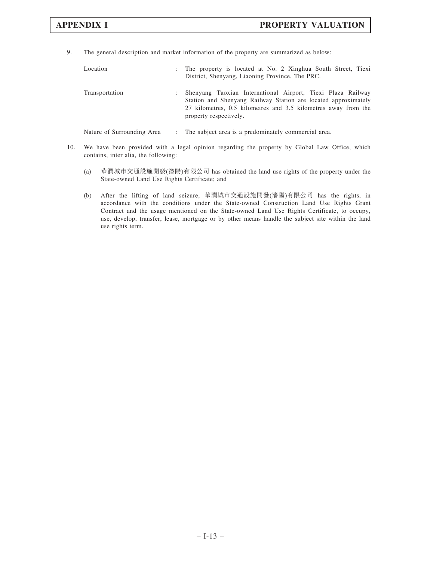9. The general description and market information of the property are summarized as below:

| Location       |   | : The property is located at No. 2 Xinghua South Street, Tiexi<br>District, Shenyang, Liaoning Province, The PRC.                                                                                                         |
|----------------|---|---------------------------------------------------------------------------------------------------------------------------------------------------------------------------------------------------------------------------|
| Transportation | ÷ | Shenyang Taoxian International Airport, Tiexi Plaza Railway<br>Station and Shenyang Railway Station are located approximately<br>27 kilometres, 0.5 kilometres and 3.5 kilometres away from the<br>property respectively. |

Nature of Surrounding Area : The subject area is a predominately commercial area.

- 10. We have been provided with a legal opinion regarding the property by Global Law Office, which contains, inter alia, the following:
	- (a) 華潤城市交通設施開發(瀋陽)有限公司 has obtained the land use rights of the property under the State-owned Land Use Rights Certificate; and
	- (b) After the lifting of land seizure, 華潤城市交通設施開發(瀋陽)有限公司 has the rights, in accordance with the conditions under the State-owned Construction Land Use Rights Grant Contract and the usage mentioned on the State-owned Land Use Rights Certificate, to occupy, use, develop, transfer, lease, mortgage or by other means handle the subject site within the land use rights term.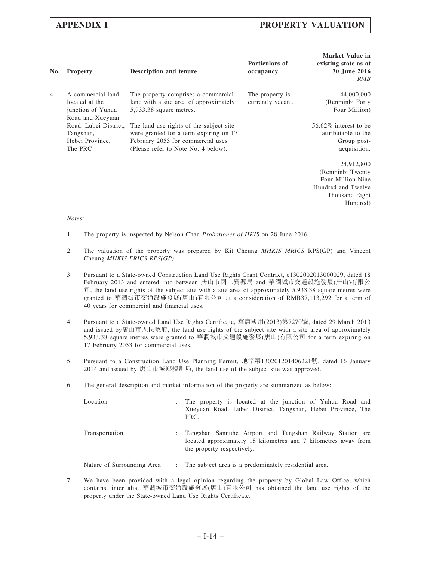| No.            | <b>Property</b>                                                              | Description and tenure                                                                                                                                        | Particulars of<br>occupancy          | <b>Market Value in</b><br>existing state as at<br>30 June 2016<br>RMB                                    |
|----------------|------------------------------------------------------------------------------|---------------------------------------------------------------------------------------------------------------------------------------------------------------|--------------------------------------|----------------------------------------------------------------------------------------------------------|
| $\overline{4}$ | A commercial land<br>located at the<br>junction of Yuhua<br>Road and Xueyuan | The property comprises a commercial<br>land with a site area of approximately<br>5,933.38 square metres.                                                      | The property is<br>currently vacant. | 44,000,000<br>(Renminbi Forty)<br>Four Million)                                                          |
|                | Road, Lubei District,<br>Tangshan,<br>Hebei Province,<br>The PRC             | The land use rights of the subject site<br>were granted for a term expiring on 17<br>February 2053 for commercial uses<br>(Please refer to Note No. 4 below). |                                      | 56.62% interest to be<br>attributable to the<br>Group post-<br>acquisition:                              |
|                |                                                                              |                                                                                                                                                               |                                      | 24,912,800<br>(Renminbi Twenty)<br>Four Million Nine<br>Hundred and Twelve<br>Thousand Eight<br>Hundred) |

### Notes:

- 1. The property is inspected by Nelson Chan *Probationer of HKIS* on 28 June 2016.
- 2. The valuation of the property was prepared by Kit Cheung MHKIS MRICS RPS(GP) and Vincent Cheung MHKIS FRICS RPS(GP).
- 3. Pursuant to a State-owned Construction Land Use Rights Grant Contract, c1302002013000029, dated 18 February 2013 and entered into between 唐山市國土資源局 and 華潤城市交通設施發展(唐山)有限公 司, the land use rights of the subject site with a site area of approximately 5,933.38 square metres were granted to 華潤城市交通設施發展(唐山)有限公司 at a consideration of RMB37,113,292 for a term of 40 years for commercial and financial uses.
- 4. Pursuant to a State-owned Land Use Rights Certificate, 冀唐國用(2013)第7270號, dated 29 March 2013 and issued by唐山市人民政府, the land use rights of the subject site with a site area of approximately 5,933.38 square metres were granted to 華潤城市交通設施發展(唐山)有限公司 for a term expiring on 17 February 2053 for commercial uses.
- 5. Pursuant to a Construction Land Use Planning Permit, 地字第130201201406221號, dated 16 January 2014 and issued by 唐山市城鄉規劃局, the land use of the subject site was approved.
- 6. The general description and market information of the property are summarized as below:

| Location                   | The property is located at the junction of Yuhua Road and<br>Xueyuan Road, Lubei District, Tangshan, Hebei Province, The<br>PRC.                          |
|----------------------------|-----------------------------------------------------------------------------------------------------------------------------------------------------------|
| Transportation             | Tangshan Sannuhe Airport and Tangshan Railway Station are<br>located approximately 18 kilometres and 7 kilometres away from<br>the property respectively. |
| Nature of Surrounding Area | : The subject area is a predominately residential area.                                                                                                   |

7. We have been provided with a legal opinion regarding the property by Global Law Office, which contains, inter alia, 華潤城市交通設施發展(唐山)有限公司 has obtained the land use rights of the property under the State-owned Land Use Rights Certificate.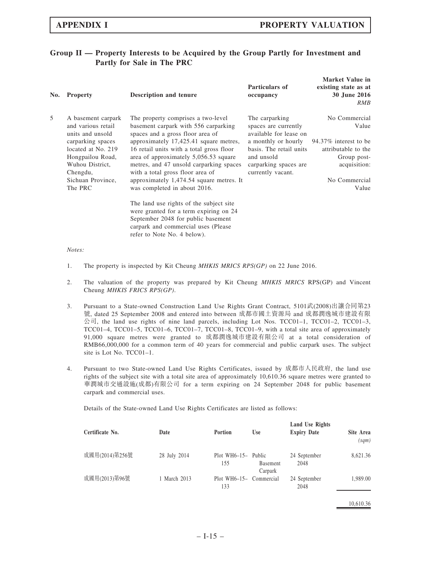# Group II — Property Interests to be Acquired by the Group Partly for Investment and Partly for Sale in The PRC

| No. | <b>Property</b>                                              | Description and tenure                                                                                               | Particulars of<br>occupancy                                      | Market Value in<br>existing state as at<br><b>30 June 2016</b><br>RMB |
|-----|--------------------------------------------------------------|----------------------------------------------------------------------------------------------------------------------|------------------------------------------------------------------|-----------------------------------------------------------------------|
| 5   | A basement carpark<br>and various retail<br>units and unsold | The property comprises a two-level<br>basement carpark with 556 carparking<br>spaces and a gross floor area of       | The carparking<br>spaces are currently<br>available for lease on | No Commercial<br>Value                                                |
|     | carparking spaces                                            | approximately 17,425.41 square metres,                                                                               | a monthly or hourly                                              | 94.37\% interest to be                                                |
|     | located at No. 219                                           | 16 retail units with a total gross floor                                                                             | basis. The retail units                                          | attributable to the                                                   |
|     | Hongpailou Road,<br>Wuhou District,<br>Chengdu,              | area of approximately 5,056.53 square<br>metres, and 47 unsold carparking spaces<br>with a total gross floor area of | and unsold<br>carparking spaces are<br>currently vacant.         | Group post-<br>acquisition:                                           |
|     | Sichuan Province,                                            | approximately 1,474.54 square metres. It                                                                             |                                                                  | No Commercial                                                         |
|     | The PRC                                                      | was completed in about 2016.                                                                                         |                                                                  | Value                                                                 |
|     |                                                              | The land use rights of the subject site                                                                              |                                                                  |                                                                       |
|     |                                                              | were granted for a term expiring on 24                                                                               |                                                                  |                                                                       |
|     |                                                              | September 2048 for public basement                                                                                   |                                                                  |                                                                       |
|     |                                                              | carpark and commercial uses (Please)                                                                                 |                                                                  |                                                                       |
|     |                                                              | refer to Note No. 4 below).                                                                                          |                                                                  |                                                                       |

Notes:

- 1. The property is inspected by Kit Cheung *MHKIS MRICS RPS(GP)* on 22 June 2016.
- 2. The valuation of the property was prepared by Kit Cheung MHKIS MRICS RPS(GP) and Vincent Cheung MHKIS FRICS RPS(GP).
- 3. Pursuant to a State-owned Construction Land Use Rights Grant Contract, 5101武(2008)出讓合同第23 號, dated 25 September 2008 and entered into between 成都市國土資源局 and 成都潤逸城市建設有限  $\triangle$ 司, the land use rights of nine land parcels, including Lot Nos. TCC01-1, TCC01-2, TCC01-3, TCC01–4, TCC01–5, TCC01–6, TCC01–7, TCC01–8, TCC01–9, with a total site area of approximately 91,000 square metres were granted to 成都潤逸城市建設有限公司 at a total consideration of RMB66,000,000 for a common term of 40 years for commercial and public carpark uses. The subject site is Lot No. TCC01–1.
- 4. Pursuant to two State-owned Land Use Rights Certificates, issued by 成都市人民政府, the land use rights of the subject site with a total site area of approximately 10,610.36 square metres were granted to 華潤城市交通設施(成都)有限公司 for a term expiring on 24 September 2048 for public basement carpark and commercial uses.

Details of the State-owned Land Use Rights Certificates are listed as follows:

| Certificate No. | Date         | <b>Portion</b>                 | <b>Use</b>                  | Land Use Rights<br><b>Expiry Date</b> | Site Area<br>(sqm) |
|-----------------|--------------|--------------------------------|-----------------------------|---------------------------------------|--------------------|
| 成國用(2014)第256號  | 28 July 2014 | Plot WH6-15- Public<br>155     | <b>B</b> asement<br>Carpark | 24 September<br>2048                  | 8,621.36           |
| 成國用(2013)第96號   | 1 March 2013 | Plot WH6-15- Commercial<br>133 |                             | 24 September<br>2048                  | 1,989.00           |

10,610.36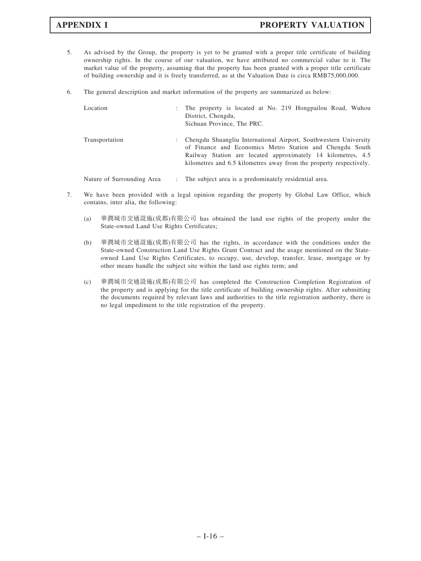- 5. As advised by the Group, the property is yet to be granted with a proper title certificate of building ownership rights. In the course of our valuation, we have attributed no commercial value to it. The market value of the property, assuming that the property has been granted with a proper title certificate of building ownership and it is freely transferred, as at the Valuation Date is circa RMB75,000,000.
- 6. The general description and market information of the property are summarized as below:

| Location                   | ÷ | The property is located at No. 219 Hongpailou Road, Wuhou<br>District, Chengdu,<br>Sichuan Province, The PRC.                                                                                                                                                      |
|----------------------------|---|--------------------------------------------------------------------------------------------------------------------------------------------------------------------------------------------------------------------------------------------------------------------|
| Transportation             | ÷ | Chengdu Shuangliu International Airport, Southwestern University<br>of Finance and Economics Metro Station and Chengdu South<br>Railway Station are located approximately 14 kilometres, 4.5<br>kilometres and 6.5 kilometres away from the property respectively. |
| Nature of Surrounding Area |   | : The subject area is a predominately residential area.                                                                                                                                                                                                            |

- 7. We have been provided with a legal opinion regarding the property by Global Law Office, which contains, inter alia, the following:
	- (a) 華潤城市交通設施(成都)有限公司 has obtained the land use rights of the property under the State-owned Land Use Rights Certificates;
	- (b) 華潤城市交通設施(成都)有限公司 has the rights, in accordance with the conditions under the State-owned Construction Land Use Rights Grant Contract and the usage mentioned on the Stateowned Land Use Rights Certificates, to occupy, use, develop, transfer, lease, mortgage or by other means handle the subject site within the land use rights term; and
	- (c) 華潤城市交通設施(成都)有限公司 has completed the Construction Completion Registration of the property and is applying for the title certificate of building ownership rights. After submitting the documents required by relevant laws and authorities to the title registration authority, there is no legal impediment to the title registration of the property.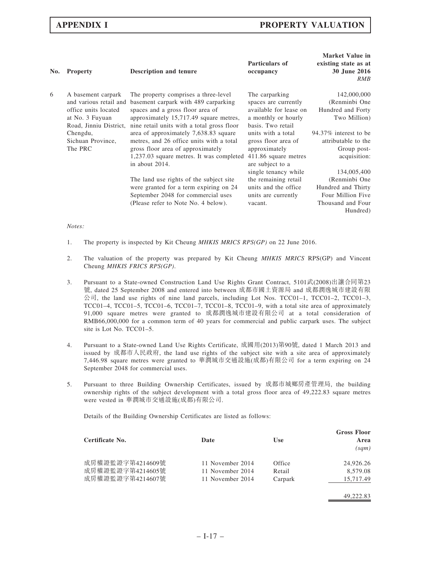| No. | <b>Property</b>                                                                                                   | <b>Description and tenure</b>                                                                                                                                                                            | Particulars of<br>occupancy                                                                                  | <b>Market Value in</b><br>existing state as at<br>30 June 2016<br>RMB         |
|-----|-------------------------------------------------------------------------------------------------------------------|----------------------------------------------------------------------------------------------------------------------------------------------------------------------------------------------------------|--------------------------------------------------------------------------------------------------------------|-------------------------------------------------------------------------------|
| 6   | A basement carpark<br>and various retail and<br>office units located<br>at No. 3 Fuyuan<br>Road, Jinniu District, | The property comprises a three-level<br>basement carpark with 489 carparking<br>spaces and a gross floor area of<br>approximately 15,717.49 square metres,<br>nine retail units with a total gross floor | The carparking<br>spaces are currently<br>available for lease on<br>a monthly or hourly<br>basis. Two retail | 142,000,000<br>(Renminbi One<br>Hundred and Forty<br>Two Million)             |
|     | Chengdu,<br>Sichuan Province,<br>The PRC                                                                          | area of approximately 7,638.83 square<br>metres, and 26 office units with a total<br>gross floor area of approximately<br>1,237.03 square metres. It was completed                                       | units with a total<br>gross floor area of<br>approximately<br>411.86 square metres                           | 94.37% interest to be<br>attributable to the<br>Group post-<br>acquisition:   |
|     |                                                                                                                   | in about 2014.                                                                                                                                                                                           | are subject to a<br>single tenancy while                                                                     | 134,005,400                                                                   |
|     |                                                                                                                   | The land use rights of the subject site<br>were granted for a term expiring on 24<br>September 2048 for commercial uses<br>(Please refer to Note No. 4 below).                                           | the remaining retail<br>units and the office.<br>units are currently<br>vacant.                              | (Renminbi One<br>Hundred and Thirty<br>Four Million Five<br>Thousand and Four |
|     |                                                                                                                   |                                                                                                                                                                                                          |                                                                                                              | Hundred)                                                                      |

### Notes:

- 1. The property is inspected by Kit Cheung *MHKIS MRICS RPS(GP)* on 22 June 2016.
- 2. The valuation of the property was prepared by Kit Cheung MHKIS MRICS RPS(GP) and Vincent Cheung MHKIS FRICS RPS(GP).
- 3. Pursuant to a State-owned Construction Land Use Rights Grant Contract, 5101武(2008)出讓合同第23 號, dated 25 September 2008 and entered into between 成都市國土資源局 and 成都潤逸城市建設有限 公司, the land use rights of nine land parcels, including Lot Nos. TCC01–1, TCC01–2, TCC01–3, TCC01–4, TCC01–5, TCC01–6, TCC01–7, TCC01–8, TCC01–9, with a total site area of approximately 91,000 square metres were granted to 成都潤逸城市建設有限公司 at a total consideration of RMB66,000,000 for a common term of 40 years for commercial and public carpark uses. The subject site is Lot No. TCC01–5.
- 4. Pursuant to a State-owned Land Use Rights Certificate, 成國用(2013)第90號, dated 1 March 2013 and issued by 成都市人民政府, the land use rights of the subject site with a site area of approximately 7,446.98 square metres were granted to 華潤城市交通設施(成都)有限公司 for a term expiring on 24 September 2048 for commercial uses.
- 5. Pursuant to three Building Ownership Certificates, issued by 成都市城鄉房產管理局, the building ownership rights of the subject development with a total gross floor area of 49,222.83 square metres were vested in 華潤城市交通設施(成都)有限公司.

Details of the Building Ownership Certificates are listed as follows:

| Certificate No.                                          | Date                                                     | Use                         | <b>Gross Floor</b><br>Area<br>(sqm) |
|----------------------------------------------------------|----------------------------------------------------------|-----------------------------|-------------------------------------|
| 成房權證監證字第4214609號<br>成房權證監證字第4214605號<br>成房權證監證字第4214607號 | 11 November 2014<br>11 November 2014<br>11 November 2014 | Office<br>Retail<br>Carpark | 24,926.26<br>8,579.08<br>15.717.49  |
|                                                          |                                                          |                             |                                     |

49,222.83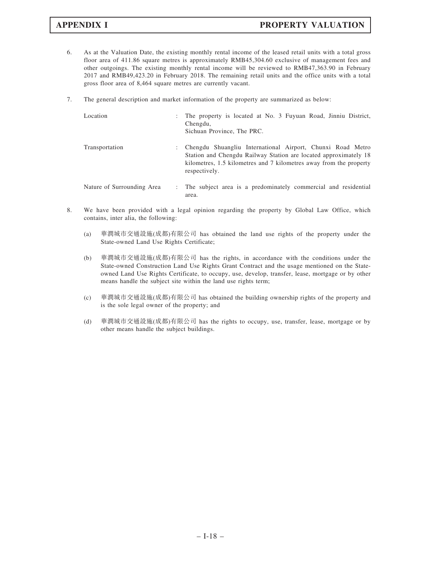- 6. As at the Valuation Date, the existing monthly rental income of the leased retail units with a total gross floor area of 411.86 square metres is approximately RMB45,304.60 exclusive of management fees and other outgoings. The existing monthly rental income will be reviewed to RMB47,363.90 in February 2017 and RMB49,423.20 in February 2018. The remaining retail units and the office units with a total gross floor area of 8,464 square metres are currently vacant.
- 7. The general description and market information of the property are summarized as below:

| Location                   |                | The property is located at No. 3 Fuyuan Road, Jinniu District,<br>Chengdu,<br>Sichuan Province, The PRC.                                                                                                              |
|----------------------------|----------------|-----------------------------------------------------------------------------------------------------------------------------------------------------------------------------------------------------------------------|
| Transportation             | $\mathbb{R}^n$ | Chengdu Shuangliu International Airport, Chunxi Road Metro<br>Station and Chengdu Railway Station are located approximately 18<br>kilometres, 1.5 kilometres and 7 kilometres away from the property<br>respectively. |
| Nature of Surrounding Area |                | The subject area is a predominately commercial and residential<br>area.                                                                                                                                               |

- 8. We have been provided with a legal opinion regarding the property by Global Law Office, which contains, inter alia, the following:
	- (a) 華潤城市交通設施(成都)有限公司 has obtained the land use rights of the property under the State-owned Land Use Rights Certificate;
	- (b) 華潤城市交通設施(成都)有限公司 has the rights, in accordance with the conditions under the State-owned Construction Land Use Rights Grant Contract and the usage mentioned on the Stateowned Land Use Rights Certificate, to occupy, use, develop, transfer, lease, mortgage or by other means handle the subject site within the land use rights term;
	- (c) 華潤城市交通設施(成都)有限公司 has obtained the building ownership rights of the property and is the sole legal owner of the property; and
	- (d) 華潤城市交通設施(成都)有限公司 has the rights to occupy, use, transfer, lease, mortgage or by other means handle the subject buildings.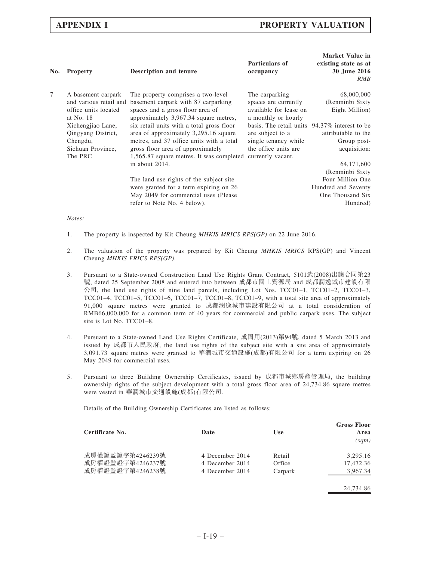| No.    | <b>Property</b>                                                                   | <b>Description and tenure</b>                                                                                                                             | <b>Particulars of</b><br>occupancy                                                        | <b>Market Value in</b><br>existing state as at<br><b>30 June 2016</b><br>RMB               |
|--------|-----------------------------------------------------------------------------------|-----------------------------------------------------------------------------------------------------------------------------------------------------------|-------------------------------------------------------------------------------------------|--------------------------------------------------------------------------------------------|
| $\tau$ | A basement carpark<br>and various retail and<br>office units located<br>at No. 18 | The property comprises a two-level<br>basement carpark with 87 carparking<br>spaces and a gross floor area of<br>approximately 3,967.34 square metres,    | The carparking<br>spaces are currently<br>available for lease on<br>a monthly or hourly   | 68,000,000<br>(Renminbi Sixty<br>Eight Million)                                            |
|        | Xichengjiao Lane,<br>Qingyang District,<br>Chengdu,                               | six retail units with a total gross floor<br>area of approximately 3,295.16 square<br>metres, and 37 office units with a total                            | basis. The retail units 94.37% interest to be<br>are subject to a<br>single tenancy while | attributable to the<br>Group post-                                                         |
|        | Sichuan Province,<br>The PRC                                                      | gross floor area of approximately<br>1,565.87 square metres. It was completed currently vacant.<br>in about 2014.                                         | the office units are                                                                      | acquisition:<br>64,171,600                                                                 |
|        |                                                                                   | The land use rights of the subject site<br>were granted for a term expiring on 26<br>May 2049 for commercial uses (Please)<br>refer to Note No. 4 below). |                                                                                           | (Renminbi Sixty<br>Four Million One<br>Hundred and Seventy<br>One Thousand Six<br>Hundred) |
|        |                                                                                   |                                                                                                                                                           |                                                                                           |                                                                                            |

### Notes:

- 1. The property is inspected by Kit Cheung MHKIS MRICS RPS(GP) on 22 June 2016.
- 2. The valuation of the property was prepared by Kit Cheung MHKIS MRICS RPS(GP) and Vincent Cheung MHKIS FRICS RPS(GP).
- 3. Pursuant to a State-owned Construction Land Use Rights Grant Contract, 5101武(2008)出讓合同第23 號, dated 25 September 2008 and entered into between 成都市國土資源局 and 成都潤逸城市建設有限 公司, the land use rights of nine land parcels, including Lot Nos. TCC01–1, TCC01–2, TCC01–3, TCC01–4, TCC01–5, TCC01–6, TCC01–7, TCC01–8, TCC01–9, with a total site area of approximately 91,000 square metres were granted to 成都潤逸城市建設有限公司 at a total consideration of RMB66,000,000 for a common term of 40 years for commercial and public carpark uses. The subject site is Lot No. TCC01–8.
- 4. Pursuant to a State-owned Land Use Rights Certificate, 成國用(2013)第94號, dated 5 March 2013 and issued by 成都市人民政府, the land use rights of the subject site with a site area of approximately 3,091.73 square metres were granted to 華潤城市交通設施(成都)有限公司 for a term expiring on 26 May 2049 for commercial uses.
- 5. Pursuant to three Building Ownership Certificates, issued by 成都市城鄉房產管理局, the building ownership rights of the subject development with a total gross floor area of 24,734.86 square metres were vested in 華潤城市交通設施(成都)有限公司.

Details of the Building Ownership Certificates are listed as follows:

| Certificate No.  | Date            | Use     | <b>Gross Floor</b><br>Area<br>(sqm) |
|------------------|-----------------|---------|-------------------------------------|
| 成房權證監證字第4246239號 | 4 December 2014 | Retail  | 3,295.16                            |
| 成房權證監證字第4246237號 | 4 December 2014 | Office  | 17.472.36                           |
| 成房權證監證字第4246238號 | 4 December 2014 | Carpark | 3.967.34                            |
|                  |                 |         |                                     |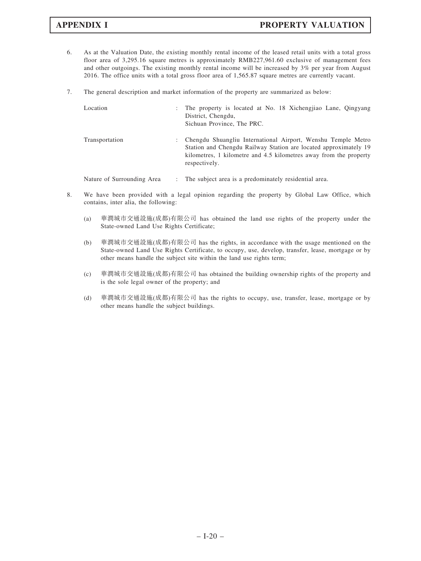- 6. As at the Valuation Date, the existing monthly rental income of the leased retail units with a total gross floor area of 3,295.16 square metres is approximately RMB227,961.60 exclusive of management fees and other outgoings. The existing monthly rental income will be increased by 3% per year from August 2016. The office units with a total gross floor area of 1,565.87 square metres are currently vacant.
- 7. The general description and market information of the property are summarized as below:

| Location       | ÷ | The property is located at No. 18 Xichengiao Lane, Qingyang<br>District, Chengdu,<br>Sichuan Province, The PRC.                                                                                                        |
|----------------|---|------------------------------------------------------------------------------------------------------------------------------------------------------------------------------------------------------------------------|
| Transportation | ÷ | Chengdu Shuangliu International Airport, Wenshu Temple Metro<br>Station and Chengdu Railway Station are located approximately 19<br>kilometres, 1 kilometre and 4.5 kilometres away from the property<br>respectively. |

Nature of Surrounding Area : The subject area is a predominately residential area.

- 8. We have been provided with a legal opinion regarding the property by Global Law Office, which contains, inter alia, the following:
	- (a) 華潤城市交通設施(成都)有限公司 has obtained the land use rights of the property under the State-owned Land Use Rights Certificate;
	- (b) 華潤城市交通設施(成都)有限公司 has the rights, in accordance with the usage mentioned on the State-owned Land Use Rights Certificate, to occupy, use, develop, transfer, lease, mortgage or by other means handle the subject site within the land use rights term;
	- (c) 華潤城市交通設施(成都)有限公司 has obtained the building ownership rights of the property and is the sole legal owner of the property; and
	- (d) 華潤城市交通設施(成都)有限公司 has the rights to occupy, use, transfer, lease, mortgage or by other means handle the subject buildings.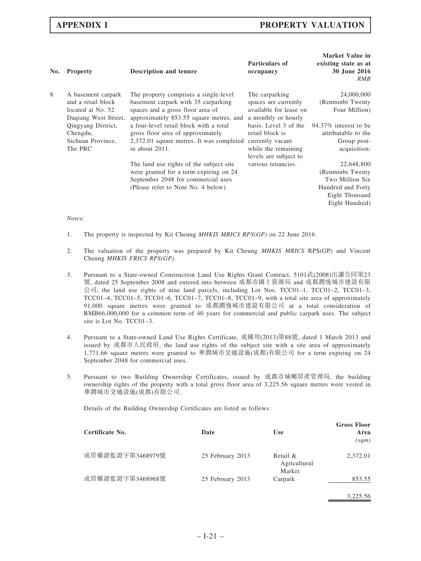| No. | <b>Property</b>                                                                       | <b>Description and tenure</b>                                                                                                                               | Particulars of<br>occupancy                                                             | <b>Market Value in</b><br>existing state as at<br>30 June 2016<br>RMB |
|-----|---------------------------------------------------------------------------------------|-------------------------------------------------------------------------------------------------------------------------------------------------------------|-----------------------------------------------------------------------------------------|-----------------------------------------------------------------------|
| 8   | A basement carpark<br>and a retail block<br>located at No. 52<br>Dagiang West Street, | The property comprises a single-level<br>basement carpark with 35 carparking<br>spaces and a gross floor area of<br>approximately 853.55 square metres, and | The carparking<br>spaces are currently<br>available for lease on<br>a monthly or hourly | 24,000,000<br>(Renminbi Twenty<br>Four Million)                       |
|     | Qingyang District,<br>Chengdu,<br>Sichuan Province,                                   | a four-level retail block with a total<br>gross floor area of approximately<br>2,372.01 square metres. It was completed                                     | basis. Level 3 of the<br>retail block is<br>currently vacant                            | 94.37% interest to be<br>attributable to the<br>Group post-           |
|     | The PRC                                                                               | in about 2011.                                                                                                                                              | while the remaining<br>levels are subject to                                            | acquisition:                                                          |
|     |                                                                                       | The land use rights of the subject site<br>were granted for a term expiring on 24<br>September 2048 for commercial uses                                     | various tenancies.                                                                      | 22,648,800<br>(Renminbi Twenty<br>Two Million Six                     |
|     |                                                                                       | (Please refer to Note No. 4 below).                                                                                                                         |                                                                                         | Hundred and Forty<br>Eight Thousand<br>Eight Hundred)                 |
|     |                                                                                       |                                                                                                                                                             |                                                                                         |                                                                       |

# Notes:

- 1. The property is inspected by Kit Cheung *MHKIS MRICS RPS(GP)* on 22 June 2016.
- 2. The valuation of the property was prepared by Kit Cheung MHKIS MRICS RPS(GP) and Vincent Cheung MHKIS FRICS RPS(GP).
- 3. Pursuant to a State-owned Construction Land Use Rights Grant Contract, 5101武(2008)出讓合同第23 號, dated 25 September 2008 and entered into between 成都市國土資源局 and 成都潤逸城市建設有限 公司, the land use rights of nine land parcels, including Lot Nos. TCC01–1, TCC01–2, TCC01–3, TCC01–4, TCC01–5, TCC01–6, TCC01–7, TCC01–8, TCC01–9, with a total site area of approximately 91,000 square metres were granted to 成都潤逸城市建設有限公司 at a total consideration of RMB66,000,000 for a common term of 40 years for commercial and public carpark uses. The subject site is Lot No. TCC01–3.
- 4. Pursuant to a State-owned Land Use Rights Certificate, 成國用(2013)第88號, dated 1 March 2013 and issued by 成都市人民政府, the land use rights of the subject site with a site area of approximately 1,771.66 square metres were granted to 華潤城市交通設施(成都)有限公司 for a term expiring on 24 September 2048 for commercial uses.
- 5. Pursuant to two Building Ownership Certificates, issued by 成都市城鄉房產管理局, the building ownership rights of the property with a total gross floor area of 3,225.56 square metres were vested in 華潤城市交通設施(成都)有限公司.

Details of the Building Ownership Certificates are listed as follows:

| Certificate No.  | Date             | <b>Use</b>                         | <b>Gross Floor</b><br>Area<br>(sqm) |
|------------------|------------------|------------------------------------|-------------------------------------|
| 成房權證監證字第3468979號 | 25 February 2013 | Retail &<br>Agricultural<br>Market | 2,372.01                            |
| 成房權證監證字第3468968號 | 25 February 2013 | Carpark                            | 853.55                              |
|                  |                  |                                    | 3,225.56                            |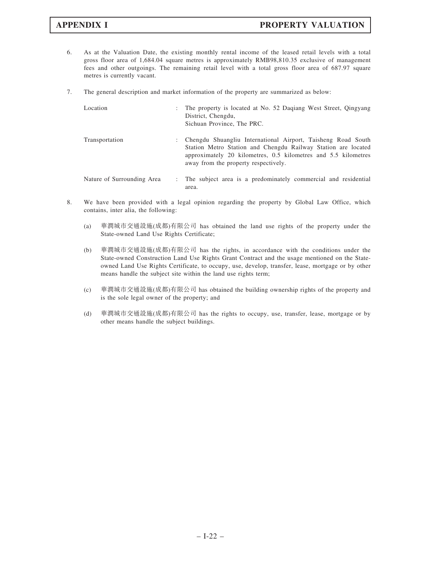- 6. As at the Valuation Date, the existing monthly rental income of the leased retail levels with a total gross floor area of 1,684.04 square metres is approximately RMB98,810.35 exclusive of management fees and other outgoings. The remaining retail level with a total gross floor area of 687.97 square metres is currently vacant.
- 7. The general description and market information of the property are summarized as below:

| Location                   | ÷ | The property is located at No. 52 Dagiang West Street, Qingyang<br>District, Chengdu,<br>Sichuan Province, The PRC.                                                                                                                     |
|----------------------------|---|-----------------------------------------------------------------------------------------------------------------------------------------------------------------------------------------------------------------------------------------|
| Transportation             | ÷ | Chengdu Shuangliu International Airport, Taisheng Road South<br>Station Metro Station and Chengdu Railway Station are located<br>approximately 20 kilometres, 0.5 kilometres and 5.5 kilometres<br>away from the property respectively. |
| Nature of Surrounding Area |   | The subject area is a predominately commercial and residential<br>area.                                                                                                                                                                 |

- 8. We have been provided with a legal opinion regarding the property by Global Law Office, which contains, inter alia, the following:
	- (a) 華潤城市交通設施(成都)有限公司 has obtained the land use rights of the property under the State-owned Land Use Rights Certificate;
	- (b) 華潤城市交通設施(成都)有限公司 has the rights, in accordance with the conditions under the State-owned Construction Land Use Rights Grant Contract and the usage mentioned on the Stateowned Land Use Rights Certificate, to occupy, use, develop, transfer, lease, mortgage or by other means handle the subject site within the land use rights term;
	- (c) 華潤城市交通設施(成都)有限公司 has obtained the building ownership rights of the property and is the sole legal owner of the property; and
	- (d) 華潤城市交通設施(成都)有限公司 has the rights to occupy, use, transfer, lease, mortgage or by other means handle the subject buildings.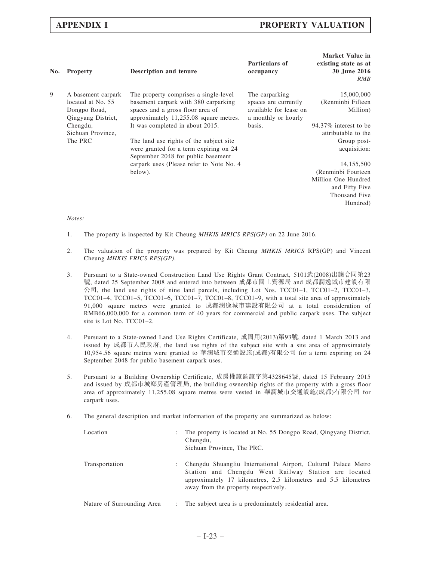| No. | <b>Property</b>                                                               | <b>Description and tenure</b>                                                                                                                               | Particulars of<br>occupancy                                                             | <b>Market Value in</b><br>existing state as at<br>30 June 2016<br>RMB |
|-----|-------------------------------------------------------------------------------|-------------------------------------------------------------------------------------------------------------------------------------------------------------|-----------------------------------------------------------------------------------------|-----------------------------------------------------------------------|
| 9   | A basement carpark<br>located at No. 55<br>Dongpo Road,<br>Qingyang District, | The property comprises a single-level<br>basement carpark with 380 carparking<br>spaces and a gross floor area of<br>approximately 11,255.08 square metres. | The carparking<br>spaces are currently<br>available for lease on<br>a monthly or hourly | 15,000,000<br>(Renminbi Fifteen<br>Million)                           |
|     | Chengdu,<br>Sichuan Province,                                                 | It was completed in about 2015.                                                                                                                             | basis.                                                                                  | 94.37% interest to be<br>attributable to the                          |
|     | The PRC                                                                       | The land use rights of the subject site<br>were granted for a term expiring on 24<br>September 2048 for public basement                                     |                                                                                         | Group post-<br>acquisition:                                           |
|     |                                                                               | carpark uses (Please refer to Note No. 4)                                                                                                                   |                                                                                         | 14,155,500                                                            |
|     |                                                                               | below).                                                                                                                                                     |                                                                                         | (Renminbi Fourteen                                                    |
|     |                                                                               |                                                                                                                                                             |                                                                                         | Million One Hundred<br>and Fifty Five<br>Thousand Five                |
|     |                                                                               |                                                                                                                                                             |                                                                                         | Hundred)                                                              |

### Notes:

- 1. The property is inspected by Kit Cheung MHKIS MRICS RPS(GP) on 22 June 2016.
- 2. The valuation of the property was prepared by Kit Cheung MHKIS MRICS RPS(GP) and Vincent Cheung MHKIS FRICS RPS(GP).
- 3. Pursuant to a State-owned Construction Land Use Rights Grant Contract, 5101武(2008)出讓合同第23 號, dated 25 September 2008 and entered into between 成都市國土資源局 and 成都潤逸城市建設有限 公司, the land use rights of nine land parcels, including Lot Nos. TCC01–1, TCC01–2, TCC01–3, TCC01–4, TCC01–5, TCC01–6, TCC01–7, TCC01–8, TCC01–9, with a total site area of approximately 91,000 square metres were granted to 成都潤逸城市建設有限公司 at a total consideration of RMB66,000,000 for a common term of 40 years for commercial and public carpark uses. The subject site is Lot No. TCC01–2.
- 4. Pursuant to a State-owned Land Use Rights Certificate, 成國用(2013)第93號, dated 1 March 2013 and issued by 成都市人民政府, the land use rights of the subject site with a site area of approximately 10,954.56 square metres were granted to 華潤城市交通設施(成都)有限公司 for a term expiring on 24 September 2048 for public basement carpark uses.
- 5. Pursuant to a Building Ownership Certificate, 成房權證監證字第4328645號, dated 15 February 2015 and issued by 成都市城鄉房產管理局, the building ownership rights of the property with a gross floor area of approximately 11,255.08 square metres were vested in 華潤城市交通設施(成都)有限公司 for carpark uses.
- 6. The general description and market information of the property are summarized as below:

| Location                   |                           | The property is located at No. 55 Dongpo Road, Qingyang District,<br>Chengdu,<br>Sichuan Province, The PRC.                                                                                                                      |
|----------------------------|---------------------------|----------------------------------------------------------------------------------------------------------------------------------------------------------------------------------------------------------------------------------|
| Transportation             |                           | Chengdu Shuangliu International Airport, Cultural Palace Metro<br>Station and Chengdu West Railway Station are located<br>approximately 17 kilometres, 2.5 kilometres and 5.5 kilometres<br>away from the property respectively. |
| Nature of Surrounding Area | $\mathbb{R}^{\mathbb{Z}}$ | The subject area is a predominately residential area.                                                                                                                                                                            |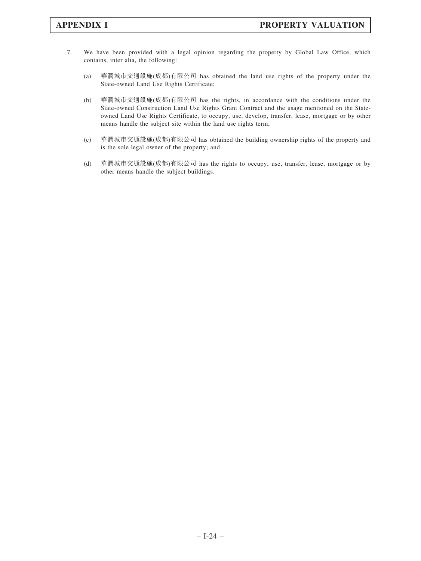- 7. We have been provided with a legal opinion regarding the property by Global Law Office, which contains, inter alia, the following:
	- (a) 華潤城市交通設施(成都)有限公司 has obtained the land use rights of the property under the State-owned Land Use Rights Certificate;
	- (b) 華潤城市交通設施(成都)有限公司 has the rights, in accordance with the conditions under the State-owned Construction Land Use Rights Grant Contract and the usage mentioned on the Stateowned Land Use Rights Certificate, to occupy, use, develop, transfer, lease, mortgage or by other means handle the subject site within the land use rights term;
	- (c) 華潤城市交通設施(成都)有限公司 has obtained the building ownership rights of the property and is the sole legal owner of the property; and
	- (d) 華潤城市交通設施(成都)有限公司 has the rights to occupy, use, transfer, lease, mortgage or by other means handle the subject buildings.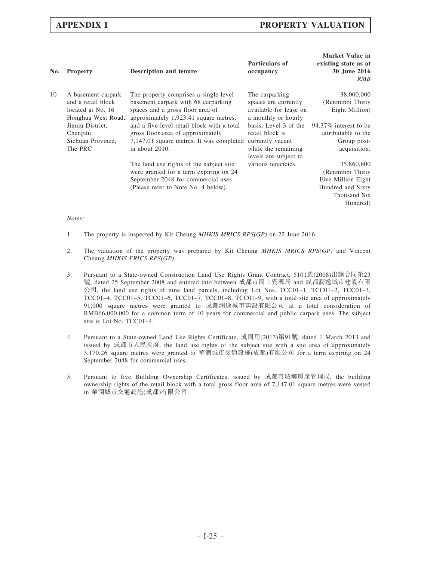| No. | <b>Property</b>                                                                     | <b>Description and tenure</b>                                                                                                                                  | Particulars of<br>occupancy                                                             | <b>Market Value in</b><br>existing state as at<br>30 June 2016<br>RMB                                 |
|-----|-------------------------------------------------------------------------------------|----------------------------------------------------------------------------------------------------------------------------------------------------------------|-----------------------------------------------------------------------------------------|-------------------------------------------------------------------------------------------------------|
| 10  | A basement carpark<br>and a retail block<br>located at No. 16<br>Honghua West Road, | The property comprises a single-level<br>basement carpark with 68 carparking<br>spaces and a gross floor area of<br>approximately 1,923.41 square metres,      | The carparking<br>spaces are currently<br>available for lease on<br>a monthly or hourly | 38,000,000<br>(Renminbi Thirty<br>Eight Million)                                                      |
|     | Jinniu District,<br>Chengdu,                                                        | and a five-level retail block with a total<br>gross floor area of approximately                                                                                | basis. Level 3 of the<br>retail block is                                                | 94.37% interest to be<br>attributable to the                                                          |
|     | Sichuan Province,<br>The PRC                                                        | 7,147.01 square metres. It was completed currently vacant<br>in about 2010.                                                                                    | while the remaining<br>levels are subject to                                            | Group post-<br>acquisition:                                                                           |
|     |                                                                                     | The land use rights of the subject site<br>were granted for a term expiring on 24<br>September 2048 for commercial uses<br>(Please refer to Note No. 4 below). | various tenancies.                                                                      | 35,860,600<br>(Renminbi Thirty<br>Five Million Eight<br>Hundred and Sixty<br>Thousand Six<br>Hundred) |
|     |                                                                                     |                                                                                                                                                                |                                                                                         |                                                                                                       |

### Notes:

- 1. The property is inspected by Kit Cheung MHKIS MRICS RPS(GP) on 22 June 2016.
- 2. The valuation of the property was prepared by Kit Cheung  $MHKIS$  MRICS RPS(GP) and Vincent Cheung MHKIS FRICS RPS(GP).
- 3. Pursuant to a State-owned Construction Land Use Rights Grant Contract, 5101武(2008)出讓合同第23 號, dated 25 September 2008 and entered into between 成都市國土資源局 and 成都潤逸城市建設有限 公司, the land use rights of nine land parcels, including Lot Nos. TCC01–1, TCC01–2, TCC01–3, TCC01–4, TCC01–5, TCC01–6, TCC01–7, TCC01–8, TCC01–9, with a total site area of approximately 91,000 square metres were granted to 成都潤逸城市建設有限公司 at a total consideration of RMB66,000,000 for a common term of 40 years for commercial and public carpark uses. The subject site is Lot No. TCC01–4.
- 4. Pursuant to a State-owned Land Use Rights Certificate, 成國用(2013)第91號, dated 1 March 2013 and issued by 成都市人民政府, the land use rights of the subject site with a site area of approximately 3,170.26 square metres were granted to 華潤城市交通設施(成都)有限公司 for a term expiring on 24 September 2048 for commercial uses.
- 5. Pursuant to five Building Ownership Certificates, issued by 成都市城鄉房產管理局, the building ownership rights of the retail block with a total gross floor area of 7,147.01 square metres were vested in 華潤城市交通設施(成都)有限公司.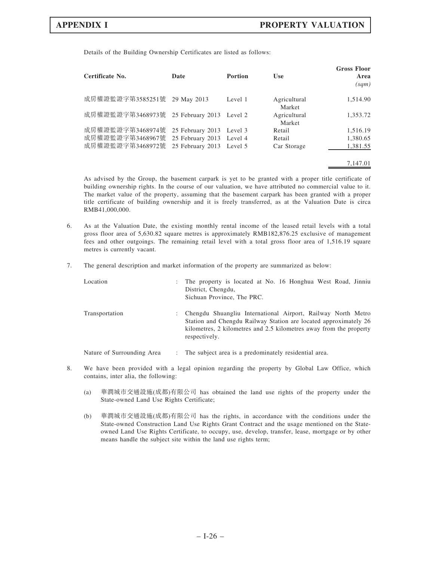Details of the Building Ownership Certificates are listed as follows:

| Certificate No.  | Date                     | <b>Portion</b> | <b>Use</b>             | <b>Gross Floor</b><br>Area<br>(sqm) |
|------------------|--------------------------|----------------|------------------------|-------------------------------------|
| 成房權證監證字第3585251號 | 29 May 2013              | Level 1        | Agricultural<br>Market | 1,514.90                            |
| 成房權證監證字第3468973號 | 25 February 2013 Level 2 |                | Agricultural<br>Market | 1,353.72                            |
| 成房權證監證字第3468974號 | 25 February 2013 Level 3 |                | Retail                 | 1,516.19                            |
| 成房權證監證字第3468967號 | 25 February 2013 Level 4 |                | Retail                 | 1,380.65                            |
| 成房權證監證字第3468972號 | 25 February 2013 Level 5 |                | Car Storage            | 1,381.55                            |
|                  |                          |                |                        | 7.147.01                            |

As advised by the Group, the basement carpark is yet to be granted with a proper title certificate of building ownership rights. In the course of our valuation, we have attributed no commercial value to it. The market value of the property, assuming that the basement carpark has been granted with a proper title certificate of building ownership and it is freely transferred, as at the Valuation Date is circa RMB41,000,000.

- 6. As at the Valuation Date, the existing monthly rental income of the leased retail levels with a total gross floor area of 5,630.82 square metres is approximately RMB182,876.25 exclusive of management fees and other outgoings. The remaining retail level with a total gross floor area of 1,516.19 square metres is currently vacant.
- 7. The general description and market information of the property are summarized as below:

| Location       | $\mathbb{R}^n$ | The property is located at No. 16 Honghua West Road, Jinniu<br>District, Chengdu,<br>Sichuan Province, The PRC.                                                                                                         |
|----------------|----------------|-------------------------------------------------------------------------------------------------------------------------------------------------------------------------------------------------------------------------|
| Transportation |                | Chengdu Shuangliu International Airport, Railway North Metro<br>Station and Chengdu Railway Station are located approximately 26<br>kilometres, 2 kilometres and 2.5 kilometres away from the property<br>respectively. |
|                |                |                                                                                                                                                                                                                         |

- Nature of Surrounding Area : The subject area is a predominately residential area.
- 8. We have been provided with a legal opinion regarding the property by Global Law Office, which contains, inter alia, the following:
	- (a) 華潤城市交通設施(成都)有限公司 has obtained the land use rights of the property under the State-owned Land Use Rights Certificate;
	- (b) 華潤城市交通設施(成都)有限公司 has the rights, in accordance with the conditions under the State-owned Construction Land Use Rights Grant Contract and the usage mentioned on the Stateowned Land Use Rights Certificate, to occupy, use, develop, transfer, lease, mortgage or by other means handle the subject site within the land use rights term;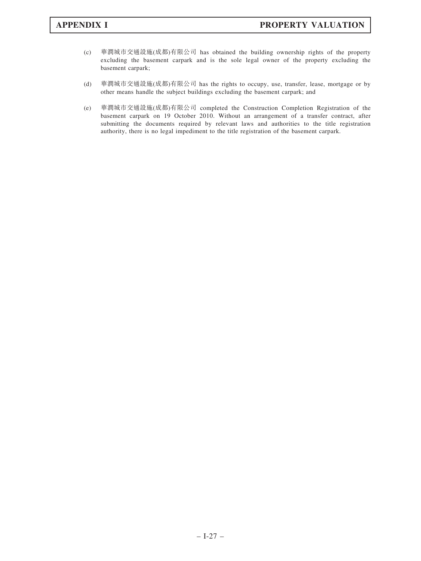- (c) 華潤城市交通設施(成都)有限公司 has obtained the building ownership rights of the property excluding the basement carpark and is the sole legal owner of the property excluding the basement carpark;
- (d) 華潤城市交通設施(成都)有限公司 has the rights to occupy, use, transfer, lease, mortgage or by other means handle the subject buildings excluding the basement carpark; and
- (e) 華潤城市交通設施(成都)有限公司 completed the Construction Completion Registration of the basement carpark on 19 October 2010. Without an arrangement of a transfer contract, after submitting the documents required by relevant laws and authorities to the title registration authority, there is no legal impediment to the title registration of the basement carpark.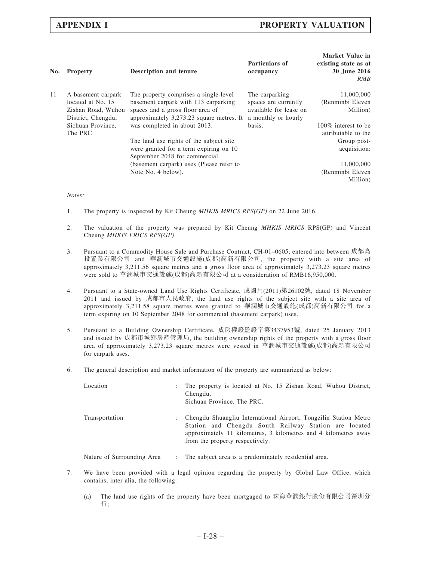| No. | <b>Property</b>                                                                     | Description and tenure                                                                                                                                        | Particulars of<br>occupancy                                                             | <b>Market Value in</b><br>existing state as at<br>30 June 2016<br>RMB |
|-----|-------------------------------------------------------------------------------------|---------------------------------------------------------------------------------------------------------------------------------------------------------------|-----------------------------------------------------------------------------------------|-----------------------------------------------------------------------|
| 11  | A basement carpark<br>located at No. 15<br>Zishan Road, Wuhou<br>District, Chengdu, | The property comprises a single-level<br>basement carpark with 113 carparking<br>spaces and a gross floor area of<br>approximately 3,273.23 square metres. It | The carparking<br>spaces are currently<br>available for lease on<br>a monthly or hourly | 11,000,000<br>(Renminbi Eleven<br>Million)                            |
|     | Sichuan Province,<br>The PRC                                                        | was completed in about 2013.                                                                                                                                  | basis.                                                                                  | 100\% interest to be<br>attributable to the                           |
|     |                                                                                     | The land use rights of the subject site<br>were granted for a term expiring on 10<br>September 2048 for commercial                                            |                                                                                         | Group post-<br>acquisition:                                           |
|     |                                                                                     | (basement carpark) uses (Please refer to                                                                                                                      |                                                                                         | 11,000,000                                                            |
|     |                                                                                     | Note No. 4 below).                                                                                                                                            |                                                                                         | (Renminbi Eleven                                                      |
|     |                                                                                     |                                                                                                                                                               |                                                                                         | Million)                                                              |

### Notes:

- 1. The property is inspected by Kit Cheung *MHKIS MRICS RPS(GP)* on 22 June 2016.
- 2. The valuation of the property was prepared by Kit Cheung MHKIS MRICS RPS(GP) and Vincent Cheung MHKIS FRICS RPS(GP).
- 3. Pursuant to a Commodity House Sale and Purchase Contract, CH-01–0605, entered into between 成都高 投置業有限公司 and 華潤城市交通設施(成都)高新有限公司, the property with a site area of approximately 3,211.56 square metres and a gross floor area of approximately 3,273.23 square metres were sold to 華潤城市交通設施(成都)高新有限公司 at a consideration of RMB16,950,000.
- 4. Pursuant to a State-owned Land Use Rights Certificate, 成國用(2011)第26102號, dated 18 November 2011 and issued by 成都市人民政府, the land use rights of the subject site with a site area of approximately 3,211.58 square metres were granted to 華潤城市交通設施(成都)高新有限公司 for a term expiring on 10 September 2048 for commercial (basement carpark) uses.
- 5. Pursuant to a Building Ownership Certificate, 成房權證監證字第3437953號, dated 25 January 2013 and issued by 成都市城鄉房產管理局, the building ownership rights of the property with a gross floor area of approximately 3,273.23 square metres were vested in 華潤城市交通設施(成都)高新有限公司 for carpark uses.
- 6. The general description and market information of the property are summarized as below:

| Location       | $\mathbb{R}^n$ | The property is located at No. 15 Zishan Road, Wuhou District,<br>Chengdu,<br>Sichuan Province, The PRC.                                                                                                                        |
|----------------|----------------|---------------------------------------------------------------------------------------------------------------------------------------------------------------------------------------------------------------------------------|
| Transportation | $\mathbb{R}^n$ | Chengdu Shuangliu International Airport, Tongzilin Station Metro<br>Station and Chengdu South Railway Station are located<br>approximately 11 kilometres, 3 kilometres and 4 kilometres away<br>from the property respectively. |

Nature of Surrounding Area : The subject area is a predominately residential area.

- 7. We have been provided with a legal opinion regarding the property by Global Law Office, which contains, inter alia, the following:
	- (a) The land use rights of the property have been mortgaged to 珠海華潤銀行股份有限公司深圳分 行;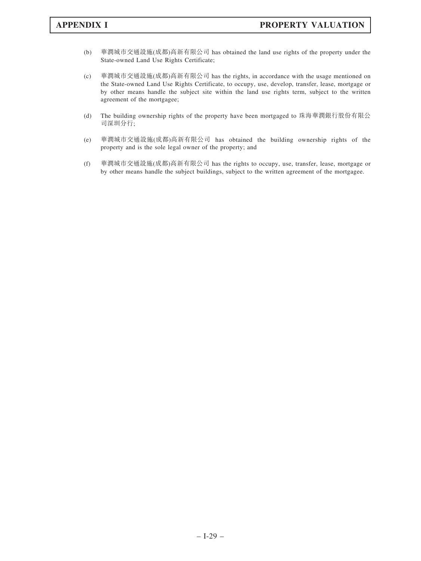- (b) 華潤城市交通設施(成都)高新有限公司 has obtained the land use rights of the property under the State-owned Land Use Rights Certificate;
- (c) 華潤城市交通設施(成都)高新有限公司 has the rights, in accordance with the usage mentioned on the State-owned Land Use Rights Certificate, to occupy, use, develop, transfer, lease, mortgage or by other means handle the subject site within the land use rights term, subject to the written agreement of the mortgagee;
- (d) The building ownership rights of the property have been mortgaged to 珠海華潤銀行股份有限公 司深圳分行;
- (e) 華潤城市交通設施(成都)高新有限公司 has obtained the building ownership rights of the property and is the sole legal owner of the property; and
- (f) 華潤城市交通設施(成都)高新有限公司 has the rights to occupy, use, transfer, lease, mortgage or by other means handle the subject buildings, subject to the written agreement of the mortgagee.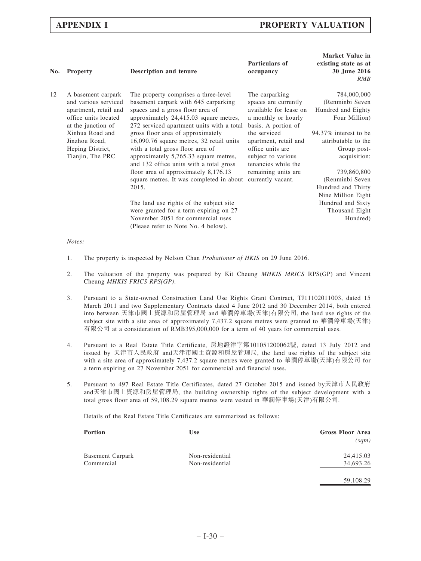| No. | <b>Property</b>                                                                                                   | <b>Description and tenure</b>                                                                                                                                                                           | Particulars of<br>occupancy                                                                                    | <b>Market Value in</b><br>existing state as at<br>30 June 2016<br>RMB       |
|-----|-------------------------------------------------------------------------------------------------------------------|---------------------------------------------------------------------------------------------------------------------------------------------------------------------------------------------------------|----------------------------------------------------------------------------------------------------------------|-----------------------------------------------------------------------------|
| 12  | A basement carpark<br>and various serviced<br>apartment, retail and<br>office units located<br>at the junction of | The property comprises a three-level<br>basement carpark with 645 carparking<br>spaces and a gross floor area of<br>approximately 24,415.03 square metres,<br>272 serviced apartment units with a total | The carparking<br>spaces are currently<br>available for lease on<br>a monthly or hourly<br>basis. A portion of | 784,000,000<br>(Renminbi Seven<br>Hundred and Eighty<br>Four Million)       |
|     | Xinhua Road and<br>Jinzhou Road,<br>Heping District,<br>Tianjin, The PRC                                          | gross floor area of approximately<br>16,090.76 square metres, 32 retail units<br>with a total gross floor area of<br>approximately 5,765.33 square metres,<br>and 132 office units with a total gross   | the serviced<br>apartment, retail and<br>office units are<br>subject to various<br>tenancies while the         | 94.37% interest to be<br>attributable to the<br>Group post-<br>acquisition: |
|     |                                                                                                                   | floor area of approximately $8,176.13$<br>square metres. It was completed in about<br>2015.                                                                                                             | remaining units are<br>currently vacant.                                                                       | 739,860,800<br>(Renminbi Seven<br>Hundred and Thirty<br>Nine Million Eight  |
|     |                                                                                                                   | The land use rights of the subject site<br>were granted for a term expiring on 27<br>November 2051 for commercial uses<br>(Please refer to Note No. 4 below).                                           |                                                                                                                | Hundred and Sixty<br>Thousand Eight<br>Hundred)                             |
|     |                                                                                                                   |                                                                                                                                                                                                         |                                                                                                                |                                                                             |

- Notes:
- 1. The property is inspected by Nelson Chan *Probationer of HKIS* on 29 June 2016.
- 2. The valuation of the property was prepared by Kit Cheung MHKIS MRICS RPS(GP) and Vincent Cheung MHKIS FRICS RPS(GP).
- 3. Pursuant to a State-owned Construction Land Use Rights Grant Contract, TJ11102011003, dated 15 March 2011 and two Supplementary Contracts dated 4 June 2012 and 30 December 2014, both entered into between 天津市國土資源和房屋管理局 and 華潤停車場(天津)有限公司, the land use rights of the subject site with a site area of approximately 7,437.2 square metres were granted to 華潤停車場(天津) 有限公司 at a consideration of RMB395,000,000 for a term of 40 years for commercial uses.
- 4. Pursuant to a Real Estate Title Certificate, 房地證津字第101051200062號, dated 13 July 2012 and issued by 天津市人民政府 and天津市國土資源和房屋管理局, the land use rights of the subject site with a site area of approximately 7,437.2 square metres were granted to 華潤停車場(天津)有限公司 for a term expiring on 27 November 2051 for commercial and financial uses.
- 5. Pursuant to 497 Real Estate Title Certificates, dated 27 October 2015 and issued by天津市人民政府 and天津市國土資源和房屋管理局, the building ownership rights of the subject development with a total gross floor area of 59,108.29 square metres were vested in 華潤停車場(天津)有限公司.

Details of the Real Estate Title Certificates are summarized as follows:

| <b>Portion</b>          | <b>Use</b>      | <b>Gross Floor Area</b><br>(sqm) |
|-------------------------|-----------------|----------------------------------|
| <b>Basement Carpark</b> | Non-residential | 24,415.03                        |
| Commercial              | Non-residential | 34,693.26                        |
|                         |                 | 59.108.29                        |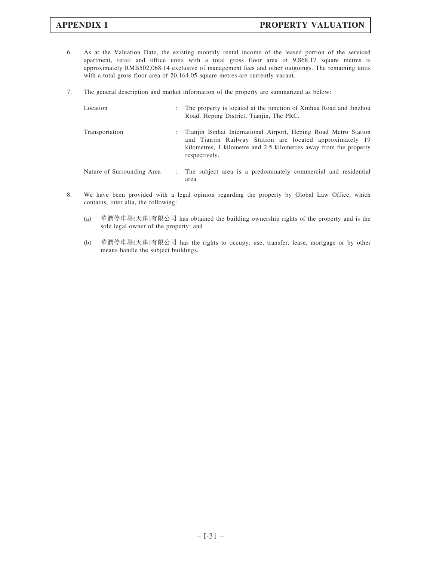- 6. As at the Valuation Date, the existing monthly rental income of the leased portion of the serviced apartment, retail and office units with a total gross floor area of 9,868.17 square metres is approximately RMB502,068.14 exclusive of management fees and other outgoings. The remaining units with a total gross floor area of 20,164.05 square metres are currently vacant.
- 7. The general description and market information of the property are summarized as below:

| Location                   | ÷             | The property is located at the junction of Xinhua Road and Jinzhou<br>Road, Heping District, Tianjin, The PRC.                                                                                                    |
|----------------------------|---------------|-------------------------------------------------------------------------------------------------------------------------------------------------------------------------------------------------------------------|
| Transportation             | $\mathcal{L}$ | Tianjin Binhai International Airport, Heping Road Metro Station<br>and Tianjin Railway Station are located approximately 19<br>kilometres, 1 kilometre and 2.5 kilometres away from the property<br>respectively. |
| Nature of Surrounding Area |               | The subject area is a predominately commercial and residential<br>area.                                                                                                                                           |

- 8. We have been provided with a legal opinion regarding the property by Global Law Office, which contains, inter alia, the following:
	- (a) 華潤停車場(天津)有限公司 has obtained the building ownership rights of the property and is the sole legal owner of the property; and
	- (b) 華潤停車場(天津)有限公司 has the rights to occupy, use, transfer, lease, mortgage or by other means handle the subject buildings.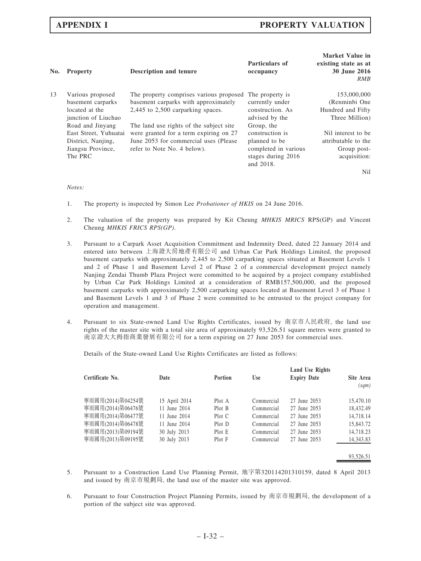| No. | <b>Property</b>       | <b>Description and tenure</b>           | Particulars of<br>occupancy | Market Value in<br>existing state as at<br>30 June 2016<br><b>RMB</b> |
|-----|-----------------------|-----------------------------------------|-----------------------------|-----------------------------------------------------------------------|
| 13  | Various proposed      | The property comprises various proposed | The property is             | 153,000,000                                                           |
|     | basement carparks     | basement carparks with approximately    | currently under             | (Renminbi One                                                         |
|     | located at the        | 2,445 to 2,500 carparking spaces.       | construction. As            | Hundred and Fifty                                                     |
|     | junction of Liuchao   |                                         | advised by the              | Three Million)                                                        |
|     | Road and Jinyang      | The land use rights of the subject site | Group, the                  |                                                                       |
|     | East Street, Yuhuatai | were granted for a term expiring on 27  | construction is             | Nil interest to be                                                    |
|     | District, Nanjing,    | June 2053 for commercial uses (Please   | planned to be               | attributable to the                                                   |
|     | Jiangsu Province,     | refer to Note No. 4 below).             | completed in various        | Group post-                                                           |
|     | The PRC               |                                         | stages during 2016          | acquisition:                                                          |
|     |                       |                                         | and 2018.                   |                                                                       |
|     |                       |                                         |                             | Nil                                                                   |

### Notes:

- 1. The property is inspected by Simon Lee Probationer of HKIS on 24 June 2016.
- 2. The valuation of the property was prepared by Kit Cheung MHKIS MRICS RPS(GP) and Vincent Cheung MHKIS FRICS RPS(GP).
- 3. Pursuant to a Carpark Asset Acquisition Commitment and Indemnity Deed, dated 22 January 2014 and entered into between 上海證大房地產有限公司 and Urban Car Park Holdings Limited, the proposed basement carparks with approximately 2,445 to 2,500 carparking spaces situated at Basement Levels 1 and 2 of Phase 1 and Basement Level 2 of Phase 2 of a commercial development project namely Nanjing Zendai Thumb Plaza Project were committed to be acquired by a project company established by Urban Car Park Holdings Limited at a consideration of RMB157,500,000, and the proposed basement carparks with approximately 2,500 carparking spaces located at Basement Level 3 of Phase 1 and Basement Levels 1 and 3 of Phase 2 were committed to be entrusted to the project company for operation and management.
- 4. Pursuant to six State-owned Land Use Rights Certificates, issued by 南京市人民政府, the land use rights of the master site with a total site area of approximately 93,526.51 square metres were granted to 南京證大大拇指商業發展有限公司 for a term expiring on 27 June 2053 for commercial uses.

Details of the State-owned Land Use Rights Certificates are listed as follows:

| Certificate No.   | Date          | <b>Portion</b> | Use        | Land Use Rights<br><b>Expiry Date</b> | Site Area<br>(sqm) |
|-------------------|---------------|----------------|------------|---------------------------------------|--------------------|
| 寧雨國用(2014)第04254號 | 15 April 2014 | Plot A         | Commercial | 27 June 2053                          | 15,470.10          |
| 寧雨國用(2014)第06476號 | 11 June 2014  | Plot B         | Commercial | 27 June 2053                          | 18.432.49          |
| 寧雨國用(2014)第06477號 | 11 June 2014  | Plot C         | Commercial | 27 June 2053                          | 14.718.14          |
| 寧雨國用(2014)第06478號 | 11 June 2014  | Plot D         | Commercial | 27 June 2053                          | 15,843.72          |
| 寧雨國用(2013)第09194號 | 30 July 2013  | Plot E         | Commercial | 27 June 2053                          | 14,718.23          |
| 寧雨國用(2013)第09195號 | 30 July 2013  | Plot F         | Commercial | 27 June 2053                          | 14,343.83          |
|                   |               |                |            |                                       |                    |
|                   |               |                |            |                                       | 93.526.51          |

- 5. Pursuant to a Construction Land Use Planning Permit, 地字第320114201310159, dated 8 April 2013 and issued by 南京市規劃局, the land use of the master site was approved.
- 6. Pursuant to four Construction Project Planning Permits, issued by 南京市規劃局, the development of a portion of the subject site was approved.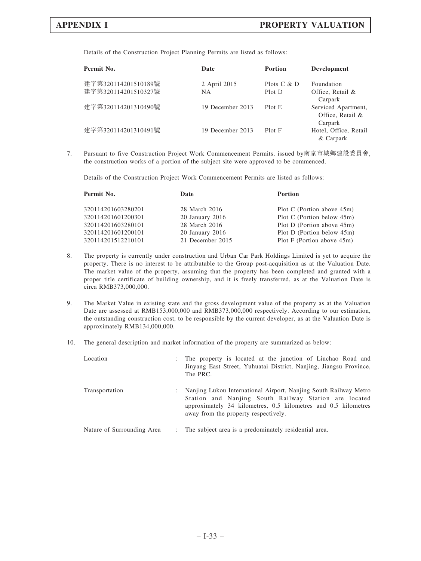Details of the Construction Project Planning Permits are listed as follows:

| Permit No.                                 | Date                      | <b>Portion</b>          | Development                                        |
|--------------------------------------------|---------------------------|-------------------------|----------------------------------------------------|
| 建字第320114201510189號<br>建字第320114201510327號 | 2 April 2015<br><b>NA</b> | Plots $C & D$<br>Plot D | Foundation<br>Office, Retail &<br>Carpark          |
| 建字第320114201310490號                        | 19 December 2013          | Plot E                  | Serviced Apartment,<br>Office, Retail &<br>Carpark |
| 建字第320114201310491號                        | 19 December 2013          | Plot F                  | Hotel, Office, Retail<br>& Carpark                 |

7. Pursuant to five Construction Project Work Commencement Permits, issued by南京市城鄉建設委員會, the construction works of a portion of the subject site were approved to be commenced.

Details of the Construction Project Work Commencement Permits are listed as follows:

| Permit No.         | Date                | <b>Portion</b>                |
|--------------------|---------------------|-------------------------------|
| 320114201603280201 | 28 March 2016       | Plot C (Portion above 45m)    |
| 320114201601200301 | $20$ January $2016$ | Plot C (Portion below 45m)    |
| 320114201603280101 | 28 March 2016       | Plot D (Portion above 45m)    |
| 320114201601200101 | $20$ January $2016$ | Plot D (Portion below 45m)    |
| 320114201512210101 | 21 December 2015    | Plot F (Portion above $45m$ ) |
|                    |                     |                               |

- 8. The property is currently under construction and Urban Car Park Holdings Limited is yet to acquire the property. There is no interest to be attributable to the Group post-acquisition as at the Valuation Date. The market value of the property, assuming that the property has been completed and granted with a proper title certificate of building ownership, and it is freely transferred, as at the Valuation Date is circa RMB373,000,000.
- 9. The Market Value in existing state and the gross development value of the property as at the Valuation Date are assessed at RMB153,000,000 and RMB373,000,000 respectively. According to our estimation, the outstanding construction cost, to be responsible by the current developer, as at the Valuation Date is approximately RMB134,000,000.
- 10. The general description and market information of the property are summarized as below:

| Location                   |                | : The property is located at the junction of Liuchao Road and<br>Jinyang East Street, Yuhuatai District, Nanjing, Jiangsu Province,<br>The PRC.                                                                                     |
|----------------------------|----------------|-------------------------------------------------------------------------------------------------------------------------------------------------------------------------------------------------------------------------------------|
| Transportation             | ÷              | Nanjing Lukou International Airport, Nanjing South Railway Metro<br>Station and Nanjing South Railway Station are located<br>approximately 34 kilometres, 0.5 kilometres and 0.5 kilometres<br>away from the property respectively. |
| Nature of Surrounding Area | $\mathbb{R}^n$ | The subject area is a predominately residential area.                                                                                                                                                                               |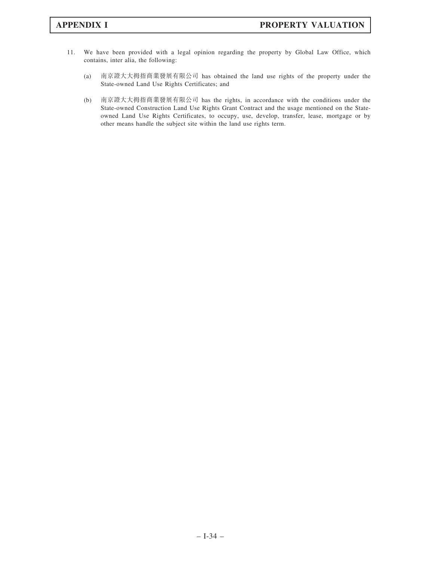- 11. We have been provided with a legal opinion regarding the property by Global Law Office, which contains, inter alia, the following:
	- (a) 南京證大大拇指商業發展有限公司 has obtained the land use rights of the property under the State-owned Land Use Rights Certificates; and
	- (b) 南京證大大拇指商業發展有限公司 has the rights, in accordance with the conditions under the State-owned Construction Land Use Rights Grant Contract and the usage mentioned on the Stateowned Land Use Rights Certificates, to occupy, use, develop, transfer, lease, mortgage or by other means handle the subject site within the land use rights term.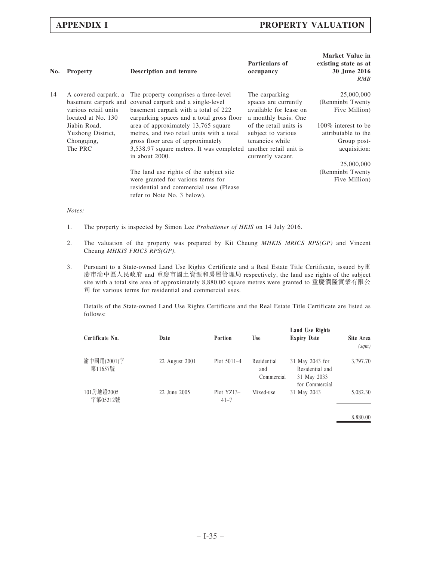| No. | <b>Property</b>                                                    | <b>Description and tenure</b>                                                                                                                                                        | Particulars of<br>occupancy                                                                                    | <b>Market Value in</b><br>existing state as at<br>30 June 2016<br>RMB                   |
|-----|--------------------------------------------------------------------|--------------------------------------------------------------------------------------------------------------------------------------------------------------------------------------|----------------------------------------------------------------------------------------------------------------|-----------------------------------------------------------------------------------------|
| 14  | A covered carpark, a<br>various retail units<br>located at No. 130 | The property comprises a three-level<br>basement carpark and covered carpark and a single-level<br>basement carpark with a total of 222<br>carparking spaces and a total gross floor | The carparking<br>spaces are currently<br>available for lease on<br>a monthly basis. One                       | 25,000,000<br>(Renminbi Twenty<br>Five Million)                                         |
|     | Jiabin Road,<br>Yuzhong District,<br>Chongqing,<br>The PRC         | area of approximately 13,765 square<br>metres, and two retail units with a total<br>gross floor area of approximately<br>3,538.97 square metres. It was completed<br>in about 2000.  | of the retail units is<br>subject to various<br>tenancies while<br>another retail unit is<br>currently vacant. | 100% interest to be<br>attributable to the<br>Group post-<br>acquisition:<br>25,000,000 |
|     |                                                                    | The land use rights of the subject site<br>were granted for various terms for<br>residential and commercial uses (Please)<br>refer to Note No. 3 below).                             |                                                                                                                | (Renminbi Twenty<br>Five Million)                                                       |

### Notes:

- 1. The property is inspected by Simon Lee Probationer of HKIS on 14 July 2016.
- 2. The valuation of the property was prepared by Kit Cheung MHKIS MRICS RPS(GP) and Vincent Cheung MHKIS FRICS RPS(GP).
- 3. Pursuant to a State-owned Land Use Rights Certificate and a Real Estate Title Certificate, issued by重 慶市渝中區人民政府 and 重慶市國土資源和房屋管理局 respectively, the land use rights of the subject site with a total site area of approximately 8,880.00 square metres were granted to 重慶潤隆實業有限公 司 for various terms for residential and commercial uses.

Details of the State-owned Land Use Rights Certificate and the Real Estate Title Certificate are listed as follows:

| Certificate No.        | Date           | Portion                | <b>Use</b>                       | <b>Land Use Rights</b><br><b>Expiry Date</b>                        | Site Area<br>(sqm) |
|------------------------|----------------|------------------------|----------------------------------|---------------------------------------------------------------------|--------------------|
| 渝中國用(2001)字<br>第11657號 | 22 August 2001 | Plot $5011-4$          | Residential<br>and<br>Commercial | 31 May 2043 for<br>Residential and<br>31 May 2033<br>for Commercial | 3,797.70           |
| 101房地證2005<br>字第05212號 | 22 June 2005   | Plot YZ13-<br>$41 - 7$ | Mixed-use                        | 31 May 2043                                                         | 5,082.30           |

8,880.00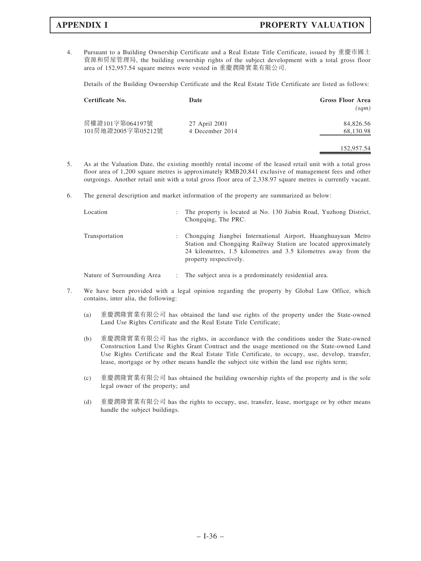4. Pursuant to a Building Ownership Certificate and a Real Estate Title Certificate, issued by 重慶市國土 資源和房屋管理局, the building ownership rights of the subject development with a total gross floor area of 152,957.54 square metres were vested in 重慶潤隆實業有限公司.

Details of the Building Ownership Certificate and the Real Estate Title Certificate are listed as follows:

| Certificate No.                       | Date                             | <b>Gross Floor Area</b><br>(sqm) |
|---------------------------------------|----------------------------------|----------------------------------|
| 房權證101字第064197號<br>101房地證2005字第05212號 | 27 April 2001<br>4 December 2014 | 84,826.56<br>68,130.98           |
|                                       |                                  | 152,957.54                       |

- 5. As at the Valuation Date, the existing monthly rental income of the leased retail unit with a total gross floor area of 1,200 square metres is approximately RMB20,841 exclusive of management fees and other outgoings. Another retail unit with a total gross floor area of 2,338.97 square metres is currently vacant.
- 6. The general description and market information of the property are summarized as below:

| Location                   | ÷             | The property is located at No. 130 Jiabin Road, Yuzhong District,<br>Chongqing, The PRC.                                                                                                                                    |
|----------------------------|---------------|-----------------------------------------------------------------------------------------------------------------------------------------------------------------------------------------------------------------------------|
| Transportation             | $\mathcal{L}$ | Chongqing Jiangbei International Airport, Huanghuayuan Metro<br>Station and Chongqing Railway Station are located approximately<br>24 kilometres, 1.5 kilometres and 3.5 kilometres away from the<br>property respectively. |
| Nature of Surrounding Area |               | : The subject area is a predominately residential area.                                                                                                                                                                     |

- 7. We have been provided with a legal opinion regarding the property by Global Law Office, which contains, inter alia, the following:
	- (a) 重慶潤隆實業有限公司 has obtained the land use rights of the property under the State-owned Land Use Rights Certificate and the Real Estate Title Certificate;
	- (b) 重慶潤隆實業有限公司 has the rights, in accordance with the conditions under the State-owned Construction Land Use Rights Grant Contract and the usage mentioned on the State-owned Land Use Rights Certificate and the Real Estate Title Certificate, to occupy, use, develop, transfer, lease, mortgage or by other means handle the subject site within the land use rights term;
	- (c) 重慶潤隆實業有限公司 has obtained the building ownership rights of the property and is the sole legal owner of the property; and
	- (d) 重慶潤隆實業有限公司 has the rights to occupy, use, transfer, lease, mortgage or by other means handle the subject buildings.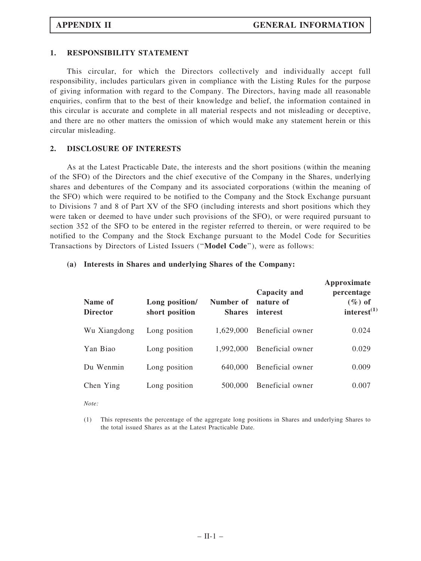### 1. RESPONSIBILITY STATEMENT

This circular, for which the Directors collectively and individually accept full responsibility, includes particulars given in compliance with the Listing Rules for the purpose of giving information with regard to the Company. The Directors, having made all reasonable enquiries, confirm that to the best of their knowledge and belief, the information contained in this circular is accurate and complete in all material respects and not misleading or deceptive, and there are no other matters the omission of which would make any statement herein or this circular misleading.

### 2. DISCLOSURE OF INTERESTS

As at the Latest Practicable Date, the interests and the short positions (within the meaning of the SFO) of the Directors and the chief executive of the Company in the Shares, underlying shares and debentures of the Company and its associated corporations (within the meaning of the SFO) which were required to be notified to the Company and the Stock Exchange pursuant to Divisions 7 and 8 of Part XV of the SFO (including interests and short positions which they were taken or deemed to have under such provisions of the SFO), or were required pursuant to section 352 of the SFO to be entered in the register referred to therein, or were required to be notified to the Company and the Stock Exchange pursuant to the Model Code for Securities Transactions by Directors of Listed Issuers (''Model Code''), were as follows:

### (a) Interests in Shares and underlying Shares of the Company:

| Name of<br><b>Director</b> | Long position/<br>short position | Number of<br><b>Shares</b> | Capacity and<br>nature of<br>interest | Approximate<br>percentage<br>$(\%)$ of<br>interest $^{(1)}$ |
|----------------------------|----------------------------------|----------------------------|---------------------------------------|-------------------------------------------------------------|
| Wu Xiangdong               | Long position                    | 1,629,000                  | Beneficial owner                      | 0.024                                                       |
| Yan Biao                   | Long position                    | 1,992,000                  | Beneficial owner                      | 0.029                                                       |
| Du Wenmin                  | Long position                    | 640,000                    | Beneficial owner                      | 0.009                                                       |
| Chen Ying                  | Long position                    | 500,000                    | Beneficial owner                      | 0.007                                                       |

Note:

<sup>(1)</sup> This represents the percentage of the aggregate long positions in Shares and underlying Shares to the total issued Shares as at the Latest Practicable Date.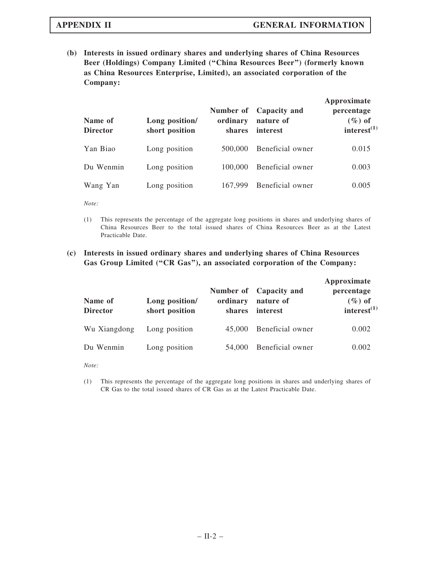(b) Interests in issued ordinary shares and underlying shares of China Resources Beer (Holdings) Company Limited (''China Resources Beer'') (formerly known as China Resources Enterprise, Limited), an associated corporation of the Company:

| Name of<br><b>Director</b> | Long position/<br>short position | ordinary<br>shares | Number of Capacity and<br>nature of<br>interest | Approximate<br>percentage<br>$(\%)$ of<br>interest <sup>(1)</sup> |
|----------------------------|----------------------------------|--------------------|-------------------------------------------------|-------------------------------------------------------------------|
| Yan Biao                   | Long position                    | 500,000            | Beneficial owner                                | 0.015                                                             |
| Du Wenmin                  | Long position                    | 100,000            | Beneficial owner                                | 0.003                                                             |
| Wang Yan                   | Long position                    | 167,999            | Beneficial owner                                | 0.005                                                             |

Note:

(1) This represents the percentage of the aggregate long positions in shares and underlying shares of China Resources Beer to the total issued shares of China Resources Beer as at the Latest Practicable Date.

## (c) Interests in issued ordinary shares and underlying shares of China Resources Gas Group Limited ("CR Gas"), an associated corporation of the Company:

| Name of<br><b>Director</b> | Long position/<br>short position | ordinary<br>shares | Number of Capacity and<br>nature of<br>interest | Approximate<br>percentage<br>$(\%)$ of<br>interest $^{(1)}$ |
|----------------------------|----------------------------------|--------------------|-------------------------------------------------|-------------------------------------------------------------|
| Wu Xiangdong               | Long position                    | 45,000             | Beneficial owner                                | 0.002                                                       |
| Du Wenmin                  | Long position                    | 54,000             | Beneficial owner                                | 0.002                                                       |

Note:

(1) This represents the percentage of the aggregate long positions in shares and underlying shares of CR Gas to the total issued shares of CR Gas as at the Latest Practicable Date.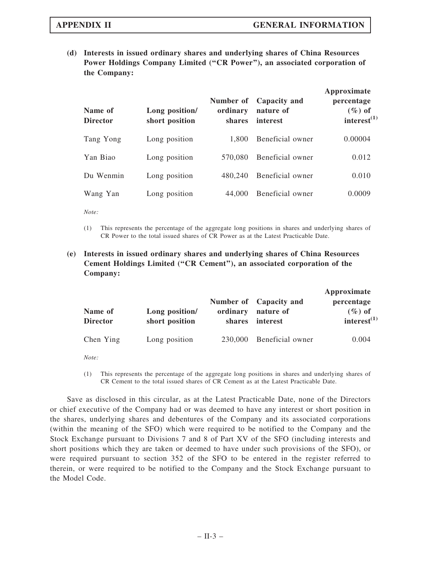(d) Interests in issued ordinary shares and underlying shares of China Resources Power Holdings Company Limited ("CR Power"), an associated corporation of the Company:

| Name of<br><b>Director</b> | Long position/<br>short position | Number of<br>ordinary<br><b>shares</b> | Capacity and<br>nature of<br>interest | Approximate<br>percentage<br>$(\%)$ of<br>interest <sup>(1)</sup> |
|----------------------------|----------------------------------|----------------------------------------|---------------------------------------|-------------------------------------------------------------------|
| Tang Yong                  | Long position                    | 1.800                                  | Beneficial owner                      | 0.00004                                                           |
| Yan Biao                   | Long position                    | 570.080                                | Beneficial owner                      | 0.012                                                             |
| Du Wenmin                  | Long position                    | 480.240                                | Beneficial owner                      | 0.010                                                             |
| Wang Yan                   | Long position                    | 44,000                                 | Beneficial owner                      | 0.0009                                                            |

Note:

(1) This represents the percentage of the aggregate long positions in shares and underlying shares of CR Power to the total issued shares of CR Power as at the Latest Practicable Date.

## (e) Interests in issued ordinary shares and underlying shares of China Resources Cement Holdings Limited (''CR Cement''), an associated corporation of the Company:

| Name of<br><b>Director</b> | Long position/<br>short position | ordinary<br>shares | Number of Capacity and<br>nature of<br>interest | Approximate<br>percentage<br>$(\%)$ of<br>interest $^{(1)}$ |
|----------------------------|----------------------------------|--------------------|-------------------------------------------------|-------------------------------------------------------------|
| Chen Ying                  | Long position                    | 230,000            | Beneficial owner                                | 0.004                                                       |

Note:

(1) This represents the percentage of the aggregate long positions in shares and underlying shares of CR Cement to the total issued shares of CR Cement as at the Latest Practicable Date.

Save as disclosed in this circular, as at the Latest Practicable Date, none of the Directors or chief executive of the Company had or was deemed to have any interest or short position in the shares, underlying shares and debentures of the Company and its associated corporations (within the meaning of the SFO) which were required to be notified to the Company and the Stock Exchange pursuant to Divisions 7 and 8 of Part XV of the SFO (including interests and short positions which they are taken or deemed to have under such provisions of the SFO), or were required pursuant to section 352 of the SFO to be entered in the register referred to therein, or were required to be notified to the Company and the Stock Exchange pursuant to the Model Code.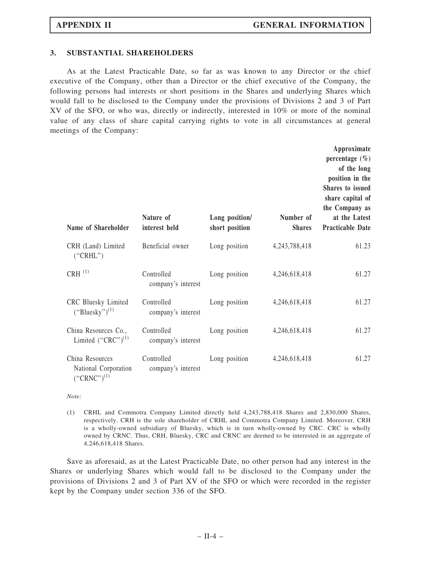### 3. SUBSTANTIAL SHAREHOLDERS

As at the Latest Practicable Date, so far as was known to any Director or the chief executive of the Company, other than a Director or the chief executive of the Company, the following persons had interests or short positions in the Shares and underlying Shares which would fall to be disclosed to the Company under the provisions of Divisions 2 and 3 of Part XV of the SFO, or who was, directly or indirectly, interested in 10% or more of the nominal value of any class of share capital carrying rights to vote in all circumstances at general meetings of the Company:

| Name of Shareholder                                         | Nature of<br>interest held       | Long position/<br>short position | Number of<br><b>Shares</b> | Approximate<br>percentage $(\% )$<br>of the long<br>position in the<br><b>Shares to issued</b><br>share capital of<br>the Company as<br>at the Latest<br><b>Practicable Date</b> |
|-------------------------------------------------------------|----------------------------------|----------------------------------|----------------------------|----------------------------------------------------------------------------------------------------------------------------------------------------------------------------------|
| CRH (Land) Limited<br>("CRHL")                              | Beneficial owner                 | Long position                    | 4,243,788,418              | 61.23                                                                                                                                                                            |
| $CRH$ <sup><math>(1)</math></sup>                           | Controlled<br>company's interest | Long position                    | 4,246,618,418              | 61.27                                                                                                                                                                            |
| CRC Bluesky Limited<br>$("Bluesky")^{(1)}$                  | Controlled<br>company's interest | Long position                    | 4,246,618,418              | 61.27                                                                                                                                                                            |
| China Resources Co.,<br>Limited $("CRC")^{(1)}$             | Controlled<br>company's interest | Long position                    | 4,246,618,418              | 61.27                                                                                                                                                                            |
| China Resources<br>National Corporation<br>$("CRNC")^{(1)}$ | Controlled<br>company's interest | Long position                    | 4,246,618,418              | 61.27                                                                                                                                                                            |

 $Note:$ 

(1) CRHL and Commotra Company Limited directly held 4,243,788,418 Shares and 2,830,000 Shares, respectively. CRH is the sole shareholder of CRHL and Commotra Company Limited. Moreover, CRH is a wholly-owned subsidiary of Bluesky, which is in turn wholly-owned by CRC. CRC is wholly owned by CRNC. Thus, CRH, Bluesky, CRC and CRNC are deemed to be interested in an aggregate of 4,246,618,418 Shares.

Save as aforesaid, as at the Latest Practicable Date, no other person had any interest in the Shares or underlying Shares which would fall to be disclosed to the Company under the provisions of Divisions 2 and 3 of Part XV of the SFO or which were recorded in the register kept by the Company under section 336 of the SFO.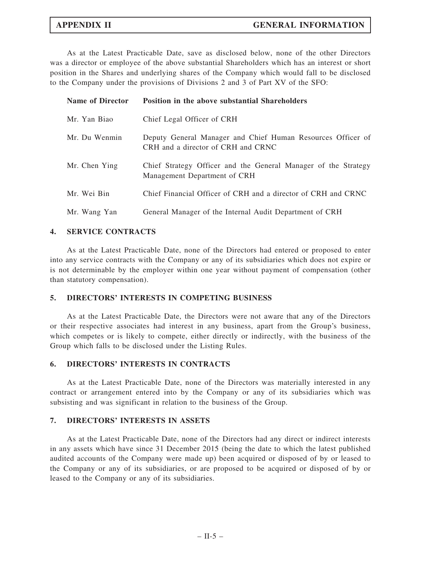As at the Latest Practicable Date, save as disclosed below, none of the other Directors was a director or employee of the above substantial Shareholders which has an interest or short position in the Shares and underlying shares of the Company which would fall to be disclosed to the Company under the provisions of Divisions 2 and 3 of Part XV of the SFO:

| <b>Name of Director</b> | Position in the above substantial Shareholders                                                    |
|-------------------------|---------------------------------------------------------------------------------------------------|
| Mr. Yan Biao            | Chief Legal Officer of CRH                                                                        |
| Mr. Du Wenmin           | Deputy General Manager and Chief Human Resources Officer of<br>CRH and a director of CRH and CRNC |
| Mr. Chen Ying           | Chief Strategy Officer and the General Manager of the Strategy<br>Management Department of CRH    |
| Mr. Wei Bin             | Chief Financial Officer of CRH and a director of CRH and CRNC                                     |
| Mr. Wang Yan            | General Manager of the Internal Audit Department of CRH                                           |

### 4. SERVICE CONTRACTS

As at the Latest Practicable Date, none of the Directors had entered or proposed to enter into any service contracts with the Company or any of its subsidiaries which does not expire or is not determinable by the employer within one year without payment of compensation (other than statutory compensation).

### 5. DIRECTORS' INTERESTS IN COMPETING BUSINESS

As at the Latest Practicable Date, the Directors were not aware that any of the Directors or their respective associates had interest in any business, apart from the Group's business, which competes or is likely to compete, either directly or indirectly, with the business of the Group which falls to be disclosed under the Listing Rules.

#### 6. DIRECTORS' INTERESTS IN CONTRACTS

As at the Latest Practicable Date, none of the Directors was materially interested in any contract or arrangement entered into by the Company or any of its subsidiaries which was subsisting and was significant in relation to the business of the Group.

#### 7. DIRECTORS' INTERESTS IN ASSETS

As at the Latest Practicable Date, none of the Directors had any direct or indirect interests in any assets which have since 31 December 2015 (being the date to which the latest published audited accounts of the Company were made up) been acquired or disposed of by or leased to the Company or any of its subsidiaries, or are proposed to be acquired or disposed of by or leased to the Company or any of its subsidiaries.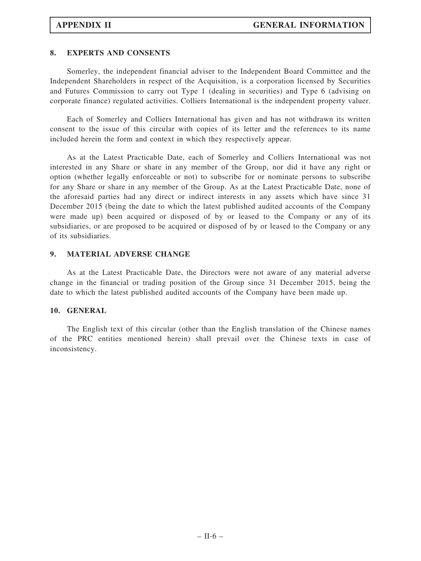## 8. EXPERTS AND CONSENTS

Somerley, the independent financial adviser to the Independent Board Committee and the Independent Shareholders in respect of the Acquisition, is a corporation licensed by Securities and Futures Commission to carry out Type 1 (dealing in securities) and Type 6 (advising on corporate finance) regulated activities. Colliers International is the independent property valuer.

Each of Somerley and Colliers International has given and has not withdrawn its written consent to the issue of this circular with copies of its letter and the references to its name included herein the form and context in which they respectively appear.

As at the Latest Practicable Date, each of Somerley and Colliers International was not interested in any Share or share in any member of the Group, nor did it have any right or option (whether legally enforceable or not) to subscribe for or nominate persons to subscribe for any Share or share in any member of the Group. As at the Latest Practicable Date, none of the aforesaid parties had any direct or indirect interests in any assets which have since 31 December 2015 (being the date to which the latest published audited accounts of the Company were made up) been acquired or disposed of by or leased to the Company or any of its subsidiaries, or are proposed to be acquired or disposed of by or leased to the Company or any of its subsidiaries.

## 9. MATERIAL ADVERSE CHANGE

As at the Latest Practicable Date, the Directors were not aware of any material adverse change in the financial or trading position of the Group since 31 December 2015, being the date to which the latest published audited accounts of the Company have been made up.

#### 10. GENERAL

The English text of this circular (other than the English translation of the Chinese names of the PRC entities mentioned herein) shall prevail over the Chinese texts in case of inconsistency.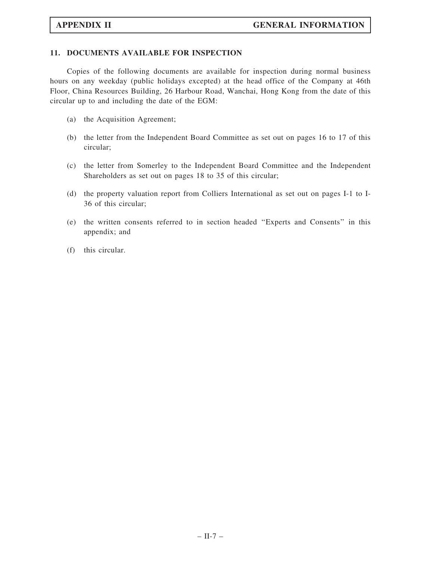## 11. DOCUMENTS AVAILABLE FOR INSPECTION

Copies of the following documents are available for inspection during normal business hours on any weekday (public holidays excepted) at the head office of the Company at 46th Floor, China Resources Building, 26 Harbour Road, Wanchai, Hong Kong from the date of this circular up to and including the date of the EGM:

- (a) the Acquisition Agreement;
- (b) the letter from the Independent Board Committee as set out on pages 16 to 17 of this circular;
- (c) the letter from Somerley to the Independent Board Committee and the Independent Shareholders as set out on pages 18 to 35 of this circular;
- (d) the property valuation report from Colliers International as set out on pages I-1 to I-36 of this circular;
- (e) the written consents referred to in section headed ''Experts and Consents'' in this appendix; and
- (f) this circular.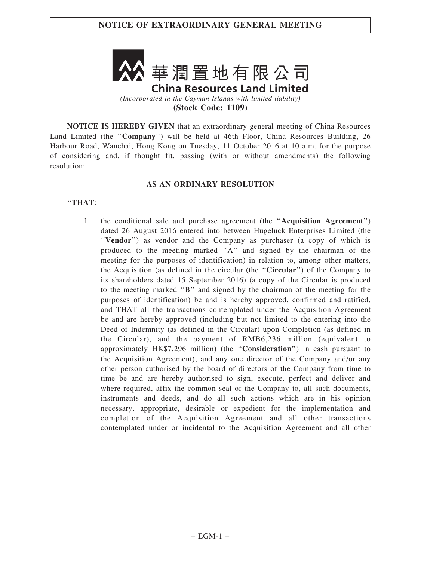

(Stock Code: 1109)

NOTICE IS HEREBY GIVEN that an extraordinary general meeting of China Resources Land Limited (the "Company") will be held at 46th Floor, China Resources Building, 26 Harbour Road, Wanchai, Hong Kong on Tuesday, 11 October 2016 at 10 a.m. for the purpose of considering and, if thought fit, passing (with or without amendments) the following resolution:

## AS AN ORDINARY RESOLUTION

## ''THAT:

1. the conditional sale and purchase agreement (the ''Acquisition Agreement'') dated 26 August 2016 entered into between Hugeluck Enterprises Limited (the ''Vendor'') as vendor and the Company as purchaser (a copy of which is produced to the meeting marked ''A'' and signed by the chairman of the meeting for the purposes of identification) in relation to, among other matters, the Acquisition (as defined in the circular (the ''Circular'') of the Company to its shareholders dated 15 September 2016) (a copy of the Circular is produced to the meeting marked ''B'' and signed by the chairman of the meeting for the purposes of identification) be and is hereby approved, confirmed and ratified, and THAT all the transactions contemplated under the Acquisition Agreement be and are hereby approved (including but not limited to the entering into the Deed of Indemnity (as defined in the Circular) upon Completion (as defined in the Circular), and the payment of RMB6,236 million (equivalent to approximately HK\$7,296 million) (the ''Consideration'') in cash pursuant to the Acquisition Agreement); and any one director of the Company and/or any other person authorised by the board of directors of the Company from time to time be and are hereby authorised to sign, execute, perfect and deliver and where required, affix the common seal of the Company to, all such documents, instruments and deeds, and do all such actions which are in his opinion necessary, appropriate, desirable or expedient for the implementation and completion of the Acquisition Agreement and all other transactions contemplated under or incidental to the Acquisition Agreement and all other